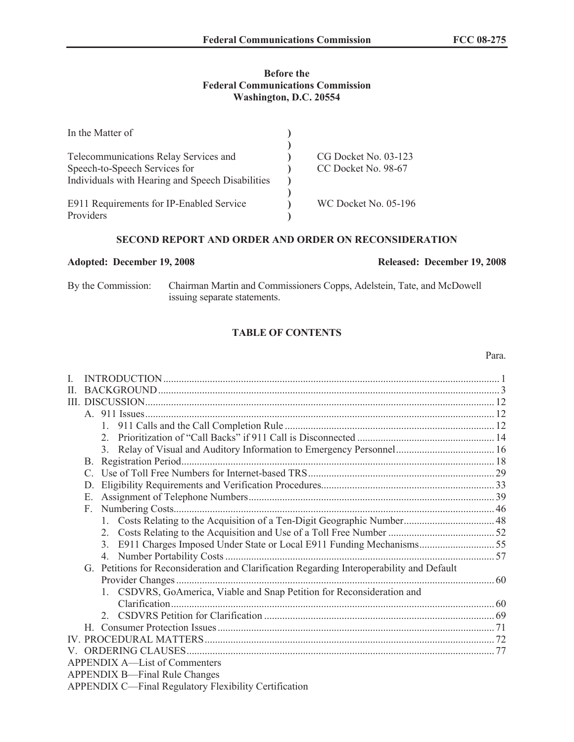#### **Before the Federal Communications Commission Washington, D.C. 20554**

| In the Matter of                                 |                      |
|--------------------------------------------------|----------------------|
|                                                  |                      |
| Telecommunications Relay Services and            | CG Docket No. 03-123 |
| Speech-to-Speech Services for                    | CC Docket No. 98-67  |
| Individuals with Hearing and Speech Disabilities |                      |
|                                                  |                      |
| E911 Requirements for IP-Enabled Service         | WC Docket No. 05-196 |
| Providers                                        |                      |

# **SECOND REPORT AND ORDER AND ORDER ON RECONSIDERATION**

#### **Adopted: December 19, 2008 Released: December 19, 2008**

By the Commission: Chairman Martin and Commissioners Copps, Adelstein, Tate, and McDowell issuing separate statements.

# **TABLE OF CONTENTS**

# I. INTRODUCTION.................................................................................................................................. 1 II. BACKGROUND.................................................................................................................................... 3 III. DISCUSSION....................................................................................................................................... 12 A. 911 Issues....................................................................................................................................... 12 1. 911 Calls and the Call Completion Rule ................................................................................. 12 2. Prioritization of "Call Backs" if 911 Call is Disconnected ..................................................... 14 3. Relay of Visual and Auditory Information to Emergency Personnel...................................... 16 B. Registration Period......................................................................................................................... 18 C. Use of Toll Free Numbers for Internet-based TRS........................................................................ 29 D. Eligibility Requirements and Verification Procedures................................................................... 33 E. Assignment of Telephone Numbers............................................................................................... 39 F. Numbering Costs............................................................................................................................ 46 1. Costs Relating to the Acquisition of a Ten-Digit Geographic Number................................... 48 2. Costs Relating to the Acquisition and Use of a Toll Free Number ......................................... 52 3. E911 Charges Imposed Under State or Local E911 Funding Mechanisms............................. 55 4. Number Portability Costs........................................................................................................ 57 G. Petitions for Reconsideration and Clarification Regarding Interoperability and Default Provider Changes........................................................................................................................... 60 1. CSDVRS, GoAmerica, Viable and Snap Petition for Reconsideration and Clarification............................................................................................................................. 60 2. CSDVRS Petition for Clarification ......................................................................................... 69 H. Consumer Protection Issues........................................................................................................... 71 IV. PROCEDURAL MATTERS................................................................................................................ 72 V. ORDERING CLAUSES....................................................................................................................... 77 APPENDIX A—List of Commenters APPENDIX B—Final Rule Changes

APPENDIX C—Final Regulatory Flexibility Certification

# Para.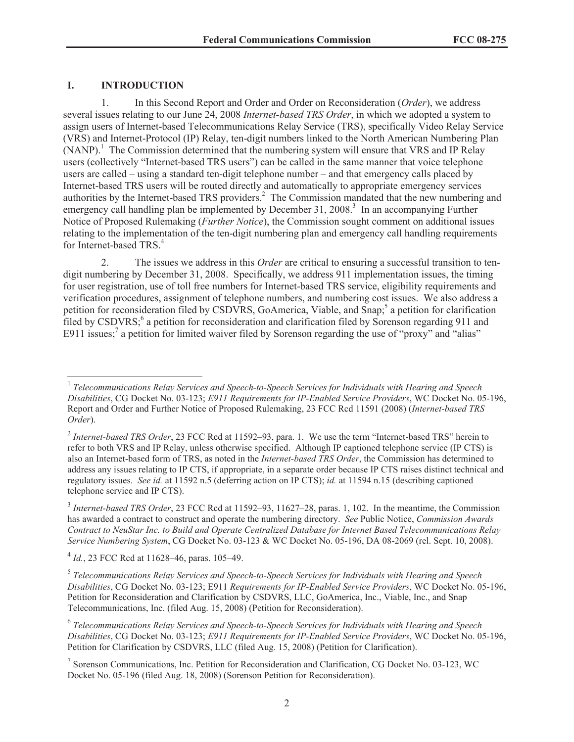# **I. INTRODUCTION**

1. In this Second Report and Order and Order on Reconsideration (*Order*), we address several issues relating to our June 24, 2008 *Internet-based TRS Order*, in which we adopted a system to assign users of Internet-based Telecommunications Relay Service (TRS), specifically Video Relay Service (VRS) and Internet-Protocol (IP) Relay, ten-digit numbers linked to the North American Numbering Plan  $(NANP)$ .<sup>1</sup> The Commission determined that the numbering system will ensure that VRS and IP Relay users (collectively "Internet-based TRS users") can be called in the same manner that voice telephone users are called – using a standard ten-digit telephone number – and that emergency calls placed by Internet-based TRS users will be routed directly and automatically to appropriate emergency services authorities by the Internet-based TRS providers.<sup>2</sup> The Commission mandated that the new numbering and emergency call handling plan be implemented by December 31, 2008.<sup>3</sup> In an accompanying Further Notice of Proposed Rulemaking (*Further Notice*), the Commission sought comment on additional issues relating to the implementation of the ten-digit numbering plan and emergency call handling requirements for Internet-based TRS.<sup>4</sup>

2. The issues we address in this *Order* are critical to ensuring a successful transition to tendigit numbering by December 31, 2008. Specifically, we address 911 implementation issues, the timing for user registration, use of toll free numbers for Internet-based TRS service, eligibility requirements and verification procedures, assignment of telephone numbers, and numbering cost issues. We also address a petition for reconsideration filed by CSDVRS, GoAmerica, Viable, and Snap;<sup>5</sup> a petition for clarification filed by CSDVRS;<sup>6</sup> a petition for reconsideration and clarification filed by Sorenson regarding 911 and E911 issues;<sup>7</sup> a petition for limited waiver filed by Sorenson regarding the use of "proxy" and "alias"

<sup>&</sup>lt;sup>1</sup> Telecommunications Relay Services and Speech-to-Speech Services for Individuals with Hearing and Speech *Disabilities*, CG Docket No. 03-123; *E911 Requirements for IP-Enabled Service Providers*, WC Docket No. 05-196, Report and Order and Further Notice of Proposed Rulemaking, 23 FCC Rcd 11591 (2008) (*Internet-based TRS Order*).

<sup>&</sup>lt;sup>2</sup> Internet-based TRS Order, 23 FCC Rcd at 11592–93, para. 1. We use the term "Internet-based TRS" herein to refer to both VRS and IP Relay, unless otherwise specified. Although IP captioned telephone service (IP CTS) is also an Internet-based form of TRS, as noted in the *Internet-based TRS Order*, the Commission has determined to address any issues relating to IP CTS, if appropriate, in a separate order because IP CTS raises distinct technical and regulatory issues. *See id.* at 11592 n.5 (deferring action on IP CTS); *id.* at 11594 n.15 (describing captioned telephone service and IP CTS).

<sup>&</sup>lt;sup>3</sup> Internet-based TRS Order, 23 FCC Rcd at 11592–93, 11627–28, paras. 1, 102. In the meantime, the Commission has awarded a contract to construct and operate the numbering directory. *See* Public Notice, *Commission Awards Contract to NeuStar Inc. to Build and Operate Centralized Database for Internet Based Telecommunications Relay Service Numbering System*, CG Docket No. 03-123 & WC Docket No. 05-196, DA 08-2069 (rel. Sept. 10, 2008).

<sup>4</sup> *Id.*, 23 FCC Rcd at 11628–46, paras. 105–49.

<sup>5</sup> *Telecommunications Relay Services and Speech-to-Speech Services for Individuals with Hearing and Speech Disabilities*, CG Docket No. 03-123; E911 *Requirements for IP-Enabled Service Providers*, WC Docket No. 05-196, Petition for Reconsideration and Clarification by CSDVRS, LLC, GoAmerica, Inc., Viable, Inc., and Snap Telecommunications, Inc. (filed Aug. 15, 2008) (Petition for Reconsideration).

<sup>6</sup> *Telecommunications Relay Services and Speech-to-Speech Services for Individuals with Hearing and Speech Disabilities*, CG Docket No. 03-123; *E911 Requirements for IP-Enabled Service Providers*, WC Docket No. 05-196, Petition for Clarification by CSDVRS, LLC (filed Aug. 15, 2008) (Petition for Clarification).

<sup>7</sup> Sorenson Communications, Inc. Petition for Reconsideration and Clarification, CG Docket No. 03-123, WC Docket No. 05-196 (filed Aug. 18, 2008) (Sorenson Petition for Reconsideration).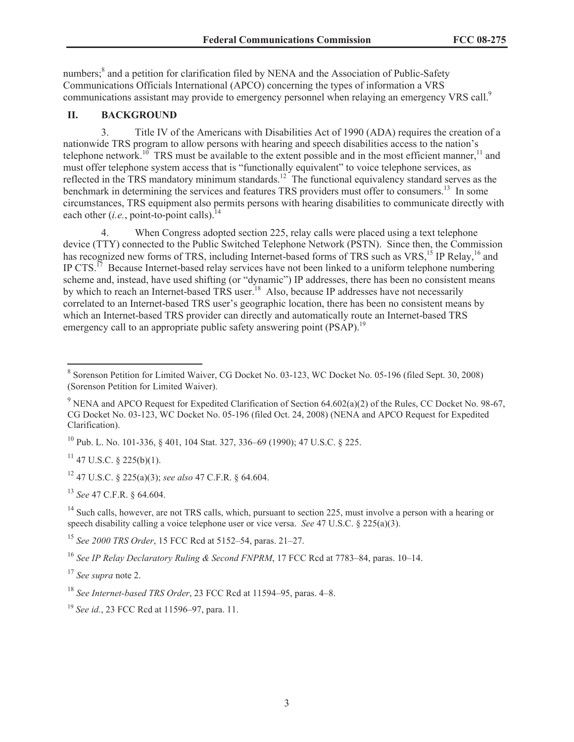numbers;<sup>8</sup> and a petition for clarification filed by NENA and the Association of Public-Safety Communications Officials International (APCO) concerning the types of information a VRS communications assistant may provide to emergency personnel when relaying an emergency VRS call.<sup>9</sup>

# **II. BACKGROUND**

3. Title IV of the Americans with Disabilities Act of 1990 (ADA) requires the creation of a nationwide TRS program to allow persons with hearing and speech disabilities access to the nation's telephone network.<sup>10</sup> TRS must be available to the extent possible and in the most efficient manner,<sup>11</sup> and must offer telephone system access that is "functionally equivalent" to voice telephone services, as reflected in the TRS mandatory minimum standards.<sup>12</sup> The functional equivalency standard serves as the benchmark in determining the services and features TRS providers must offer to consumers.<sup>13</sup> In some circumstances, TRS equipment also permits persons with hearing disabilities to communicate directly with each other  $(i.e., point-to-point calls).$ <sup>1</sup>

4. When Congress adopted section 225, relay calls were placed using a text telephone device (TTY) connected to the Public Switched Telephone Network (PSTN). Since then, the Commission has recognized new forms of TRS, including Internet-based forms of TRS such as VRS,<sup>15</sup> IP Relay,<sup>16</sup> and IP CTS.<sup>17</sup> Because Internet-based relay services have not been linked to a uniform telephone numbering scheme and, instead, have used shifting (or "dynamic") IP addresses, there has been no consistent means by which to reach an Internet-based TRS user.<sup>18</sup> Also, because IP addresses have not necessarily correlated to an Internet-based TRS user's geographic location, there has been no consistent means by which an Internet-based TRS provider can directly and automatically route an Internet-based TRS emergency call to an appropriate public safety answering point (PSAP).<sup>19</sup>

<sup>10</sup> Pub. L. No. 101-336, § 401, 104 Stat. 327, 336–69 (1990); 47 U.S.C. § 225.

 $11$  47 U.S.C. § 225(b)(1).

<sup>12</sup> 47 U.S.C. § 225(a)(3); *see also* 47 C.F.R. § 64.604.

<sup>13</sup> *See* 47 C.F.R. § 64.604.

<sup>14</sup> Such calls, however, are not TRS calls, which, pursuant to section 225, must involve a person with a hearing or speech disability calling a voice telephone user or vice versa. *See* 47 U.S.C. § 225(a)(3).

<sup>15</sup> *See 2000 TRS Order*, 15 FCC Rcd at 5152–54, paras. 21–27.

<sup>16</sup> *See IP Relay Declaratory Ruling & Second FNPRM*, 17 FCC Rcd at 7783–84, paras. 10–14.

<sup>17</sup> *See supra* note 2.

<sup>&</sup>lt;sup>8</sup> Sorenson Petition for Limited Waiver, CG Docket No. 03-123, WC Docket No. 05-196 (filed Sept. 30, 2008) (Sorenson Petition for Limited Waiver).

<sup>&</sup>lt;sup>9</sup> NENA and APCO Request for Expedited Clarification of Section 64.602(a)(2) of the Rules, CC Docket No. 98-67, CG Docket No. 03-123, WC Docket No. 05-196 (filed Oct. 24, 2008) (NENA and APCO Request for Expedited Clarification).

<sup>18</sup> *See Internet-based TRS Order*, 23 FCC Rcd at 11594–95, paras. 4–8.

<sup>19</sup> *See id.*, 23 FCC Rcd at 11596–97, para. 11.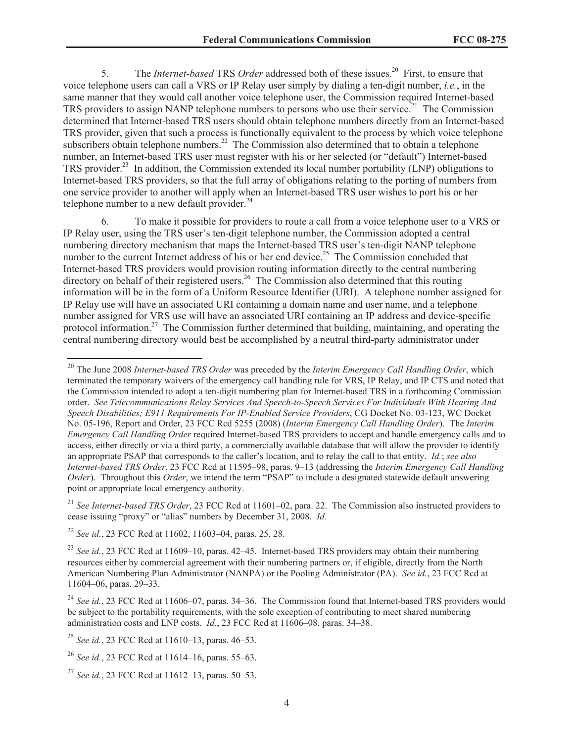5. The *Internet-based* TRS *Order* addressed both of these issues.<sup>20</sup> First, to ensure that voice telephone users can call a VRS or IP Relay user simply by dialing a ten-digit number, *i.e.*, in the same manner that they would call another voice telephone user, the Commission required Internet-based TRS providers to assign NANP telephone numbers to persons who use their service.<sup>21</sup> The Commission determined that Internet-based TRS users should obtain telephone numbers directly from an Internet-based TRS provider, given that such a process is functionally equivalent to the process by which voice telephone subscribers obtain telephone numbers.<sup>22</sup> The Commission also determined that to obtain a telephone number, an Internet-based TRS user must register with his or her selected (or "default") Internet-based TRS provider.<sup>23</sup> In addition, the Commission extended its local number portability (LNP) obligations to Internet-based TRS providers, so that the full array of obligations relating to the porting of numbers from one service provider to another will apply when an Internet-based TRS user wishes to port his or her telephone number to a new default provider. $^{24}$ 

6. To make it possible for providers to route a call from a voice telephone user to a VRS or IP Relay user, using the TRS user's ten-digit telephone number, the Commission adopted a central numbering directory mechanism that maps the Internet-based TRS user's ten-digit NANP telephone number to the current Internet address of his or her end device.<sup>25</sup> The Commission concluded that Internet-based TRS providers would provision routing information directly to the central numbering directory on behalf of their registered users.<sup>26</sup> The Commission also determined that this routing information will be in the form of a Uniform Resource Identifier (URI). A telephone number assigned for IP Relay use will have an associated URI containing a domain name and user name, and a telephone number assigned for VRS use will have an associated URI containing an IP address and device-specific protocol information.<sup>27</sup> The Commission further determined that building, maintaining, and operating the central numbering directory would best be accomplished by a neutral third-party administrator under

<sup>21</sup> *See Internet-based TRS Order*, 23 FCC Rcd at 11601–02, para. 22. The Commission also instructed providers to cease issuing "proxy" or "alias" numbers by December 31, 2008. *Id.*

<sup>22</sup> *See id.*, 23 FCC Rcd at 11602, 11603–04, paras. 25, 28.

<sup>20</sup> The June 2008 *Internet-based TRS Order* was preceded by the *Interim Emergency Call Handling Order*, which terminated the temporary waivers of the emergency call handling rule for VRS, IP Relay, and IP CTS and noted that the Commission intended to adopt a ten-digit numbering plan for Internet-based TRS in a forthcoming Commission order. *See Telecommunications Relay Services And Speech-to-Speech Services For Individuals With Hearing And Speech Disabilities; E911 Requirements For IP-Enabled Service Providers*, CG Docket No. 03-123, WC Docket No. 05-196, Report and Order, 23 FCC Rcd 5255 (2008) (*Interim Emergency Call Handling Order*). The *Interim Emergency Call Handling Order* required Internet-based TRS providers to accept and handle emergency calls and to access, either directly or via a third party, a commercially available database that will allow the provider to identify an appropriate PSAP that corresponds to the caller's location, and to relay the call to that entity. *Id.*; *see also Internet-based TRS Order*, 23 FCC Rcd at 11595–98, paras. 9–13 (addressing the *Interim Emergency Call Handling Order*). Throughout this *Order*, we intend the term "PSAP" to include a designated statewide default answering point or appropriate local emergency authority.

<sup>&</sup>lt;sup>23</sup> See id., 23 FCC Rcd at 11609–10, paras. 42–45. Internet-based TRS providers may obtain their numbering resources either by commercial agreement with their numbering partners or, if eligible, directly from the North American Numbering Plan Administrator (NANPA) or the Pooling Administrator (PA). *See id.*, 23 FCC Rcd at 11604–06, paras. 29–33.

<sup>&</sup>lt;sup>24</sup> See id., 23 FCC Rcd at 11606–07, paras. 34–36. The Commission found that Internet-based TRS providers would be subject to the portability requirements, with the sole exception of contributing to meet shared numbering administration costs and LNP costs. *Id.*, 23 FCC Rcd at 11606–08, paras. 34–38.

<sup>25</sup> *See id.*, 23 FCC Rcd at 11610–13, paras. 46–53.

<sup>26</sup> *See id.*, 23 FCC Rcd at 11614–16, paras. 55–63.

<sup>27</sup> *See id.*, 23 FCC Rcd at 11612–13, paras. 50–53.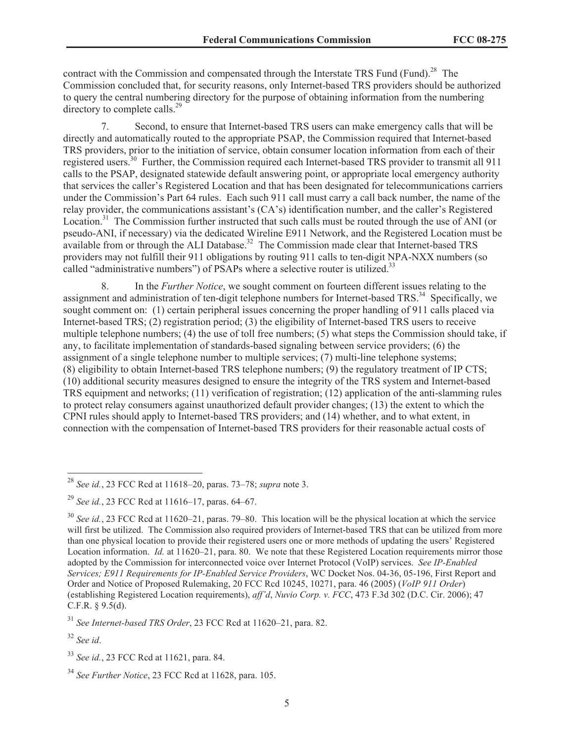contract with the Commission and compensated through the Interstate TRS Fund (Fund).<sup>28</sup> The Commission concluded that, for security reasons, only Internet-based TRS providers should be authorized to query the central numbering directory for the purpose of obtaining information from the numbering directory to complete calls.<sup>29</sup>

7. Second, to ensure that Internet-based TRS users can make emergency calls that will be directly and automatically routed to the appropriate PSAP, the Commission required that Internet-based TRS providers, prior to the initiation of service, obtain consumer location information from each of their registered users.<sup>30</sup> Further, the Commission required each Internet-based TRS provider to transmit all 911 calls to the PSAP, designated statewide default answering point, or appropriate local emergency authority that services the caller's Registered Location and that has been designated for telecommunications carriers under the Commission's Part 64 rules. Each such 911 call must carry a call back number, the name of the relay provider, the communications assistant's (CA's) identification number, and the caller's Registered Location.<sup>31</sup> The Commission further instructed that such calls must be routed through the use of ANI (or pseudo-ANI, if necessary) via the dedicated Wireline E911 Network, and the Registered Location must be  $a$ vailable from or through the ALI Database.<sup>32</sup> The Commission made clear that Internet-based TRS providers may not fulfill their 911 obligations by routing 911 calls to ten-digit NPA-NXX numbers (so called "administrative numbers") of PSAPs where a selective router is utilized.<sup>33</sup>

8. In the *Further Notice*, we sought comment on fourteen different issues relating to the assignment and administration of ten-digit telephone numbers for Internet-based TRS.<sup>34</sup> Specifically, we sought comment on: (1) certain peripheral issues concerning the proper handling of 911 calls placed via Internet-based TRS; (2) registration period; (3) the eligibility of Internet-based TRS users to receive multiple telephone numbers; (4) the use of toll free numbers; (5) what steps the Commission should take, if any, to facilitate implementation of standards-based signaling between service providers; (6) the assignment of a single telephone number to multiple services; (7) multi-line telephone systems; (8) eligibility to obtain Internet-based TRS telephone numbers; (9) the regulatory treatment of IP CTS; (10) additional security measures designed to ensure the integrity of the TRS system and Internet-based TRS equipment and networks; (11) verification of registration; (12) application of the anti-slamming rules to protect relay consumers against unauthorized default provider changes; (13) the extent to which the CPNI rules should apply to Internet-based TRS providers; and (14) whether, and to what extent, in connection with the compensation of Internet-based TRS providers for their reasonable actual costs of

<sup>31</sup> *See Internet-based TRS Order*, 23 FCC Rcd at 11620–21, para. 82.

<sup>28</sup> *See id.*, 23 FCC Rcd at 11618–20, paras. 73–78; *supra* note 3.

<sup>29</sup> *See id.*, 23 FCC Rcd at 11616–17, paras. 64–67.

<sup>30</sup> *See id.*, 23 FCC Rcd at 11620–21, paras. 79–80. This location will be the physical location at which the service will first be utilized. The Commission also required providers of Internet-based TRS that can be utilized from more than one physical location to provide their registered users one or more methods of updating the users' Registered Location information. *Id.* at 11620–21, para. 80. We note that these Registered Location requirements mirror those adopted by the Commission for interconnected voice over Internet Protocol (VoIP) services. *See IP-Enabled Services; E911 Requirements for IP-Enabled Service Providers*, WC Docket Nos. 04-36, 05-196, First Report and Order and Notice of Proposed Rulemaking, 20 FCC Rcd 10245, 10271, para. 46 (2005) (*VoIP 911 Order*) (establishing Registered Location requirements), *aff'd*, *Nuvio Corp. v. FCC*, 473 F.3d 302 (D.C. Cir. 2006); 47 C.F.R. § 9.5(d).

<sup>32</sup> *See id*.

<sup>33</sup> *See id.*, 23 FCC Rcd at 11621, para. 84.

<sup>34</sup> *See Further Notice*, 23 FCC Rcd at 11628, para. 105.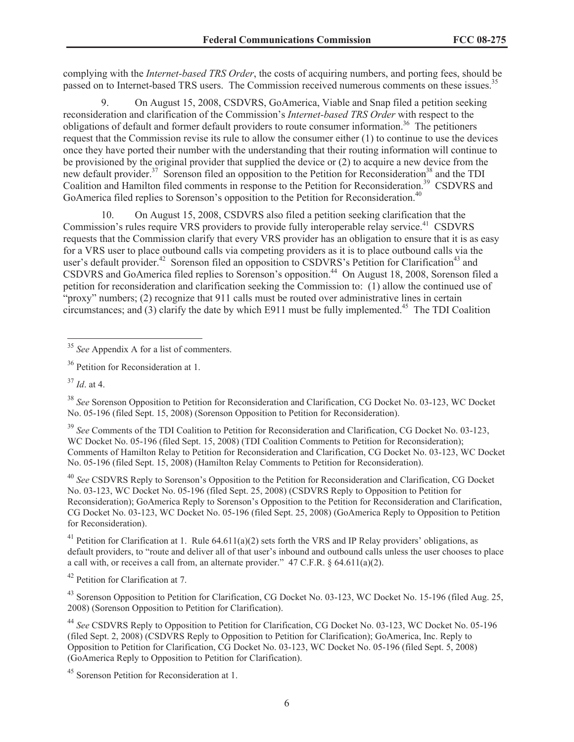complying with the *Internet-based TRS Order*, the costs of acquiring numbers, and porting fees, should be passed on to Internet-based TRS users. The Commission received numerous comments on these issues.<sup>35</sup>

9. On August 15, 2008, CSDVRS, GoAmerica, Viable and Snap filed a petition seeking reconsideration and clarification of the Commission's *Internet-based TRS Order* with respect to the obligations of default and former default providers to route consumer information.<sup>36</sup> The petitioners request that the Commission revise its rule to allow the consumer either (1) to continue to use the devices once they have ported their number with the understanding that their routing information will continue to be provisioned by the original provider that supplied the device or (2) to acquire a new device from the new default provider.<sup>37</sup> Sorenson filed an opposition to the Petition for Reconsideration<sup>38</sup> and the TDI Coalition and Hamilton filed comments in response to the Petition for Reconsideration.<sup>39</sup> CSDVRS and GoAmerica filed replies to Sorenson's opposition to the Petition for Reconsideration.<sup>40</sup>

10. On August 15, 2008, CSDVRS also filed a petition seeking clarification that the Commission's rules require VRS providers to provide fully interoperable relay service.<sup>41</sup> CSDVRS requests that the Commission clarify that every VRS provider has an obligation to ensure that it is as easy for a VRS user to place outbound calls via competing providers as it is to place outbound calls via the user's default provider.<sup>42</sup> Sorenson filed an opposition to CSDVRS's Petition for Clarification<sup>43</sup> and CSDVRS and GoAmerica filed replies to Sorenson's opposition.<sup>44</sup> On August 18, 2008, Sorenson filed a petition for reconsideration and clarification seeking the Commission to: (1) allow the continued use of "proxy" numbers; (2) recognize that 911 calls must be routed over administrative lines in certain circumstances; and  $(3)$  clarify the date by which E911 must be fully implemented.<sup>45</sup> The TDI Coalition

<sup>39</sup> *See* Comments of the TDI Coalition to Petition for Reconsideration and Clarification, CG Docket No. 03-123, WC Docket No. 05-196 (filed Sept. 15, 2008) (TDI Coalition Comments to Petition for Reconsideration); Comments of Hamilton Relay to Petition for Reconsideration and Clarification, CG Docket No. 03-123, WC Docket No. 05-196 (filed Sept. 15, 2008) (Hamilton Relay Comments to Petition for Reconsideration).

<sup>40</sup> *See* CSDVRS Reply to Sorenson's Opposition to the Petition for Reconsideration and Clarification, CG Docket No. 03-123, WC Docket No. 05-196 (filed Sept. 25, 2008) (CSDVRS Reply to Opposition to Petition for Reconsideration); GoAmerica Reply to Sorenson's Opposition to the Petition for Reconsideration and Clarification, CG Docket No. 03-123, WC Docket No. 05-196 (filed Sept. 25, 2008) (GoAmerica Reply to Opposition to Petition for Reconsideration).

<sup>41</sup> Petition for Clarification at 1. Rule 64.611(a)(2) sets forth the VRS and IP Relay providers' obligations, as default providers, to "route and deliver all of that user's inbound and outbound calls unless the user chooses to place a call with, or receives a call from, an alternate provider." 47 C.F.R. § 64.611(a)(2).

<sup>42</sup> Petition for Clarification at 7.

<sup>43</sup> Sorenson Opposition to Petition for Clarification, CG Docket No. 03-123, WC Docket No. 15-196 (filed Aug. 25, 2008) (Sorenson Opposition to Petition for Clarification).

<sup>44</sup> *See* CSDVRS Reply to Opposition to Petition for Clarification, CG Docket No. 03-123, WC Docket No. 05-196 (filed Sept. 2, 2008) (CSDVRS Reply to Opposition to Petition for Clarification); GoAmerica, Inc. Reply to Opposition to Petition for Clarification, CG Docket No. 03-123, WC Docket No. 05-196 (filed Sept. 5, 2008) (GoAmerica Reply to Opposition to Petition for Clarification).

<sup>35</sup> *See* Appendix A for a list of commenters.

<sup>&</sup>lt;sup>36</sup> Petition for Reconsideration at 1.

<sup>37</sup> *Id*. at 4.

<sup>38</sup> *See* Sorenson Opposition to Petition for Reconsideration and Clarification, CG Docket No. 03-123, WC Docket No. 05-196 (filed Sept. 15, 2008) (Sorenson Opposition to Petition for Reconsideration).

<sup>45</sup> Sorenson Petition for Reconsideration at 1.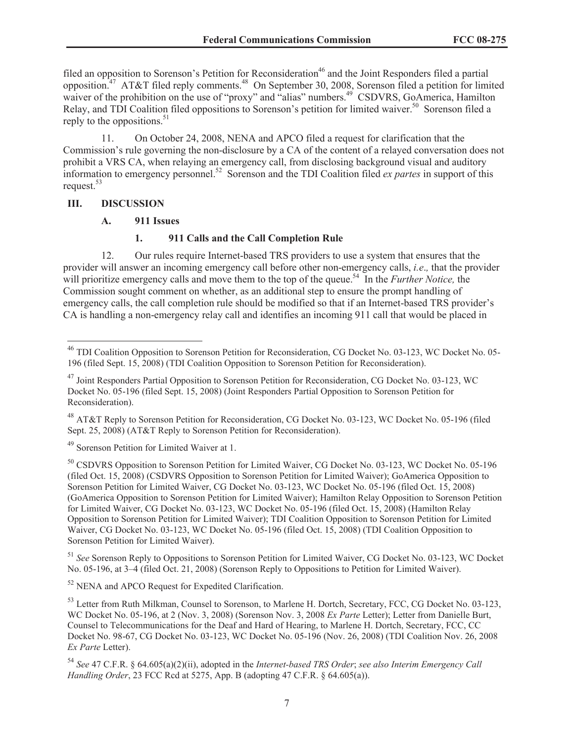filed an opposition to Sorenson's Petition for Reconsideration<sup>46</sup> and the Joint Responders filed a partial opposition.<sup>47</sup> AT&T filed reply comments.<sup>48</sup> On September 30, 2008, Sorenson filed a petition for limited waiver of the prohibition on the use of "proxy" and "alias" numbers.<sup>49</sup> CSDVRS, GoAmerica, Hamilton Relay, and TDI Coalition filed oppositions to Sorenson's petition for limited waiver.<sup>50</sup> Sorenson filed a reply to the oppositions.  $51$ 

11. On October 24, 2008, NENA and APCO filed a request for clarification that the Commission's rule governing the non-disclosure by a CA of the content of a relayed conversation does not prohibit a VRS CA, when relaying an emergency call, from disclosing background visual and auditory information to emergency personnel.<sup>52</sup> Sorenson and the TDI Coalition filed *ex partes* in support of this request.<sup>53</sup>

# **III. DISCUSSION**

# **A. 911 Issues**

# **1. 911 Calls and the Call Completion Rule**

12. Our rules require Internet-based TRS providers to use a system that ensures that the provider will answer an incoming emergency call before other non-emergency calls, *i.e*.*,* that the provider will prioritize emergency calls and move them to the top of the queue.<sup>54</sup> In the *Further Notice*, the Commission sought comment on whether, as an additional step to ensure the prompt handling of emergency calls, the call completion rule should be modified so that if an Internet-based TRS provider's CA is handling a non-emergency relay call and identifies an incoming 911 call that would be placed in

<sup>48</sup> AT&T Reply to Sorenson Petition for Reconsideration, CG Docket No. 03-123, WC Docket No. 05-196 (filed Sept. 25, 2008) (AT&T Reply to Sorenson Petition for Reconsideration).

<sup>49</sup> Sorenson Petition for Limited Waiver at 1.

<sup>50</sup> CSDVRS Opposition to Sorenson Petition for Limited Waiver, CG Docket No. 03-123, WC Docket No. 05-196 (filed Oct. 15, 2008) (CSDVRS Opposition to Sorenson Petition for Limited Waiver); GoAmerica Opposition to Sorenson Petition for Limited Waiver, CG Docket No. 03-123, WC Docket No. 05-196 (filed Oct. 15, 2008) (GoAmerica Opposition to Sorenson Petition for Limited Waiver); Hamilton Relay Opposition to Sorenson Petition for Limited Waiver, CG Docket No. 03-123, WC Docket No. 05-196 (filed Oct. 15, 2008) (Hamilton Relay Opposition to Sorenson Petition for Limited Waiver); TDI Coalition Opposition to Sorenson Petition for Limited Waiver, CG Docket No. 03-123, WC Docket No. 05-196 (filed Oct. 15, 2008) (TDI Coalition Opposition to Sorenson Petition for Limited Waiver).

<sup>51</sup> *See* Sorenson Reply to Oppositions to Sorenson Petition for Limited Waiver, CG Docket No. 03-123, WC Docket No. 05-196, at 3–4 (filed Oct. 21, 2008) (Sorenson Reply to Oppositions to Petition for Limited Waiver).

 $52$  NENA and APCO Request for Expedited Clarification.

<sup>53</sup> Letter from Ruth Milkman, Counsel to Sorenson, to Marlene H. Dortch, Secretary, FCC, CG Docket No. 03-123, WC Docket No. 05-196, at 2 (Nov. 3, 2008) (Sorenson Nov. 3, 2008 *Ex Parte* Letter); Letter from Danielle Burt, Counsel to Telecommunications for the Deaf and Hard of Hearing, to Marlene H. Dortch, Secretary, FCC, CC Docket No. 98-67, CG Docket No. 03-123, WC Docket No. 05-196 (Nov. 26, 2008) (TDI Coalition Nov. 26, 2008 *Ex Parte* Letter).

<sup>54</sup> *See* 47 C.F.R. § 64.605(a)(2)(ii), adopted in the *Internet-based TRS Order*; *see also Interim Emergency Call Handling Order*, 23 FCC Rcd at 5275, App. B (adopting 47 C.F.R. § 64.605(a)).

<sup>46</sup> TDI Coalition Opposition to Sorenson Petition for Reconsideration, CG Docket No. 03-123, WC Docket No. 05- 196 (filed Sept. 15, 2008) (TDI Coalition Opposition to Sorenson Petition for Reconsideration).

<sup>47</sup> Joint Responders Partial Opposition to Sorenson Petition for Reconsideration, CG Docket No. 03-123, WC Docket No. 05-196 (filed Sept. 15, 2008) (Joint Responders Partial Opposition to Sorenson Petition for Reconsideration).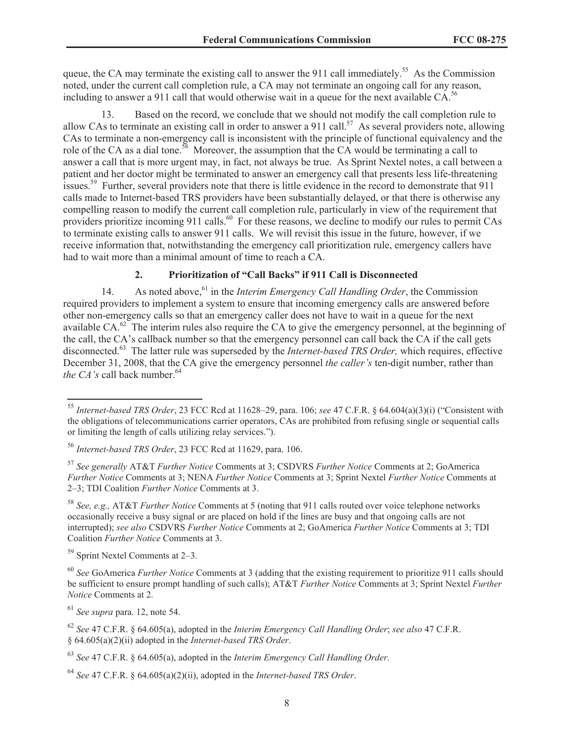queue, the CA may terminate the existing call to answer the 911 call immediately.<sup>55</sup> As the Commission noted, under the current call completion rule, a CA may not terminate an ongoing call for any reason, including to answer a 911 call that would otherwise wait in a queue for the next available  $CA<sup>56</sup>$ 

13. Based on the record, we conclude that we should not modify the call completion rule to allow CAs to terminate an existing call in order to answer a 911 call.<sup>57</sup> As several providers note, allowing CAs to terminate a non-emergency call is inconsistent with the principle of functional equivalency and the role of the CA as a dial tone.<sup>58</sup> Moreover, the assumption that the CA would be terminating a call to answer a call that is more urgent may, in fact, not always be true. As Sprint Nextel notes, a call between a patient and her doctor might be terminated to answer an emergency call that presents less life-threatening issues.<sup>59</sup> Further, several providers note that there is little evidence in the record to demonstrate that 911 calls made to Internet-based TRS providers have been substantially delayed, or that there is otherwise any compelling reason to modify the current call completion rule, particularly in view of the requirement that providers prioritize incoming 911 calls.<sup>60</sup> For these reasons, we decline to modify our rules to permit CAs to terminate existing calls to answer 911 calls. We will revisit this issue in the future, however, if we receive information that, notwithstanding the emergency call prioritization rule, emergency callers have had to wait more than a minimal amount of time to reach a CA.

# **2. Prioritization of "Call Backs" if 911 Call is Disconnected**

14. As noted above,<sup>61</sup> in the *Interim Emergency Call Handling Order*, the Commission required providers to implement a system to ensure that incoming emergency calls are answered before other non-emergency calls so that an emergency caller does not have to wait in a queue for the next available CA.<sup>62</sup> The interim rules also require the CA to give the emergency personnel, at the beginning of the call, the CA's callback number so that the emergency personnel can call back the CA if the call gets disconnected.<sup>63</sup> The latter rule was superseded by the *Internet-based TRS Order,* which requires, effective December 31, 2008, that the CA give the emergency personnel *the caller's* ten-digit number, rather than *the CA's* call back number.<sup>64</sup>

<sup>59</sup> Sprint Nextel Comments at 2–3.

<sup>61</sup> *See supra* para. 12, note 54.

<sup>64</sup> *See* 47 C.F.R. § 64.605(a)(2)(ii), adopted in the *Internet-based TRS Order*.

<sup>55</sup> *Internet-based TRS Order*, 23 FCC Rcd at 11628–29, para. 106; *see* 47 C.F.R. § 64.604(a)(3)(i) ("Consistent with the obligations of telecommunications carrier operators, CAs are prohibited from refusing single or sequential calls or limiting the length of calls utilizing relay services.").

<sup>56</sup> *Internet-based TRS Order*, 23 FCC Rcd at 11629, para. 106.

<sup>57</sup> *See generally* AT&T *Further Notice* Comments at 3; CSDVRS *Further Notice* Comments at 2; GoAmerica *Further Notice* Comments at 3; NENA *Further Notice* Comments at 3; Sprint Nextel *Further Notice* Comments at 2–3; TDI Coalition *Further Notice* Comments at 3.

<sup>58</sup> *See, e.g.,* AT&T *Further Notice* Comments at 5 (noting that 911 calls routed over voice telephone networks occasionally receive a busy signal or are placed on hold if the lines are busy and that ongoing calls are not interrupted); *see also* CSDVRS *Further Notice* Comments at 2; GoAmerica *Further Notice* Comments at 3; TDI Coalition *Further Notice* Comments at 3.

<sup>60</sup> *See* GoAmerica *Further Notice* Comments at 3 (adding that the existing requirement to prioritize 911 calls should be sufficient to ensure prompt handling of such calls); AT&T *Further Notice* Comments at 3; Sprint Nextel *Further Notice* Comments at 2.

<sup>62</sup> *See* 47 C.F.R. § 64.605(a), adopted in the *Interim Emergency Call Handling Order*; *see also* 47 C.F.R. § 64.605(a)(2)(ii) adopted in the *Internet-based TRS Order*.

<sup>63</sup> *See* 47 C.F.R. § 64.605(a), adopted in the *Interim Emergency Call Handling Order.*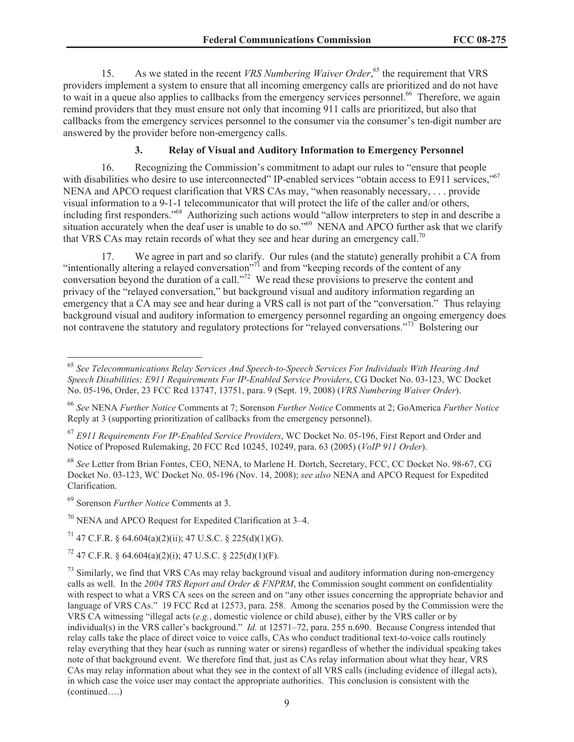15. As we stated in the recent *VRS Numbering Waiver Order*,<sup>65</sup> the requirement that VRS providers implement a system to ensure that all incoming emergency calls are prioritized and do not have to wait in a queue also applies to callbacks from the emergency services personnel.<sup>66</sup> Therefore, we again remind providers that they must ensure not only that incoming 911 calls are prioritized, but also that callbacks from the emergency services personnel to the consumer via the consumer's ten-digit number are answered by the provider before non-emergency calls.

# **3. Relay of Visual and Auditory Information to Emergency Personnel**

16. Recognizing the Commission's commitment to adapt our rules to "ensure that people with disabilities who desire to use interconnected" IP-enabled services "obtain access to E911 services,"<sup>67</sup> NENA and APCO request clarification that VRS CAs may, "when reasonably necessary, . . . provide visual information to a 9-1-1 telecommunicator that will protect the life of the caller and/or others, including first responders."<sup>68</sup> Authorizing such actions would "allow interpreters to step in and describe a situation accurately when the deaf user is unable to do so."<sup>69</sup> NENA and APCO further ask that we clarify that VRS CAs may retain records of what they see and hear during an emergency call.<sup>70</sup>

17. We agree in part and so clarify. Our rules (and the statute) generally prohibit a CA from "intentionally altering a relayed conversation"<sup>71</sup> and from "keeping records of the content of any conversation beyond the duration of a call."<sup>72</sup> We read these provisions to preserve the content and privacy of the "relayed conversation," but background visual and auditory information regarding an emergency that a CA may see and hear during a VRS call is not part of the "conversation." Thus relaying background visual and auditory information to emergency personnel regarding an ongoing emergency does not contravene the statutory and regulatory protections for "relayed conversations."<sup>73</sup> Bolstering our

<sup>68</sup> *See* Letter from Brian Fontes, CEO, NENA, to Marlene H. Dortch, Secretary, FCC, CC Docket No. 98-67, CG Docket No. 03-123, WC Docket No. 05-196 (Nov. 14, 2008); *see also* NENA and APCO Request for Expedited Clarification.

<sup>69</sup> Sorenson *Further Notice* Comments at 3.

 $70$  NENA and APCO Request for Expedited Clarification at 3–4.

<sup>71</sup> 47 C.F.R. § 64.604(a)(2)(ii); 47 U.S.C. § 225(d)(1)(G).

 $^{72}$  47 C.F.R. § 64.604(a)(2)(i); 47 U.S.C. § 225(d)(1)(F).

<sup>65</sup> *See Telecommunications Relay Services And Speech-to-Speech Services For Individuals With Hearing And Speech Disabilities; E911 Requirements For IP-Enabled Service Providers*, CG Docket No. 03-123, WC Docket No. 05-196, Order, 23 FCC Rcd 13747, 13751, para. 9 (Sept. 19, 2008) (*VRS Numbering Waiver Order*).

<sup>66</sup> *See* NENA *Further Notice* Comments at 7; Sorenson *Further Notice* Comments at 2; GoAmerica *Further Notice* Reply at 3 (supporting prioritization of callbacks from the emergency personnel).

<sup>67</sup> *E911 Requirements For IP-Enabled Service Providers*, WC Docket No. 05-196, First Report and Order and Notice of Proposed Rulemaking, 20 FCC Rcd 10245, 10249, para. 63 (2005) (*VoIP 911 Order*).

 $^{73}$  Similarly, we find that VRS CAs may relay background visual and auditory information during non-emergency calls as well. In the *2004 TRS Report and Order & FNPRM*, the Commission sought comment on confidentiality with respect to what a VRS CA sees on the screen and on "any other issues concerning the appropriate behavior and language of VRS CAs." 19 FCC Rcd at 12573, para. 258. Among the scenarios posed by the Commission were the VRS CA witnessing "illegal acts (*e.g.*, domestic violence or child abuse), either by the VRS caller or by individual(s) in the VRS caller's background." *Id.* at 12571–72, para. 255 n.690. Because Congress intended that relay calls take the place of direct voice to voice calls, CAs who conduct traditional text-to-voice calls routinely relay everything that they hear (such as running water or sirens) regardless of whether the individual speaking takes note of that background event. We therefore find that, just as CAs relay information about what they hear, VRS CAs may relay information about what they see in the context of all VRS calls (including evidence of illegal acts), in which case the voice user may contact the appropriate authorities. This conclusion is consistent with the (continued….)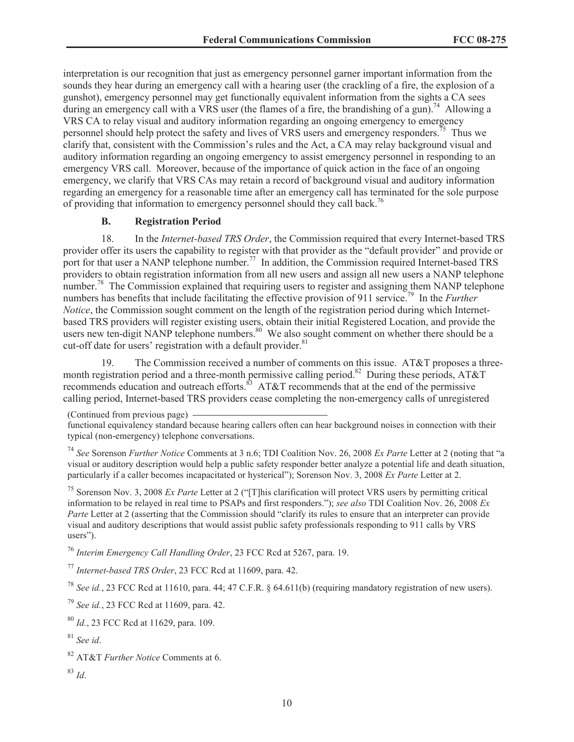interpretation is our recognition that just as emergency personnel garner important information from the sounds they hear during an emergency call with a hearing user (the crackling of a fire, the explosion of a gunshot), emergency personnel may get functionally equivalent information from the sights a CA sees during an emergency call with a VRS user (the flames of a fire, the brandishing of a gun).<sup>74</sup> Allowing a VRS CA to relay visual and auditory information regarding an ongoing emergency to emergency personnel should help protect the safety and lives of VRS users and emergency responders.<sup>75</sup> Thus we clarify that, consistent with the Commission's rules and the Act, a CA may relay background visual and auditory information regarding an ongoing emergency to assist emergency personnel in responding to an emergency VRS call. Moreover, because of the importance of quick action in the face of an ongoing emergency, we clarify that VRS CAs may retain a record of background visual and auditory information regarding an emergency for a reasonable time after an emergency call has terminated for the sole purpose of providing that information to emergency personnel should they call back.<sup>76</sup>

# **B. Registration Period**

18. In the *Internet-based TRS Order*, the Commission required that every Internet-based TRS provider offer its users the capability to register with that provider as the "default provider" and provide or port for that user a NANP telephone number.<sup>77</sup> In addition, the Commission required Internet-based TRS providers to obtain registration information from all new users and assign all new users a NANP telephone number.<sup>78</sup> The Commission explained that requiring users to register and assigning them NANP telephone numbers has benefits that include facilitating the effective provision of 911 service.<sup>79</sup> In the *Further Notice*, the Commission sought comment on the length of the registration period during which Internetbased TRS providers will register existing users, obtain their initial Registered Location, and provide the users new ten-digit NANP telephone numbers.<sup>80</sup> We also sought comment on whether there should be a cut-off date for users' registration with a default provider.<sup>81</sup>

19. The Commission received a number of comments on this issue. AT&T proposes a threemonth registration period and a three-month permissive calling period.<sup>82</sup> During these periods, AT&T recommends education and outreach efforts.<sup>83</sup> AT&T recommends that at the end of the permissive calling period, Internet-based TRS providers cease completing the non-emergency calls of unregistered

<sup>75</sup> Sorenson Nov. 3, 2008 *Ex Parte* Letter at 2 ("[T]his clarification will protect VRS users by permitting critical information to be relayed in real time to PSAPs and first responders."); *see also* TDI Coalition Nov. 26, 2008 *Ex Parte* Letter at 2 (asserting that the Commission should "clarify its rules to ensure that an interpreter can provide visual and auditory descriptions that would assist public safety professionals responding to 911 calls by VRS users").

<sup>76</sup> *Interim Emergency Call Handling Order*, 23 FCC Rcd at 5267, para. 19.

<sup>77</sup> *Internet-based TRS Order*, 23 FCC Rcd at 11609, para. 42.

<sup>78</sup> *See id.*, 23 FCC Rcd at 11610, para. 44; 47 C.F.R. § 64.611(b) (requiring mandatory registration of new users).

<sup>79</sup> *See id.*, 23 FCC Rcd at 11609, para. 42.

<sup>80</sup> *Id.*, 23 FCC Rcd at 11629, para. 109.

<sup>81</sup> *See id*.

<sup>(</sup>Continued from previous page)

functional equivalency standard because hearing callers often can hear background noises in connection with their typical (non-emergency) telephone conversations.

<sup>74</sup> *See* Sorenson *Further Notice* Comments at 3 n.6; TDI Coalition Nov. 26, 2008 *Ex Parte* Letter at 2 (noting that "a visual or auditory description would help a public safety responder better analyze a potential life and death situation, particularly if a caller becomes incapacitated or hysterical"); Sorenson Nov. 3, 2008 *Ex Parte* Letter at 2.

<sup>82</sup> AT&T *Further Notice* Comments at 6.

<sup>83</sup> *Id*.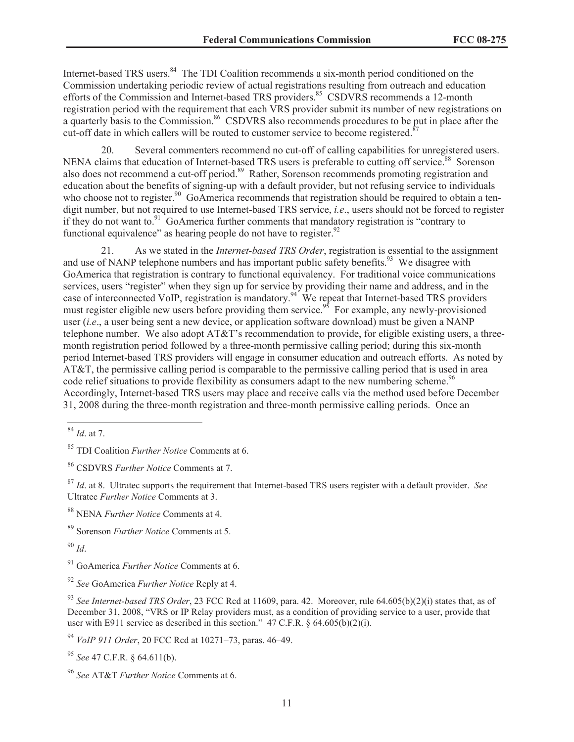Internet-based TRS users.<sup>84</sup> The TDI Coalition recommends a six-month period conditioned on the Commission undertaking periodic review of actual registrations resulting from outreach and education efforts of the Commission and Internet-based TRS providers.<sup>85</sup> CSDVRS recommends a 12-month registration period with the requirement that each VRS provider submit its number of new registrations on a quarterly basis to the Commission.<sup>86</sup> CSDVRS also recommends procedures to be put in place after the cut-off date in which callers will be routed to customer service to become registered.<sup>8</sup>

20. Several commenters recommend no cut-off of calling capabilities for unregistered users. NENA claims that education of Internet-based TRS users is preferable to cutting off service.<sup>88</sup> Sorenson also does not recommend a cut-off period.<sup>89</sup> Rather, Sorenson recommends promoting registration and education about the benefits of signing-up with a default provider, but not refusing service to individuals who choose not to register.<sup>90</sup> GoAmerica recommends that registration should be required to obtain a tendigit number, but not required to use Internet-based TRS service, *i.e*., users should not be forced to register if they do not want to.<sup>91</sup> GoAmerica further comments that mandatory registration is "contrary to functional equivalence" as hearing people do not have to register. $92$ 

21. As we stated in the *Internet-based TRS Order*, registration is essential to the assignment and use of NANP telephone numbers and has important public safety benefits.<sup>93</sup> We disagree with GoAmerica that registration is contrary to functional equivalency. For traditional voice communications services, users "register" when they sign up for service by providing their name and address, and in the case of interconnected VoIP, registration is mandatory.<sup>94</sup> We repeat that Internet-based TRS providers must register eligible new users before providing them service.<sup>95</sup> For example, any newly-provisioned user (*i.e*., a user being sent a new device, or application software download) must be given a NANP telephone number. We also adopt AT&T's recommendation to provide, for eligible existing users, a threemonth registration period followed by a three-month permissive calling period; during this six-month period Internet-based TRS providers will engage in consumer education and outreach efforts. As noted by AT&T, the permissive calling period is comparable to the permissive calling period that is used in area code relief situations to provide flexibility as consumers adapt to the new numbering scheme.<sup>96</sup> Accordingly, Internet-based TRS users may place and receive calls via the method used before December 31, 2008 during the three-month registration and three-month permissive calling periods. Once an

<sup>90</sup> *Id*.

<sup>84</sup> *Id*. at 7.

<sup>85</sup> TDI Coalition *Further Notice* Comments at 6.

<sup>86</sup> CSDVRS *Further Notice* Comments at 7.

<sup>87</sup> *Id*. at 8. Ultratec supports the requirement that Internet-based TRS users register with a default provider. *See* Ultratec *Further Notice* Comments at 3.

<sup>88</sup> NENA *Further Notice* Comments at 4.

<sup>89</sup> Sorenson *Further Notice* Comments at 5.

<sup>91</sup> GoAmerica *Further Notice* Comments at 6.

<sup>92</sup> *See* GoAmerica *Further Notice* Reply at 4.

<sup>93</sup> *See Internet-based TRS Order*, 23 FCC Rcd at 11609, para. 42. Moreover, rule 64.605(b)(2)(i) states that, as of December 31, 2008, "VRS or IP Relay providers must, as a condition of providing service to a user, provide that user with E911 service as described in this section." 47 C.F.R. § 64.605(b)(2)(i).

<sup>94</sup> *VoIP 911 Order*, 20 FCC Rcd at 10271–73, paras. 46–49.

<sup>95</sup> *See* 47 C.F.R. § 64.611(b).

<sup>96</sup> *See* AT&T *Further Notice* Comments at 6.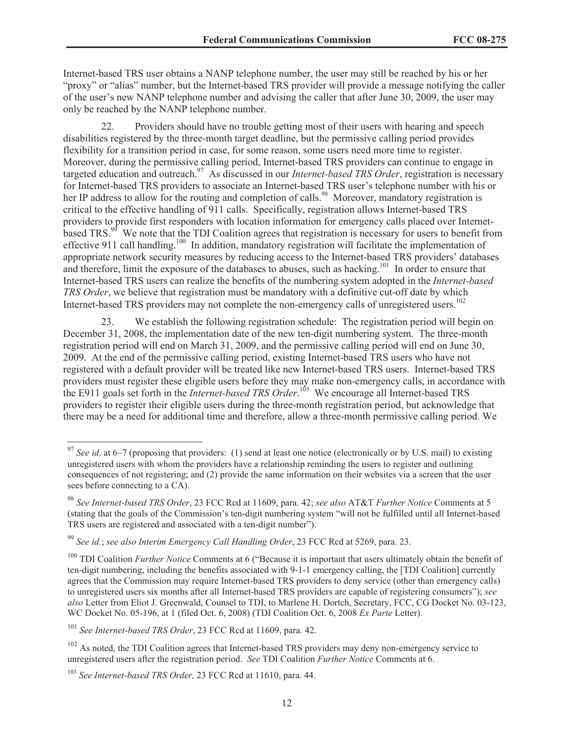Internet-based TRS user obtains a NANP telephone number, the user may still be reached by his or her "proxy" or "alias" number, but the Internet-based TRS provider will provide a message notifying the caller of the user's new NANP telephone number and advising the caller that after June 30, 2009, the user may only be reached by the NANP telephone number.

22. Providers should have no trouble getting most of their users with hearing and speech disabilities registered by the three-month target deadline, but the permissive calling period provides flexibility for a transition period in case, for some reason, some users need more time to register. Moreover, during the permissive calling period, Internet-based TRS providers can continue to engage in targeted education and outreach.<sup>97</sup> As discussed in our *Internet-based TRS Order*, registration is necessary for Internet-based TRS providers to associate an Internet-based TRS user's telephone number with his or her IP address to allow for the routing and completion of calls.<sup>98</sup> Moreover, mandatory registration is critical to the effective handling of 911 calls. Specifically, registration allows Internet-based TRS providers to provide first responders with location information for emergency calls placed over Internetbased TRS.<sup>99</sup> We note that the TDI Coalition agrees that registration is necessary for users to benefit from effective 911 call handling.<sup>100</sup> In addition, mandatory registration will facilitate the implementation of appropriate network security measures by reducing access to the Internet-based TRS providers' databases and therefore, limit the exposure of the databases to abuses, such as hacking.<sup>101</sup> In order to ensure that Internet-based TRS users can realize the benefits of the numbering system adopted in the *Internet-based TRS Order*, we believe that registration must be mandatory with a definitive cut-off date by which Internet-based TRS providers may not complete the non-emergency calls of unregistered users.<sup>102</sup>

23. We establish the following registration schedule: The registration period will begin on December 31, 2008, the implementation date of the new ten-digit numbering system. The three-month registration period will end on March 31, 2009, and the permissive calling period will end on June 30, 2009. At the end of the permissive calling period, existing Internet-based TRS users who have not registered with a default provider will be treated like new Internet-based TRS users. Internet-based TRS providers must register these eligible users before they may make non-emergency calls, in accordance with the E911 goals set forth in the *Internet-based TRS Order*. <sup>103</sup> We encourage all Internet-based TRS providers to register their eligible users during the three-month registration period, but acknowledge that there may be a need for additional time and therefore, allow a three-month permissive calling period. We

<sup>97</sup> *See id*. at 6–7 (proposing that providers: (1) send at least one notice (electronically or by U.S. mail) to existing unregistered users with whom the providers have a relationship reminding the users to register and outlining consequences of not registering; and (2) provide the same information on their websites via a screen that the user sees before connecting to a CA).

<sup>98</sup> *See Internet-based TRS Order*, 23 FCC Rcd at 11609, para. 42; *see also* AT&T *Further Notice* Comments at 5 (stating that the goals of the Commission's ten-digit numbering system "will not be fulfilled until all Internet-based TRS users are registered and associated with a ten-digit number").

<sup>99</sup> *See id.*; *see also Interim Emergency Call Handling Order*, 23 FCC Rcd at 5269, para. 23.

<sup>100</sup> TDI Coalition *Further Notice* Comments at 6 ("Because it is important that users ultimately obtain the benefit of ten-digit numbering, including the benefits associated with 9-1-1 emergency calling, the [TDI Coalition] currently agrees that the Commission may require Internet-based TRS providers to deny service (other than emergency calls) to unregistered users six months after all Internet-based TRS providers are capable of registering consumers"); *see also* Letter from Eliot J. Greenwald, Counsel to TDI, to Marlene H. Dortch, Secretary, FCC, CG Docket No. 03-123, WC Docket No. 05-196, at 1 (filed Oct. 6, 2008) (TDI Coalition Oct. 6, 2008 *Ex Parte* Letter).

<sup>101</sup> *See Internet-based TRS Order*, 23 FCC Rcd at 11609, para. 42.

<sup>&</sup>lt;sup>102</sup> As noted, the TDI Coalition agrees that Internet-based TRS providers may deny non-emergency service to unregistered users after the registration period. *See* TDI Coalition *Further Notice* Comments at 6.

<sup>103</sup> *See Internet-based TRS Order,* 23 FCC Rcd at 11610, para. 44.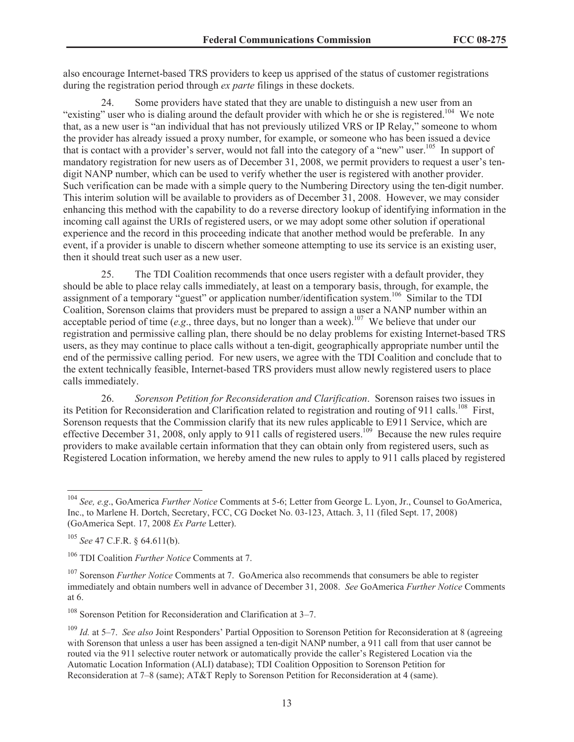also encourage Internet-based TRS providers to keep us apprised of the status of customer registrations during the registration period through *ex parte* filings in these dockets.

24. Some providers have stated that they are unable to distinguish a new user from an "existing" user who is dialing around the default provider with which he or she is registered.<sup>104</sup> We note that, as a new user is "an individual that has not previously utilized VRS or IP Relay," someone to whom the provider has already issued a proxy number, for example, or someone who has been issued a device that is contact with a provider's server, would not fall into the category of a "new" user.<sup>105</sup> In support of mandatory registration for new users as of December 31, 2008, we permit providers to request a user's tendigit NANP number, which can be used to verify whether the user is registered with another provider. Such verification can be made with a simple query to the Numbering Directory using the ten-digit number. This interim solution will be available to providers as of December 31, 2008. However, we may consider enhancing this method with the capability to do a reverse directory lookup of identifying information in the incoming call against the URIs of registered users, or we may adopt some other solution if operational experience and the record in this proceeding indicate that another method would be preferable. In any event, if a provider is unable to discern whether someone attempting to use its service is an existing user, then it should treat such user as a new user.

25. The TDI Coalition recommends that once users register with a default provider, they should be able to place relay calls immediately, at least on a temporary basis, through, for example, the assignment of a temporary "guest" or application number/identification system.<sup>106</sup> Similar to the TDI Coalition, Sorenson claims that providers must be prepared to assign a user a NANP number within an acceptable period of time (*e.g.*, three days, but no longer than a week).<sup>107</sup> We believe that under our registration and permissive calling plan, there should be no delay problems for existing Internet-based TRS users, as they may continue to place calls without a ten-digit, geographically appropriate number until the end of the permissive calling period. For new users, we agree with the TDI Coalition and conclude that to the extent technically feasible, Internet-based TRS providers must allow newly registered users to place calls immediately.

26. *Sorenson Petition for Reconsideration and Clarification*. Sorenson raises two issues in its Petition for Reconsideration and Clarification related to registration and routing of 911 calls.<sup>108</sup> First, Sorenson requests that the Commission clarify that its new rules applicable to E911 Service, which are effective December 31, 2008, only apply to 911 calls of registered users.<sup>109</sup> Because the new rules require providers to make available certain information that they can obtain only from registered users, such as Registered Location information, we hereby amend the new rules to apply to 911 calls placed by registered

<sup>104</sup> *See, e.g*., GoAmerica *Further Notice* Comments at 5-6; Letter from George L. Lyon, Jr., Counsel to GoAmerica, Inc., to Marlene H. Dortch, Secretary, FCC, CG Docket No. 03-123, Attach. 3, 11 (filed Sept. 17, 2008) (GoAmerica Sept. 17, 2008 *Ex Parte* Letter).

<sup>105</sup> *See* 47 C.F.R. § 64.611(b).

<sup>106</sup> TDI Coalition *Further Notice* Comments at 7.

<sup>&</sup>lt;sup>107</sup> Sorenson *Further Notice* Comments at 7. GoAmerica also recommends that consumers be able to register immediately and obtain numbers well in advance of December 31, 2008. *See* GoAmerica *Further Notice* Comments at 6.

<sup>108</sup> Sorenson Petition for Reconsideration and Clarification at 3–7.

<sup>109</sup> *Id.* at 5–7. *See also* Joint Responders' Partial Opposition to Sorenson Petition for Reconsideration at 8 (agreeing with Sorenson that unless a user has been assigned a ten-digit NANP number, a 911 call from that user cannot be routed via the 911 selective router network or automatically provide the caller's Registered Location via the Automatic Location Information (ALI) database); TDI Coalition Opposition to Sorenson Petition for Reconsideration at 7–8 (same); AT&T Reply to Sorenson Petition for Reconsideration at 4 (same).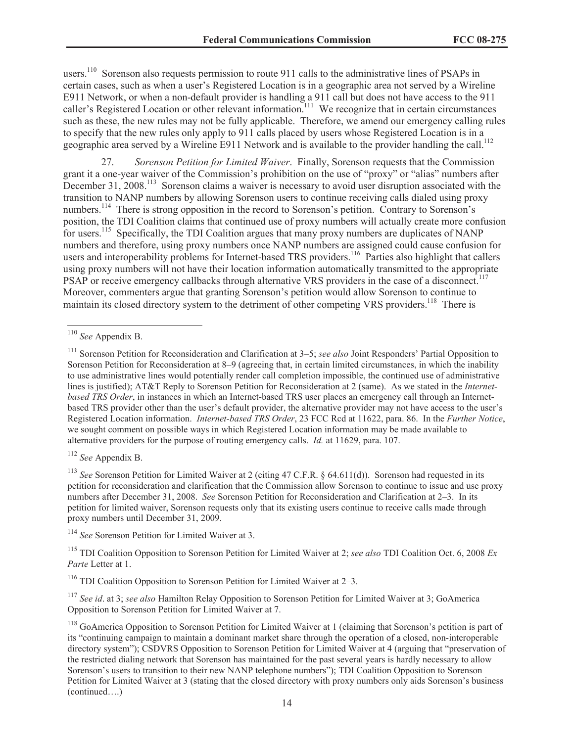users.<sup>110</sup> Sorenson also requests permission to route 911 calls to the administrative lines of PSAPs in certain cases, such as when a user's Registered Location is in a geographic area not served by a Wireline E911 Network, or when a non-default provider is handling a 911 call but does not have access to the 911 caller's Registered Location or other relevant information.<sup>111</sup> We recognize that in certain circumstances such as these, the new rules may not be fully applicable. Therefore, we amend our emergency calling rules to specify that the new rules only apply to 911 calls placed by users whose Registered Location is in a geographic area served by a Wireline E911 Network and is available to the provider handling the call.<sup>112</sup>

27. *Sorenson Petition for Limited Waiver*. Finally, Sorenson requests that the Commission grant it a one-year waiver of the Commission's prohibition on the use of "proxy" or "alias" numbers after December 31, 2008.<sup>113</sup> Sorenson claims a waiver is necessary to avoid user disruption associated with the transition to NANP numbers by allowing Sorenson users to continue receiving calls dialed using proxy numbers.<sup>114</sup> There is strong opposition in the record to Sorenson's petition. Contrary to Sorenson's position, the TDI Coalition claims that continued use of proxy numbers will actually create more confusion for users.<sup>115</sup> Specifically, the TDI Coalition argues that many proxy numbers are duplicates of NANP numbers and therefore, using proxy numbers once NANP numbers are assigned could cause confusion for users and interoperability problems for Internet-based TRS providers.<sup>116</sup> Parties also highlight that callers using proxy numbers will not have their location information automatically transmitted to the appropriate PSAP or receive emergency callbacks through alternative VRS providers in the case of a disconnect.<sup>117</sup> Moreover, commenters argue that granting Sorenson's petition would allow Sorenson to continue to maintain its closed directory system to the detriment of other competing VRS providers.<sup>118</sup> There is

<sup>112</sup> *See* Appendix B.

<sup>113</sup> *See* Sorenson Petition for Limited Waiver at 2 (citing 47 C.F.R. § 64.611(d)). Sorenson had requested in its petition for reconsideration and clarification that the Commission allow Sorenson to continue to issue and use proxy numbers after December 31, 2008. *See* Sorenson Petition for Reconsideration and Clarification at 2–3. In its petition for limited waiver, Sorenson requests only that its existing users continue to receive calls made through proxy numbers until December 31, 2009.

<sup>114</sup> *See* Sorenson Petition for Limited Waiver at 3.

<sup>115</sup> TDI Coalition Opposition to Sorenson Petition for Limited Waiver at 2; *see also* TDI Coalition Oct. 6, 2008 *Ex Parte* Letter at 1.

<sup>116</sup> TDI Coalition Opposition to Sorenson Petition for Limited Waiver at 2–3.

<sup>117</sup> *See id*. at 3; *see also* Hamilton Relay Opposition to Sorenson Petition for Limited Waiver at 3; GoAmerica Opposition to Sorenson Petition for Limited Waiver at 7.

<sup>110</sup> *See* Appendix B.

<sup>111</sup> Sorenson Petition for Reconsideration and Clarification at 3–5; *see also* Joint Responders' Partial Opposition to Sorenson Petition for Reconsideration at 8–9 (agreeing that, in certain limited circumstances, in which the inability to use administrative lines would potentially render call completion impossible, the continued use of administrative lines is justified); AT&T Reply to Sorenson Petition for Reconsideration at 2 (same). As we stated in the *Internetbased TRS Order*, in instances in which an Internet-based TRS user places an emergency call through an Internetbased TRS provider other than the user's default provider, the alternative provider may not have access to the user's Registered Location information. *Internet-based TRS Order*, 23 FCC Rcd at 11622, para. 86. In the *Further Notice*, we sought comment on possible ways in which Registered Location information may be made available to alternative providers for the purpose of routing emergency calls. *Id.* at 11629, para. 107.

<sup>&</sup>lt;sup>118</sup> GoAmerica Opposition to Sorenson Petition for Limited Waiver at 1 (claiming that Sorenson's petition is part of its "continuing campaign to maintain a dominant market share through the operation of a closed, non-interoperable directory system"); CSDVRS Opposition to Sorenson Petition for Limited Waiver at 4 (arguing that "preservation of the restricted dialing network that Sorenson has maintained for the past several years is hardly necessary to allow Sorenson's users to transition to their new NANP telephone numbers"); TDI Coalition Opposition to Sorenson Petition for Limited Waiver at 3 (stating that the closed directory with proxy numbers only aids Sorenson's business (continued….)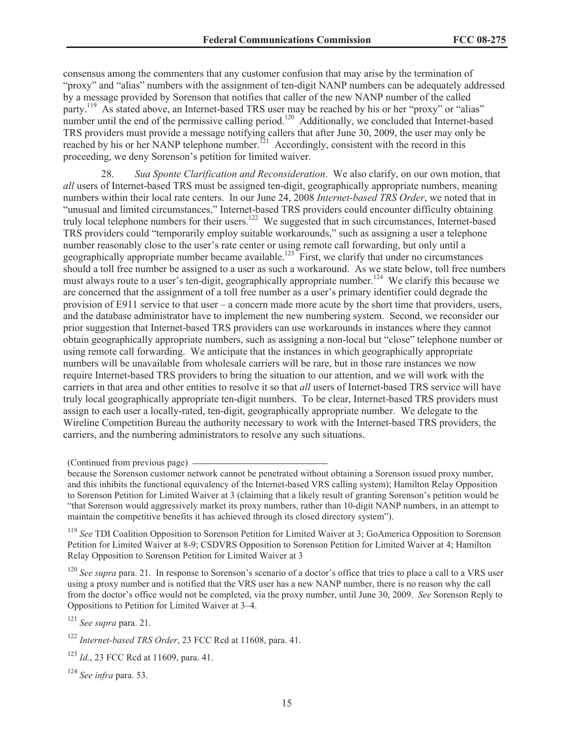consensus among the commenters that any customer confusion that may arise by the termination of "proxy" and "alias" numbers with the assignment of ten-digit NANP numbers can be adequately addressed by a message provided by Sorenson that notifies that caller of the new NANP number of the called party.<sup>119</sup> As stated above, an Internet-based TRS user may be reached by his or her "proxy" or "alias" number until the end of the permissive calling period.<sup>120</sup> Additionally, we concluded that Internet-based TRS providers must provide a message notifying callers that after June 30, 2009, the user may only be reached by his or her NANP telephone number.<sup>121</sup> Accordingly, consistent with the record in this proceeding, we deny Sorenson's petition for limited waiver.

28. *Sua Sponte Clarification and Reconsideration*. We also clarify, on our own motion, that *all* users of Internet-based TRS must be assigned ten-digit, geographically appropriate numbers, meaning numbers within their local rate centers. In our June 24, 2008 *Internet-based TRS Order*, we noted that in "unusual and limited circumstances," Internet-based TRS providers could encounter difficulty obtaining truly local telephone numbers for their users.<sup>122</sup> We suggested that in such circumstances, Internet-based TRS providers could "temporarily employ suitable workarounds," such as assigning a user a telephone number reasonably close to the user's rate center or using remote call forwarding, but only until a geographically appropriate number became available.<sup>123</sup> First, we clarify that under no circumstances should a toll free number be assigned to a user as such a workaround. As we state below, toll free numbers must always route to a user's ten-digit, geographically appropriate number.<sup>124</sup> We clarify this because we are concerned that the assignment of a toll free number as a user's primary identifier could degrade the provision of E911 service to that user – a concern made more acute by the short time that providers, users, and the database administrator have to implement the new numbering system. Second, we reconsider our prior suggestion that Internet-based TRS providers can use workarounds in instances where they cannot obtain geographically appropriate numbers, such as assigning a non-local but "close" telephone number or using remote call forwarding. We anticipate that the instances in which geographically appropriate numbers will be unavailable from wholesale carriers will be rare, but in those rare instances we now require Internet-based TRS providers to bring the situation to our attention, and we will work with the carriers in that area and other entities to resolve it so that *all* users of Internet-based TRS service will have truly local geographically appropriate ten-digit numbers. To be clear, Internet-based TRS providers must assign to each user a locally-rated, ten-digit, geographically appropriate number. We delegate to the Wireline Competition Bureau the authority necessary to work with the Internet-based TRS providers, the carriers, and the numbering administrators to resolve any such situations.

<sup>119</sup> *See* TDI Coalition Opposition to Sorenson Petition for Limited Waiver at 3; GoAmerica Opposition to Sorenson Petition for Limited Waiver at 8-9; CSDVRS Opposition to Sorenson Petition for Limited Waiver at 4; Hamilton Relay Opposition to Sorenson Petition for Limited Waiver at 3

<sup>120</sup> *See supra* para. 21. In response to Sorenson's scenario of a doctor's office that tries to place a call to a VRS user using a proxy number and is notified that the VRS user has a new NANP number, there is no reason why the call from the doctor's office would not be completed, via the proxy number, until June 30, 2009. *See* Sorenson Reply to Oppositions to Petition for Limited Waiver at 3–4.

<sup>121</sup> *See supra* para. 21.

<sup>122</sup> *Internet-based TRS Order*, 23 FCC Rcd at 11608, para. 41.

<sup>124</sup> *See infra* para. 53.

<sup>(</sup>Continued from previous page)

because the Sorenson customer network cannot be penetrated without obtaining a Sorenson issued proxy number, and this inhibits the functional equivalency of the Internet-based VRS calling system); Hamilton Relay Opposition to Sorenson Petition for Limited Waiver at 3 (claiming that a likely result of granting Sorenson's petition would be "that Sorenson would aggressively market its proxy numbers, rather than 10-digit NANP numbers, in an attempt to maintain the competitive benefits it has achieved through its closed directory system").

<sup>123</sup> *Id.*, 23 FCC Rcd at 11609, para. 41.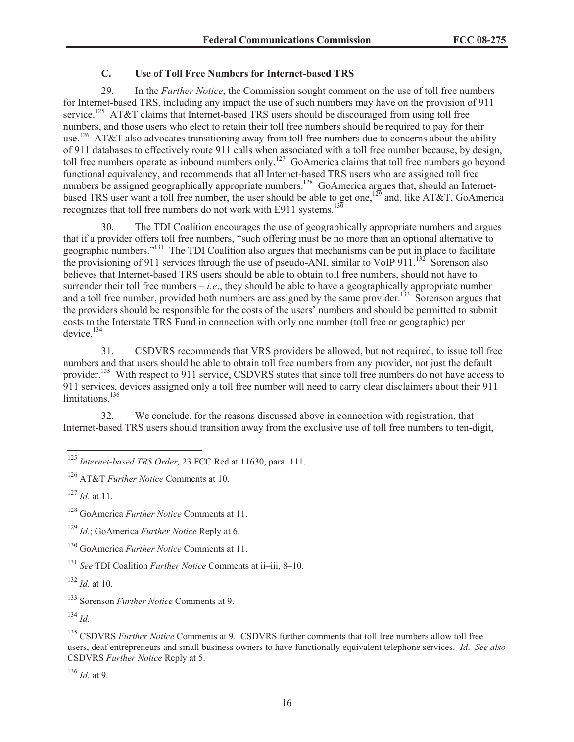# **C. Use of Toll Free Numbers for Internet-based TRS**

29. In the *Further Notice*, the Commission sought comment on the use of toll free numbers for Internet-based TRS, including any impact the use of such numbers may have on the provision of 911 service.<sup>125</sup> AT&T claims that Internet-based TRS users should be discouraged from using toll free numbers, and those users who elect to retain their toll free numbers should be required to pay for their use.<sup>126</sup> AT&T also advocates transitioning away from toll free numbers due to concerns about the ability of 911 databases to effectively route 911 calls when associated with a toll free number because, by design, toll free numbers operate as inbound numbers only.<sup>127</sup> GoAmerica claims that toll free numbers go beyond functional equivalency, and recommends that all Internet-based TRS users who are assigned toll free numbers be assigned geographically appropriate numbers.<sup>128</sup> GoAmerica argues that, should an Internetbased TRS user want a toll free number, the user should be able to get one,<sup>129</sup> and, like AT&T, GoAmerica recognizes that toll free numbers do not work with E911 systems.<sup>130</sup>

30. The TDI Coalition encourages the use of geographically appropriate numbers and argues that if a provider offers toll free numbers, "such offering must be no more than an optional alternative to geographic numbers."<sup>131</sup> The TDI Coalition also argues that mechanisms can be put in place to facilitate the provisioning of 911 services through the use of pseudo-ANI, similar to VoIP  $\frac{911}{1^{32}}$  Sorenson also believes that Internet-based TRS users should be able to obtain toll free numbers, should not have to surrender their toll free numbers  $-i.e.,$  they should be able to have a geographically appropriate number and a toll free number, provided both numbers are assigned by the same provider.<sup>133</sup> Sorenson argues that the providers should be responsible for the costs of the users' numbers and should be permitted to submit costs to the Interstate TRS Fund in connection with only one number (toll free or geographic) per device.<sup>134</sup>

31. CSDVRS recommends that VRS providers be allowed, but not required, to issue toll free numbers and that users should be able to obtain toll free numbers from any provider, not just the default provider.<sup>135</sup> With respect to 911 service, CSDVRS states that since toll free numbers do not have access to 911 services, devices assigned only a toll free number will need to carry clear disclaimers about their 911 limitations. $136$ 

32. We conclude, for the reasons discussed above in connection with registration, that Internet-based TRS users should transition away from the exclusive use of toll free numbers to ten-digit,

<sup>127</sup> *Id*. at 11.

<sup>131</sup> *See* TDI Coalition *Further Notice* Comments at ii–iii, 8–10.

<sup>132</sup> *Id*. at 10.

<sup>133</sup> Sorenson *Further Notice* Comments at 9.

 $^{134}$  *Id.* 

<sup>135</sup> CSDVRS *Further Notice* Comments at 9. CSDVRS further comments that toll free numbers allow toll free users, deaf entrepreneurs and small business owners to have functionally equivalent telephone services. *Id*. *See also* CSDVRS *Further Notice* Reply at 5.

<sup>136</sup> *Id*. at 9.

<sup>125</sup> *Internet-based TRS Order,* 23 FCC Rcd at 11630, para. 111.

<sup>126</sup> AT&T *Further Notice* Comments at 10.

<sup>128</sup> GoAmerica *Further Notice* Comments at 11.

<sup>129</sup> *Id*.; GoAmerica *Further Notice* Reply at 6.

<sup>130</sup> GoAmerica *Further Notice* Comments at 11.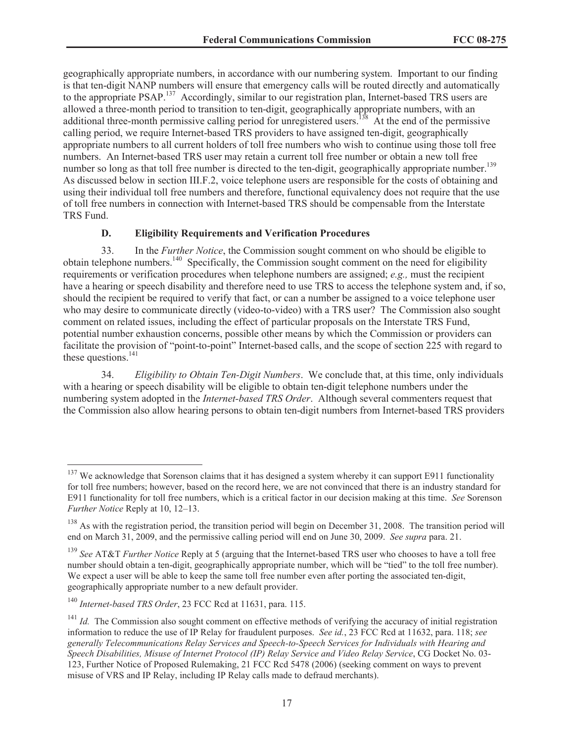geographically appropriate numbers, in accordance with our numbering system. Important to our finding is that ten-digit NANP numbers will ensure that emergency calls will be routed directly and automatically to the appropriate PSAP.<sup>137</sup> Accordingly, similar to our registration plan, Internet-based TRS users are allowed a three-month period to transition to ten-digit, geographically appropriate numbers, with an additional three-month permissive calling period for unregistered users.<sup>138</sup> At the end of the permissive calling period, we require Internet-based TRS providers to have assigned ten-digit, geographically appropriate numbers to all current holders of toll free numbers who wish to continue using those toll free numbers. An Internet-based TRS user may retain a current toll free number or obtain a new toll free number so long as that toll free number is directed to the ten-digit, geographically appropriate number.<sup>139</sup> As discussed below in section III.F.2, voice telephone users are responsible for the costs of obtaining and using their individual toll free numbers and therefore, functional equivalency does not require that the use of toll free numbers in connection with Internet-based TRS should be compensable from the Interstate TRS Fund.

## **D. Eligibility Requirements and Verification Procedures**

33. In the *Further Notice*, the Commission sought comment on who should be eligible to obtain telephone numbers.<sup>140</sup> Specifically, the Commission sought comment on the need for eligibility requirements or verification procedures when telephone numbers are assigned; *e.g.,* must the recipient have a hearing or speech disability and therefore need to use TRS to access the telephone system and, if so, should the recipient be required to verify that fact, or can a number be assigned to a voice telephone user who may desire to communicate directly (video-to-video) with a TRS user? The Commission also sought comment on related issues, including the effect of particular proposals on the Interstate TRS Fund, potential number exhaustion concerns, possible other means by which the Commission or providers can facilitate the provision of "point-to-point" Internet-based calls, and the scope of section 225 with regard to these questions. $^{141}$ 

34. *Eligibility to Obtain Ten-Digit Numbers*. We conclude that, at this time, only individuals with a hearing or speech disability will be eligible to obtain ten-digit telephone numbers under the numbering system adopted in the *Internet-based TRS Order*. Although several commenters request that the Commission also allow hearing persons to obtain ten-digit numbers from Internet-based TRS providers

<sup>&</sup>lt;sup>137</sup> We acknowledge that Sorenson claims that it has designed a system whereby it can support E911 functionality for toll free numbers; however, based on the record here, we are not convinced that there is an industry standard for E911 functionality for toll free numbers, which is a critical factor in our decision making at this time. *See* Sorenson *Further Notice* Reply at 10, 12–13.

<sup>&</sup>lt;sup>138</sup> As with the registration period, the transition period will begin on December 31, 2008. The transition period will end on March 31, 2009, and the permissive calling period will end on June 30, 2009. *See supra* para. 21.

<sup>139</sup> *See* AT&T *Further Notice* Reply at 5 (arguing that the Internet-based TRS user who chooses to have a toll free number should obtain a ten-digit, geographically appropriate number, which will be "tied" to the toll free number). We expect a user will be able to keep the same toll free number even after porting the associated ten-digit, geographically appropriate number to a new default provider.

<sup>140</sup> *Internet-based TRS Order*, 23 FCC Rcd at 11631, para. 115.

<sup>&</sup>lt;sup>141</sup> *Id.* The Commission also sought comment on effective methods of verifying the accuracy of initial registration information to reduce the use of IP Relay for fraudulent purposes. *See id.*, 23 FCC Rcd at 11632, para. 118; *see generally Telecommunications Relay Services and Speech-to-Speech Services for Individuals with Hearing and Speech Disabilities, Misuse of Internet Protocol (IP) Relay Service and Video Relay Service*, CG Docket No. 03- 123, Further Notice of Proposed Rulemaking, 21 FCC Rcd 5478 (2006) (seeking comment on ways to prevent misuse of VRS and IP Relay, including IP Relay calls made to defraud merchants).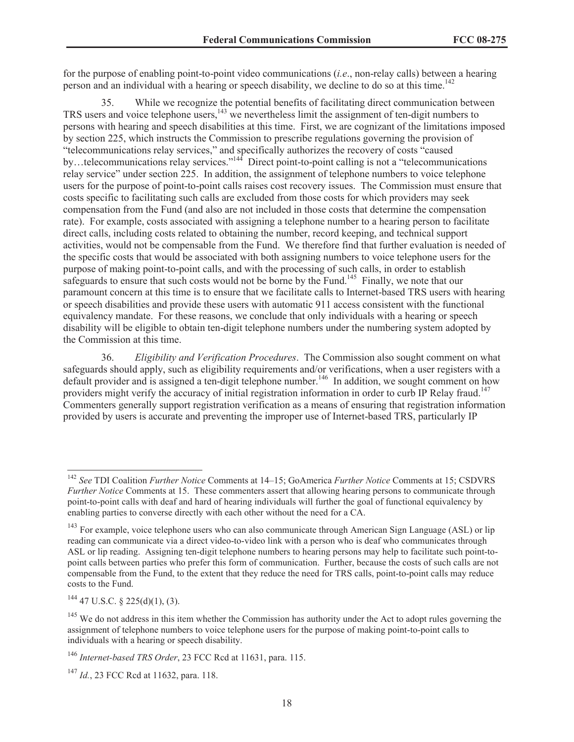for the purpose of enabling point-to-point video communications (*i.e*., non-relay calls) between a hearing person and an individual with a hearing or speech disability, we decline to do so at this time.<sup>142</sup>

35. While we recognize the potential benefits of facilitating direct communication between TRS users and voice telephone users,<sup>143</sup> we nevertheless limit the assignment of ten-digit numbers to persons with hearing and speech disabilities at this time. First, we are cognizant of the limitations imposed by section 225, which instructs the Commission to prescribe regulations governing the provision of "telecommunications relay services," and specifically authorizes the recovery of costs "caused by…telecommunications relay services."<sup>144</sup> Direct point-to-point calling is not a "telecommunications" relay service" under section 225. In addition, the assignment of telephone numbers to voice telephone users for the purpose of point-to-point calls raises cost recovery issues. The Commission must ensure that costs specific to facilitating such calls are excluded from those costs for which providers may seek compensation from the Fund (and also are not included in those costs that determine the compensation rate). For example, costs associated with assigning a telephone number to a hearing person to facilitate direct calls, including costs related to obtaining the number, record keeping, and technical support activities, would not be compensable from the Fund. We therefore find that further evaluation is needed of the specific costs that would be associated with both assigning numbers to voice telephone users for the purpose of making point-to-point calls, and with the processing of such calls, in order to establish safeguards to ensure that such costs would not be borne by the Fund.<sup>145</sup> Finally, we note that our paramount concern at this time is to ensure that we facilitate calls to Internet-based TRS users with hearing or speech disabilities and provide these users with automatic 911 access consistent with the functional equivalency mandate. For these reasons, we conclude that only individuals with a hearing or speech disability will be eligible to obtain ten-digit telephone numbers under the numbering system adopted by the Commission at this time.

36. *Eligibility and Verification Procedures*. The Commission also sought comment on what safeguards should apply, such as eligibility requirements and/or verifications, when a user registers with a default provider and is assigned a ten-digit telephone number.<sup>146</sup> In addition, we sought comment on how providers might verify the accuracy of initial registration information in order to curb IP Relay fraud.<sup>147</sup> Commenters generally support registration verification as a means of ensuring that registration information provided by users is accurate and preventing the improper use of Internet-based TRS, particularly IP

 $^{144}$  47 U.S.C. § 225(d)(1), (3).

<sup>142</sup> *See* TDI Coalition *Further Notice* Comments at 14–15; GoAmerica *Further Notice* Comments at 15; CSDVRS *Further Notice* Comments at 15. These commenters assert that allowing hearing persons to communicate through point-to-point calls with deaf and hard of hearing individuals will further the goal of functional equivalency by enabling parties to converse directly with each other without the need for a CA.

<sup>&</sup>lt;sup>143</sup> For example, voice telephone users who can also communicate through American Sign Language (ASL) or lip reading can communicate via a direct video-to-video link with a person who is deaf who communicates through ASL or lip reading. Assigning ten-digit telephone numbers to hearing persons may help to facilitate such point-topoint calls between parties who prefer this form of communication. Further, because the costs of such calls are not compensable from the Fund, to the extent that they reduce the need for TRS calls, point-to-point calls may reduce costs to the Fund.

 $145$  We do not address in this item whether the Commission has authority under the Act to adopt rules governing the assignment of telephone numbers to voice telephone users for the purpose of making point-to-point calls to individuals with a hearing or speech disability.

<sup>146</sup> *Internet-based TRS Order*, 23 FCC Rcd at 11631, para. 115.

<sup>147</sup> *Id.*, 23 FCC Rcd at 11632, para. 118.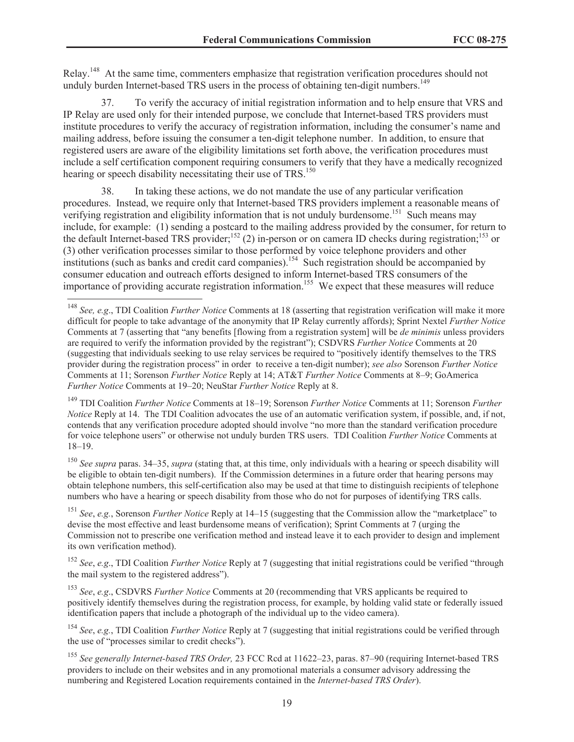Relay.<sup>148</sup> At the same time, commenters emphasize that registration verification procedures should not unduly burden Internet-based TRS users in the process of obtaining ten-digit numbers.<sup>149</sup>

37. To verify the accuracy of initial registration information and to help ensure that VRS and IP Relay are used only for their intended purpose, we conclude that Internet-based TRS providers must institute procedures to verify the accuracy of registration information, including the consumer's name and mailing address, before issuing the consumer a ten-digit telephone number. In addition, to ensure that registered users are aware of the eligibility limitations set forth above, the verification procedures must include a self certification component requiring consumers to verify that they have a medically recognized hearing or speech disability necessitating their use of TRS.<sup>150</sup>

38. In taking these actions, we do not mandate the use of any particular verification procedures. Instead, we require only that Internet-based TRS providers implement a reasonable means of verifying registration and eligibility information that is not unduly burdensome.<sup>151</sup> Such means may include, for example: (1) sending a postcard to the mailing address provided by the consumer, for return to the default Internet-based TRS provider;<sup>152</sup> (2) in-person or on camera ID checks during registration;<sup>153</sup> or (3) other verification processes similar to those performed by voice telephone providers and other institutions (such as banks and credit card companies).<sup>154</sup> Such registration should be accompanied by consumer education and outreach efforts designed to inform Internet-based TRS consumers of the importance of providing accurate registration information.<sup>155</sup> We expect that these measures will reduce

<sup>149</sup> TDI Coalition *Further Notice* Comments at 18–19; Sorenson *Further Notice* Comments at 11; Sorenson *Further Notice* Reply at 14. The TDI Coalition advocates the use of an automatic verification system, if possible, and, if not, contends that any verification procedure adopted should involve "no more than the standard verification procedure for voice telephone users" or otherwise not unduly burden TRS users. TDI Coalition *Further Notice* Comments at 18–19.

<sup>150</sup> *See supra* paras. 34–35, *supra* (stating that, at this time, only individuals with a hearing or speech disability will be eligible to obtain ten-digit numbers). If the Commission determines in a future order that hearing persons may obtain telephone numbers, this self-certification also may be used at that time to distinguish recipients of telephone numbers who have a hearing or speech disability from those who do not for purposes of identifying TRS calls.

<sup>151</sup> *See*, *e.g.*, Sorenson *Further Notice* Reply at 14–15 (suggesting that the Commission allow the "marketplace" to devise the most effective and least burdensome means of verification); Sprint Comments at 7 (urging the Commission not to prescribe one verification method and instead leave it to each provider to design and implement its own verification method).

<sup>152</sup> *See*, *e.g*., TDI Coalition *Further Notice* Reply at 7 (suggesting that initial registrations could be verified "through the mail system to the registered address").

<sup>153</sup> *See*, *e.g*., CSDVRS *Further Notice* Comments at 20 (recommending that VRS applicants be required to positively identify themselves during the registration process, for example, by holding valid state or federally issued identification papers that include a photograph of the individual up to the video camera).

<sup>154</sup> *See*, *e.g.*, TDI Coalition *Further Notice* Reply at 7 (suggesting that initial registrations could be verified through the use of "processes similar to credit checks").

<sup>155</sup> *See generally Internet-based TRS Order,* 23 FCC Rcd at 11622–23, paras. 87–90 (requiring Internet-based TRS providers to include on their websites and in any promotional materials a consumer advisory addressing the numbering and Registered Location requirements contained in the *Internet-based TRS Order*).

<sup>148</sup> *See, e.g*., TDI Coalition *Further Notice* Comments at 18 (asserting that registration verification will make it more difficult for people to take advantage of the anonymity that IP Relay currently affords); Sprint Nextel *Further Notice* Comments at 7 (asserting that "any benefits [flowing from a registration system] will be *de minimis* unless providers are required to verify the information provided by the registrant"); CSDVRS *Further Notice* Comments at 20 (suggesting that individuals seeking to use relay services be required to "positively identify themselves to the TRS provider during the registration process" in order to receive a ten-digit number); *see also* Sorenson *Further Notice* Comments at 11; Sorenson *Further Notice* Reply at 14; AT&T *Further Notice* Comments at 8–9; GoAmerica *Further Notice* Comments at 19–20; NeuStar *Further Notice* Reply at 8.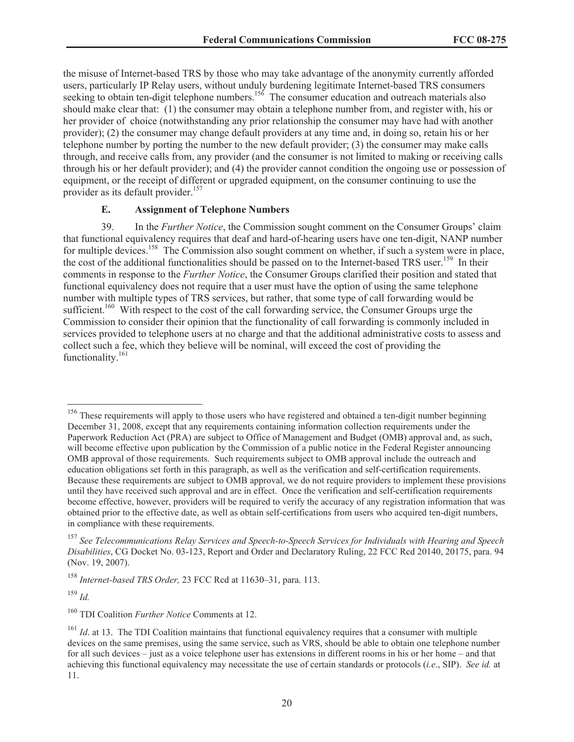the misuse of Internet-based TRS by those who may take advantage of the anonymity currently afforded users, particularly IP Relay users, without unduly burdening legitimate Internet-based TRS consumers seeking to obtain ten-digit telephone numbers.<sup>156</sup> The consumer education and outreach materials also should make clear that: (1) the consumer may obtain a telephone number from, and register with, his or her provider of choice (notwithstanding any prior relationship the consumer may have had with another provider); (2) the consumer may change default providers at any time and, in doing so, retain his or her telephone number by porting the number to the new default provider; (3) the consumer may make calls through, and receive calls from, any provider (and the consumer is not limited to making or receiving calls through his or her default provider); and (4) the provider cannot condition the ongoing use or possession of equipment, or the receipt of different or upgraded equipment, on the consumer continuing to use the provider as its default provider.<sup>157</sup>

#### **E. Assignment of Telephone Numbers**

39. In the *Further Notice*, the Commission sought comment on the Consumer Groups' claim that functional equivalency requires that deaf and hard-of-hearing users have one ten-digit, NANP number for multiple devices.<sup>158</sup> The Commission also sought comment on whether, if such a system were in place, the cost of the additional functionalities should be passed on to the Internet-based TRS user.<sup>159</sup> In their comments in response to the *Further Notice*, the Consumer Groups clarified their position and stated that functional equivalency does not require that a user must have the option of using the same telephone number with multiple types of TRS services, but rather, that some type of call forwarding would be sufficient.<sup>160</sup> With respect to the cost of the call forwarding service, the Consumer Groups urge the Commission to consider their opinion that the functionality of call forwarding is commonly included in services provided to telephone users at no charge and that the additional administrative costs to assess and collect such a fee, which they believe will be nominal, will exceed the cost of providing the functionality.<sup>161</sup>

<sup>159</sup> *Id.*

<sup>&</sup>lt;sup>156</sup> These requirements will apply to those users who have registered and obtained a ten-digit number beginning December 31, 2008, except that any requirements containing information collection requirements under the Paperwork Reduction Act (PRA) are subject to Office of Management and Budget (OMB) approval and, as such, will become effective upon publication by the Commission of a public notice in the Federal Register announcing OMB approval of those requirements. Such requirements subject to OMB approval include the outreach and education obligations set forth in this paragraph, as well as the verification and self-certification requirements. Because these requirements are subject to OMB approval, we do not require providers to implement these provisions until they have received such approval and are in effect. Once the verification and self-certification requirements become effective, however, providers will be required to verify the accuracy of any registration information that was obtained prior to the effective date, as well as obtain self-certifications from users who acquired ten-digit numbers, in compliance with these requirements.

<sup>157</sup> *See Telecommunications Relay Services and Speech-to-Speech Services for Individuals with Hearing and Speech Disabilities*, CG Docket No. 03-123, Report and Order and Declaratory Ruling, 22 FCC Rcd 20140, 20175, para. 94 (Nov. 19, 2007).

<sup>158</sup> *Internet-based TRS Order,* 23 FCC Rcd at 11630–31, para. 113.

<sup>160</sup> TDI Coalition *Further Notice* Comments at 12.

<sup>&</sup>lt;sup>161</sup> *Id.* at 13. The TDI Coalition maintains that functional equivalency requires that a consumer with multiple devices on the same premises, using the same service, such as VRS, should be able to obtain one telephone number for all such devices – just as a voice telephone user has extensions in different rooms in his or her home – and that achieving this functional equivalency may necessitate the use of certain standards or protocols (*i.e*., SIP). *See id.* at 11.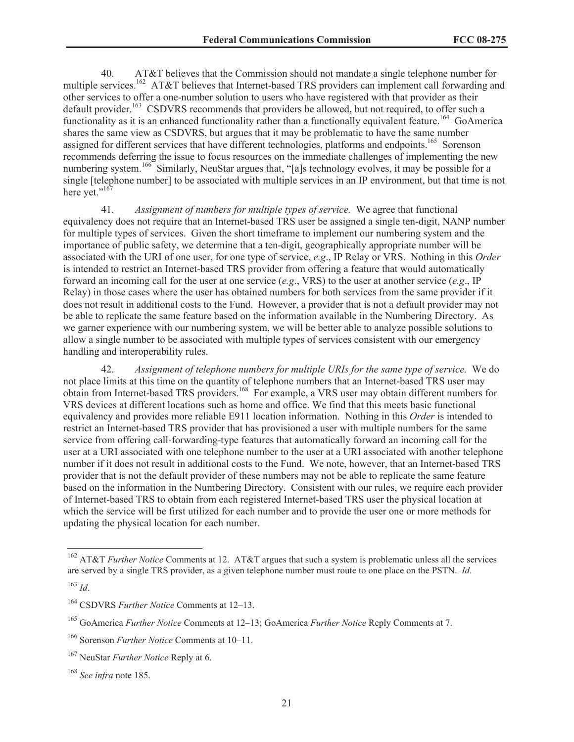40. AT&T believes that the Commission should not mandate a single telephone number for multiple services.<sup>162</sup> AT&T believes that Internet-based TRS providers can implement call forwarding and other services to offer a one-number solution to users who have registered with that provider as their default provider.<sup>163</sup> CSDVRS recommends that providers be allowed, but not required, to offer such a functionality as it is an enhanced functionality rather than a functionally equivalent feature.<sup>164</sup> GoAmerica shares the same view as CSDVRS, but argues that it may be problematic to have the same number assigned for different services that have different technologies, platforms and endpoints.<sup>165</sup> Sorenson recommends deferring the issue to focus resources on the immediate challenges of implementing the new numbering system.<sup>166</sup> Similarly, NeuStar argues that, "[a]s technology evolves, it may be possible for a single [telephone number] to be associated with multiple services in an IP environment, but that time is not here yet."<sup>167</sup>

41. *Assignment of numbers for multiple types of service.* We agree that functional equivalency does not require that an Internet-based TRS user be assigned a single ten-digit, NANP number for multiple types of services. Given the short timeframe to implement our numbering system and the importance of public safety, we determine that a ten-digit, geographically appropriate number will be associated with the URI of one user, for one type of service, *e.g*., IP Relay or VRS. Nothing in this *Order* is intended to restrict an Internet-based TRS provider from offering a feature that would automatically forward an incoming call for the user at one service (*e.g*., VRS) to the user at another service (*e.g*., IP Relay) in those cases where the user has obtained numbers for both services from the same provider if it does not result in additional costs to the Fund. However, a provider that is not a default provider may not be able to replicate the same feature based on the information available in the Numbering Directory. As we garner experience with our numbering system, we will be better able to analyze possible solutions to allow a single number to be associated with multiple types of services consistent with our emergency handling and interoperability rules.

42. *Assignment of telephone numbers for multiple URIs for the same type of service.* We do not place limits at this time on the quantity of telephone numbers that an Internet-based TRS user may obtain from Internet-based TRS providers.<sup>168</sup> For example, a VRS user may obtain different numbers for VRS devices at different locations such as home and office. We find that this meets basic functional equivalency and provides more reliable E911 location information. Nothing in this *Order* is intended to restrict an Internet-based TRS provider that has provisioned a user with multiple numbers for the same service from offering call-forwarding-type features that automatically forward an incoming call for the user at a URI associated with one telephone number to the user at a URI associated with another telephone number if it does not result in additional costs to the Fund. We note, however, that an Internet-based TRS provider that is not the default provider of these numbers may not be able to replicate the same feature based on the information in the Numbering Directory. Consistent with our rules, we require each provider of Internet-based TRS to obtain from each registered Internet-based TRS user the physical location at which the service will be first utilized for each number and to provide the user one or more methods for updating the physical location for each number.

<sup>&</sup>lt;sup>162</sup> AT&T *Further Notice* Comments at 12. AT&T argues that such a system is problematic unless all the services are served by a single TRS provider, as a given telephone number must route to one place on the PSTN. *Id*.

<sup>163</sup> *Id*.

<sup>164</sup> CSDVRS *Further Notice* Comments at 12–13.

<sup>165</sup> GoAmerica *Further Notice* Comments at 12–13; GoAmerica *Further Notice* Reply Comments at 7.

<sup>166</sup> Sorenson *Further Notice* Comments at 10–11.

<sup>167</sup> NeuStar *Further Notice* Reply at 6.

<sup>168</sup> *See infra* note 185.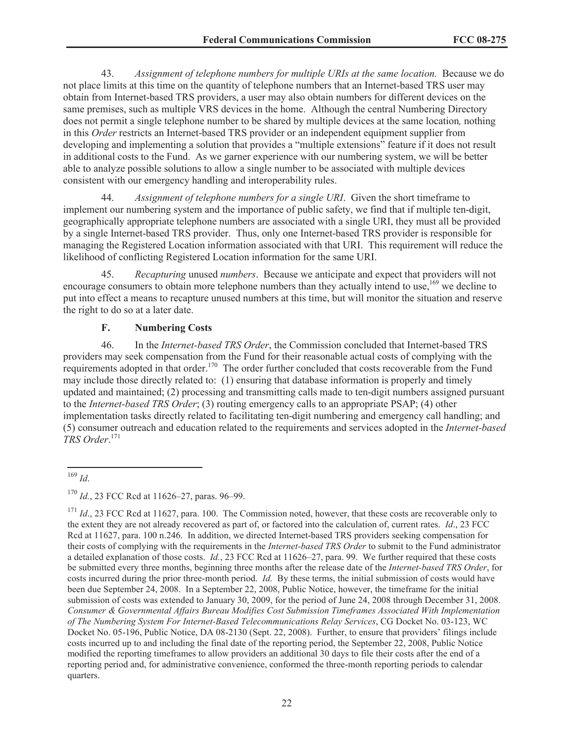43. *Assignment of telephone numbers for multiple URIs at the same location.* Because we do not place limits at this time on the quantity of telephone numbers that an Internet-based TRS user may obtain from Internet-based TRS providers, a user may also obtain numbers for different devices on the same premises, such as multiple VRS devices in the home. Although the central Numbering Directory does not permit a single telephone number to be shared by multiple devices at the same location*,* nothing in this *Order* restricts an Internet-based TRS provider or an independent equipment supplier from developing and implementing a solution that provides a "multiple extensions" feature if it does not result in additional costs to the Fund. As we garner experience with our numbering system, we will be better able to analyze possible solutions to allow a single number to be associated with multiple devices consistent with our emergency handling and interoperability rules.

44. *Assignment of telephone numbers for a single URI*. Given the short timeframe to implement our numbering system and the importance of public safety, we find that if multiple ten-digit, geographically appropriate telephone numbers are associated with a single URI, they must all be provided by a single Internet-based TRS provider. Thus, only one Internet-based TRS provider is responsible for managing the Registered Location information associated with that URI. This requirement will reduce the likelihood of conflicting Registered Location information for the same URI.

45. *Recapturing* unused *numbers*. Because we anticipate and expect that providers will not encourage consumers to obtain more telephone numbers than they actually intend to use,<sup>169</sup> we decline to put into effect a means to recapture unused numbers at this time, but will monitor the situation and reserve the right to do so at a later date.

#### **F. Numbering Costs**

46. In the *Internet-based TRS Order*, the Commission concluded that Internet-based TRS providers may seek compensation from the Fund for their reasonable actual costs of complying with the requirements adopted in that order.<sup>170</sup> The order further concluded that costs recoverable from the Fund may include those directly related to: (1) ensuring that database information is properly and timely updated and maintained; (2) processing and transmitting calls made to ten-digit numbers assigned pursuant to the *Internet-based TRS Order*; (3) routing emergency calls to an appropriate PSAP; (4) other implementation tasks directly related to facilitating ten-digit numbering and emergency call handling; and (5) consumer outreach and education related to the requirements and services adopted in the *Internet-based TRS Order*. 171

<sup>169</sup> *Id*.

<sup>170</sup> *Id.*, 23 FCC Rcd at 11626–27, paras. 96–99.

<sup>&</sup>lt;sup>171</sup> *Id.*, 23 FCC Rcd at 11627, para. 100. The Commission noted, however, that these costs are recoverable only to the extent they are not already recovered as part of, or factored into the calculation of, current rates. *Id*., 23 FCC Rcd at 11627, para. 100 n.246. In addition, we directed Internet-based TRS providers seeking compensation for their costs of complying with the requirements in the *Internet-based TRS Order* to submit to the Fund administrator a detailed explanation of those costs. *Id.*, 23 FCC Rcd at 11626–27, para. 99. We further required that these costs be submitted every three months, beginning three months after the release date of the *Internet-based TRS Order*, for costs incurred during the prior three-month period. *Id.* By these terms, the initial submission of costs would have been due September 24, 2008. In a September 22, 2008, Public Notice, however, the timeframe for the initial submission of costs was extended to January 30, 2009, for the period of June 24, 2008 through December 31, 2008. *Consumer & Governmental Affairs Bureau Modifies Cost Submission Timeframes Associated With Implementation of The Numbering System For Internet-Based Telecommunications Relay Services*, CG Docket No. 03-123, WC Docket No. 05-196, Public Notice, DA 08-2130 (Sept. 22, 2008). Further, to ensure that providers' filings include costs incurred up to and including the final date of the reporting period, the September 22, 2008, Public Notice modified the reporting timeframes to allow providers an additional 30 days to file their costs after the end of a reporting period and, for administrative convenience, conformed the three-month reporting periods to calendar quarters.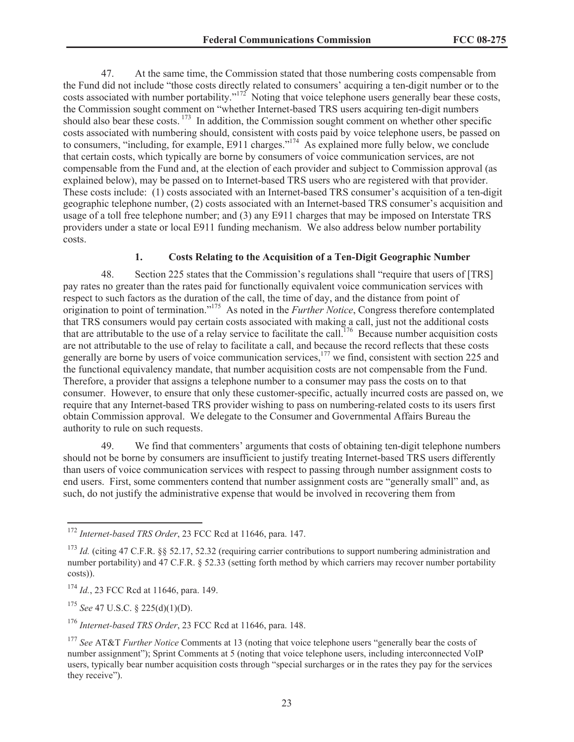47. At the same time, the Commission stated that those numbering costs compensable from the Fund did not include "those costs directly related to consumers' acquiring a ten-digit number or to the costs associated with number portability."<sup>172</sup> Noting that voice telephone users generally bear these costs, the Commission sought comment on "whether Internet-based TRS users acquiring ten-digit numbers should also bear these costs.  $173$  In addition, the Commission sought comment on whether other specific costs associated with numbering should, consistent with costs paid by voice telephone users, be passed on to consumers, "including, for example, E911 charges."<sup>174</sup> As explained more fully below, we conclude that certain costs, which typically are borne by consumers of voice communication services, are not compensable from the Fund and, at the election of each provider and subject to Commission approval (as explained below), may be passed on to Internet-based TRS users who are registered with that provider. These costs include: (1) costs associated with an Internet-based TRS consumer's acquisition of a ten-digit geographic telephone number, (2) costs associated with an Internet-based TRS consumer's acquisition and usage of a toll free telephone number; and (3) any E911 charges that may be imposed on Interstate TRS providers under a state or local E911 funding mechanism. We also address below number portability costs.

# **1. Costs Relating to the Acquisition of a Ten-Digit Geographic Number**

48. Section 225 states that the Commission's regulations shall "require that users of [TRS] pay rates no greater than the rates paid for functionally equivalent voice communication services with respect to such factors as the duration of the call, the time of day, and the distance from point of origination to point of termination."<sup>175</sup> As noted in the *Further Notice*, Congress therefore contemplated that TRS consumers would pay certain costs associated with making a call, just not the additional costs that are attributable to the use of a relay service to facilitate the call.<sup>176</sup> Because number acquisition costs are not attributable to the use of relay to facilitate a call, and because the record reflects that these costs generally are borne by users of voice communication services,<sup>177</sup> we find, consistent with section 225 and the functional equivalency mandate, that number acquisition costs are not compensable from the Fund. Therefore, a provider that assigns a telephone number to a consumer may pass the costs on to that consumer. However, to ensure that only these customer-specific, actually incurred costs are passed on, we require that any Internet-based TRS provider wishing to pass on numbering-related costs to its users first obtain Commission approval. We delegate to the Consumer and Governmental Affairs Bureau the authority to rule on such requests.

49. We find that commenters' arguments that costs of obtaining ten-digit telephone numbers should not be borne by consumers are insufficient to justify treating Internet-based TRS users differently than users of voice communication services with respect to passing through number assignment costs to end users. First, some commenters contend that number assignment costs are "generally small" and, as such, do not justify the administrative expense that would be involved in recovering them from

<sup>175</sup> *See* 47 U.S.C. § 225(d)(1)(D).

<sup>176</sup> *Internet-based TRS Order*, 23 FCC Rcd at 11646, para. 148.

<sup>172</sup> *Internet-based TRS Order*, 23 FCC Rcd at 11646, para. 147.

<sup>&</sup>lt;sup>173</sup> *Id.* (citing 47 C.F.R. §§ 52.17, 52.32 (requiring carrier contributions to support numbering administration and number portability) and 47 C.F.R. § 52.33 (setting forth method by which carriers may recover number portability costs)).

<sup>&</sup>lt;sup>174</sup> *Id.*, 23 FCC Rcd at 11646, para. 149.

<sup>177</sup> *See* AT&T *Further Notice* Comments at 13 (noting that voice telephone users "generally bear the costs of number assignment"); Sprint Comments at 5 (noting that voice telephone users, including interconnected VoIP users, typically bear number acquisition costs through "special surcharges or in the rates they pay for the services they receive").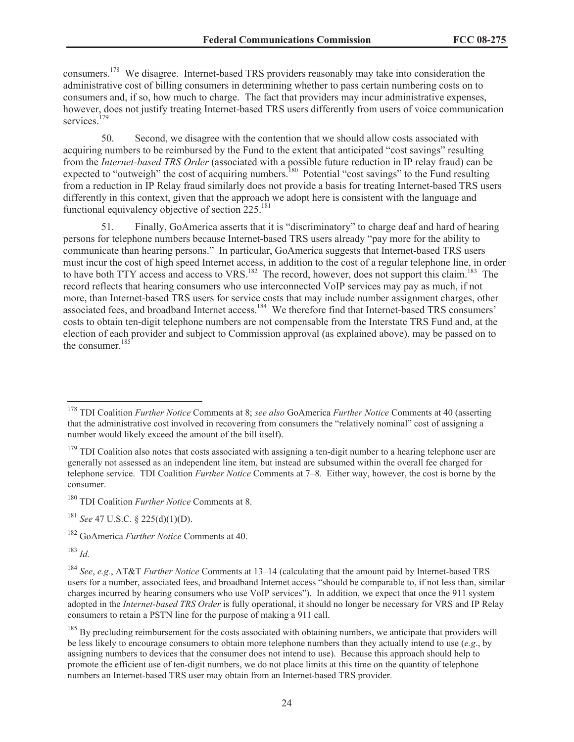consumers.<sup>178</sup> We disagree. Internet-based TRS providers reasonably may take into consideration the administrative cost of billing consumers in determining whether to pass certain numbering costs on to consumers and, if so, how much to charge. The fact that providers may incur administrative expenses, however, does not justify treating Internet-based TRS users differently from users of voice communication services<sup>179</sup>

50. Second, we disagree with the contention that we should allow costs associated with acquiring numbers to be reimbursed by the Fund to the extent that anticipated "cost savings" resulting from the *Internet-based TRS Order* (associated with a possible future reduction in IP relay fraud) can be expected to "outweigh" the cost of acquiring numbers.<sup>180</sup> Potential "cost savings" to the Fund resulting from a reduction in IP Relay fraud similarly does not provide a basis for treating Internet-based TRS users differently in this context, given that the approach we adopt here is consistent with the language and functional equivalency objective of section  $225$ <sup>181</sup>

51. Finally, GoAmerica asserts that it is "discriminatory" to charge deaf and hard of hearing persons for telephone numbers because Internet-based TRS users already "pay more for the ability to communicate than hearing persons." In particular, GoAmerica suggests that Internet-based TRS users must incur the cost of high speed Internet access, in addition to the cost of a regular telephone line, in order to have both TTY access and access to VRS.<sup>182</sup> The record, however, does not support this claim.<sup>183</sup> The record reflects that hearing consumers who use interconnected VoIP services may pay as much, if not more, than Internet-based TRS users for service costs that may include number assignment charges, other associated fees, and broadband Internet access.<sup>184</sup> We therefore find that Internet-based TRS consumers' costs to obtain ten-digit telephone numbers are not compensable from the Interstate TRS Fund and, at the election of each provider and subject to Commission approval (as explained above), may be passed on to the consumer. $185$ 

<sup>183</sup> *Id.*

<sup>178</sup> TDI Coalition *Further Notice* Comments at 8; *see also* GoAmerica *Further Notice* Comments at 40 (asserting that the administrative cost involved in recovering from consumers the "relatively nominal" cost of assigning a number would likely exceed the amount of the bill itself).

<sup>&</sup>lt;sup>179</sup> TDI Coalition also notes that costs associated with assigning a ten-digit number to a hearing telephone user are generally not assessed as an independent line item, but instead are subsumed within the overall fee charged for telephone service. TDI Coalition *Further Notice* Comments at 7–8. Either way, however, the cost is borne by the consumer.

<sup>180</sup> TDI Coalition *Further Notice* Comments at 8.

<sup>181</sup> *See* 47 U.S.C. § 225(d)(1)(D).

<sup>182</sup> GoAmerica *Further Notice* Comments at 40.

<sup>184</sup> *See*, *e.g.*, AT&T *Further Notice* Comments at 13–14 (calculating that the amount paid by Internet-based TRS users for a number, associated fees, and broadband Internet access "should be comparable to, if not less than, similar charges incurred by hearing consumers who use VoIP services"). In addition, we expect that once the 911 system adopted in the *Internet-based TRS Order* is fully operational, it should no longer be necessary for VRS and IP Relay consumers to retain a PSTN line for the purpose of making a 911 call.

 $185$  By precluding reimbursement for the costs associated with obtaining numbers, we anticipate that providers will be less likely to encourage consumers to obtain more telephone numbers than they actually intend to use (*e.g*., by assigning numbers to devices that the consumer does not intend to use). Because this approach should help to promote the efficient use of ten-digit numbers, we do not place limits at this time on the quantity of telephone numbers an Internet-based TRS user may obtain from an Internet-based TRS provider.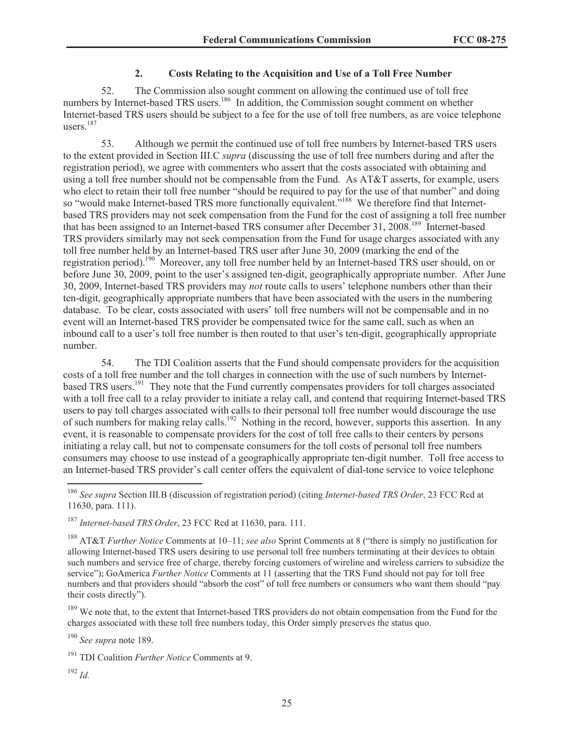# **2. Costs Relating to the Acquisition and Use of a Toll Free Number**

52. The Commission also sought comment on allowing the continued use of toll free numbers by Internet-based TRS users.<sup>186</sup> In addition, the Commission sought comment on whether Internet-based TRS users should be subject to a fee for the use of toll free numbers, as are voice telephone users $187$ 

53. Although we permit the continued use of toll free numbers by Internet-based TRS users to the extent provided in Section III.C *supra* (discussing the use of toll free numbers during and after the registration period), we agree with commenters who assert that the costs associated with obtaining and using a toll free number should not be compensable from the Fund. As AT&T asserts, for example, users who elect to retain their toll free number "should be required to pay for the use of that number" and doing so "would make Internet-based TRS more functionally equivalent."<sup>188</sup> We therefore find that Internetbased TRS providers may not seek compensation from the Fund for the cost of assigning a toll free number that has been assigned to an Internet-based TRS consumer after December 31, 2008.<sup>189</sup> Internet-based TRS providers similarly may not seek compensation from the Fund for usage charges associated with any toll free number held by an Internet-based TRS user after June 30, 2009 (marking the end of the registration period).<sup>190</sup> Moreover, any toll free number held by an Internet-based TRS user should, on or before June 30, 2009, point to the user's assigned ten-digit, geographically appropriate number. After June 30, 2009, Internet-based TRS providers may *not* route calls to users' telephone numbers other than their ten-digit, geographically appropriate numbers that have been associated with the users in the numbering database. To be clear, costs associated with users' toll free numbers will not be compensable and in no event will an Internet-based TRS provider be compensated twice for the same call, such as when an inbound call to a user's toll free number is then routed to that user's ten-digit, geographically appropriate number.

54. The TDI Coalition asserts that the Fund should compensate providers for the acquisition costs of a toll free number and the toll charges in connection with the use of such numbers by Internetbased TRS users.<sup>191</sup> They note that the Fund currently compensates providers for toll charges associated with a toll free call to a relay provider to initiate a relay call, and contend that requiring Internet-based TRS users to pay toll charges associated with calls to their personal toll free number would discourage the use of such numbers for making relay calls.<sup>192</sup> Nothing in the record, however, supports this assertion. In any event, it is reasonable to compensate providers for the cost of toll free calls to their centers by persons initiating a relay call, but not to compensate consumers for the toll costs of personal toll free numbers consumers may choose to use instead of a geographically appropriate ten-digit number. Toll free access to an Internet-based TRS provider's call center offers the equivalent of dial-tone service to voice telephone

<sup>189</sup> We note that, to the extent that Internet-based TRS providers do not obtain compensation from the Fund for the charges associated with these toll free numbers today, this Order simply preserves the status quo.

<sup>190</sup> *See supra* note 189.

<sup>192</sup> *Id.*

<sup>186</sup> *See supra* Section III.B (discussion of registration period) (citing *Internet-based TRS Order*, 23 FCC Rcd at 11630, para. 111).

<sup>187</sup> *Internet-based TRS Order*, 23 FCC Rcd at 11630, para. 111.

<sup>188</sup> AT&T *Further Notice* Comments at 10–11; *see also* Sprint Comments at 8 ("there is simply no justification for allowing Internet-based TRS users desiring to use personal toll free numbers terminating at their devices to obtain such numbers and service free of charge, thereby forcing customers of wireline and wireless carriers to subsidize the service"); GoAmerica *Further Notice* Comments at 11 (asserting that the TRS Fund should not pay for toll free numbers and that providers should "absorb the cost" of toll free numbers or consumers who want them should "pay their costs directly").

<sup>191</sup> TDI Coalition *Further Notice* Comments at 9.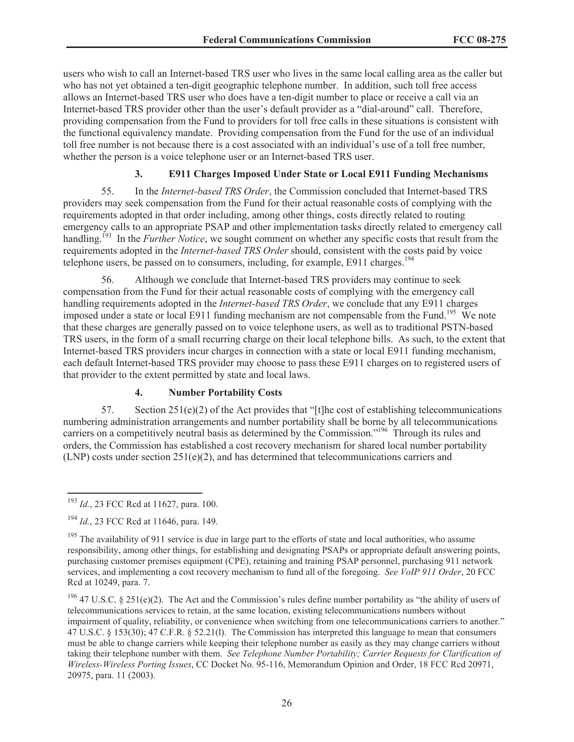users who wish to call an Internet-based TRS user who lives in the same local calling area as the caller but who has not yet obtained a ten-digit geographic telephone number. In addition, such toll free access allows an Internet-based TRS user who does have a ten-digit number to place or receive a call via an Internet-based TRS provider other than the user's default provider as a "dial-around" call. Therefore, providing compensation from the Fund to providers for toll free calls in these situations is consistent with the functional equivalency mandate. Providing compensation from the Fund for the use of an individual toll free number is not because there is a cost associated with an individual's use of a toll free number, whether the person is a voice telephone user or an Internet-based TRS user.

# **3. E911 Charges Imposed Under State or Local E911 Funding Mechanisms**

55. In the *Internet-based TRS Order*, the Commission concluded that Internet-based TRS providers may seek compensation from the Fund for their actual reasonable costs of complying with the requirements adopted in that order including, among other things, costs directly related to routing emergency calls to an appropriate PSAP and other implementation tasks directly related to emergency call handling.<sup>193</sup> In the *Further Notice*, we sought comment on whether any specific costs that result from the requirements adopted in the *Internet-based TRS Order* should, consistent with the costs paid by voice telephone users, be passed on to consumers, including, for example,  $E911$  charges.<sup>194</sup>

56. Although we conclude that Internet-based TRS providers may continue to seek compensation from the Fund for their actual reasonable costs of complying with the emergency call handling requirements adopted in the *Internet-based TRS Order*, we conclude that any E911 charges imposed under a state or local E911 funding mechanism are not compensable from the Fund.<sup>195</sup> We note that these charges are generally passed on to voice telephone users, as well as to traditional PSTN-based TRS users, in the form of a small recurring charge on their local telephone bills. As such, to the extent that Internet-based TRS providers incur charges in connection with a state or local E911 funding mechanism, each default Internet-based TRS provider may choose to pass these E911 charges on to registered users of that provider to the extent permitted by state and local laws.

# **4. Number Portability Costs**

57. Section 251(e)(2) of the Act provides that "[t]he cost of establishing telecommunications numbering administration arrangements and number portability shall be borne by all telecommunications carriers on a competitively neutral basis as determined by the Commission."<sup>196</sup> Through its rules and orders, the Commission has established a cost recovery mechanism for shared local number portability  $(LNP)$  costs under section  $251(e)(2)$ , and has determined that telecommunications carriers and

<sup>193</sup> *Id.*, 23 FCC Rcd at 11627, para. 100.

<sup>194</sup> *Id.*, 23 FCC Rcd at 11646, para. 149.

<sup>&</sup>lt;sup>195</sup> The availability of 911 service is due in large part to the efforts of state and local authorities, who assume responsibility, among other things, for establishing and designating PSAPs or appropriate default answering points, purchasing customer premises equipment (CPE), retaining and training PSAP personnel, purchasing 911 network services, and implementing a cost recovery mechanism to fund all of the foregoing. *See VoIP 911 Order*, 20 FCC Rcd at 10249, para. 7.

<sup>&</sup>lt;sup>196</sup> 47 U.S.C. § 251(e)(2). The Act and the Commission's rules define number portability as "the ability of users of telecommunications services to retain, at the same location, existing telecommunications numbers without impairment of quality, reliability, or convenience when switching from one telecommunications carriers to another." 47 U.S.C. § 153(30); 47 C.F.R. § 52.21(l). The Commission has interpreted this language to mean that consumers must be able to change carriers while keeping their telephone number as easily as they may change carriers without taking their telephone number with them. *See Telephone Number Portability; Carrier Requests for Clarification of Wireless-Wireless Porting Issues*, CC Docket No. 95-116, Memorandum Opinion and Order, 18 FCC Rcd 20971, 20975, para. 11 (2003).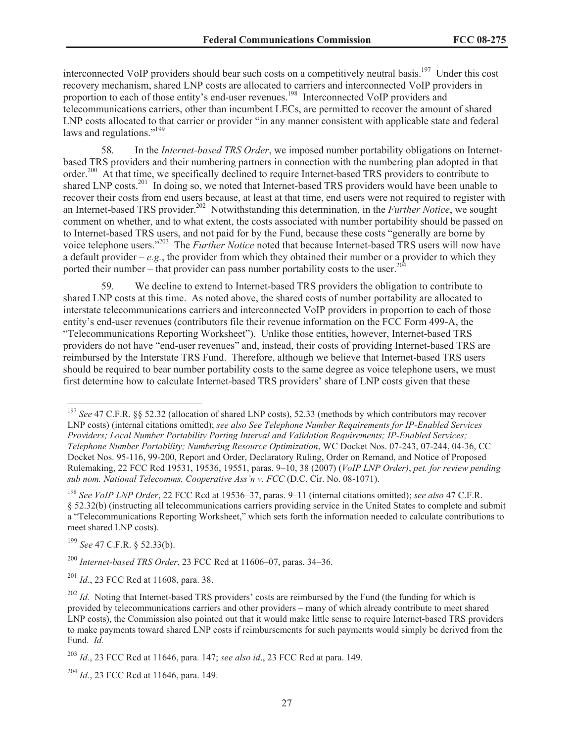interconnected VoIP providers should bear such costs on a competitively neutral basis.<sup>197</sup> Under this cost recovery mechanism, shared LNP costs are allocated to carriers and interconnected VoIP providers in proportion to each of those entity's end-user revenues.<sup>198</sup> Interconnected VoIP providers and telecommunications carriers, other than incumbent LECs, are permitted to recover the amount of shared LNP costs allocated to that carrier or provider "in any manner consistent with applicable state and federal laws and regulations."<sup>199</sup>

58. In the *Internet-based TRS Order*, we imposed number portability obligations on Internetbased TRS providers and their numbering partners in connection with the numbering plan adopted in that order.<sup>200</sup> At that time, we specifically declined to require Internet-based TRS providers to contribute to shared LNP costs.<sup>201</sup> In doing so, we noted that Internet-based TRS providers would have been unable to recover their costs from end users because, at least at that time, end users were not required to register with an Internet-based TRS provider. <sup>202</sup> Notwithstanding this determination, in the *Further Notice*, we sought comment on whether, and to what extent, the costs associated with number portability should be passed on to Internet-based TRS users, and not paid for by the Fund, because these costs "generally are borne by voice telephone users."<sup>203</sup> The *Further Notice* noted that because Internet-based TRS users will now have a default provider –  $e.g.,$  the provider from which they obtained their number or a provider to which they ported their number – that provider can pass number portability costs to the user.<sup>204</sup>

59. We decline to extend to Internet-based TRS providers the obligation to contribute to shared LNP costs at this time. As noted above, the shared costs of number portability are allocated to interstate telecommunications carriers and interconnected VoIP providers in proportion to each of those entity's end-user revenues (contributors file their revenue information on the FCC Form 499-A, the "Telecommunications Reporting Worksheet"). Unlike those entities, however, Internet-based TRS providers do not have "end-user revenues" and, instead, their costs of providing Internet-based TRS are reimbursed by the Interstate TRS Fund. Therefore, although we believe that Internet-based TRS users should be required to bear number portability costs to the same degree as voice telephone users, we must first determine how to calculate Internet-based TRS providers' share of LNP costs given that these

<sup>199</sup> *See* 47 C.F.R. § 52.33(b).

<sup>200</sup> *Internet-based TRS Order*, 23 FCC Rcd at 11606–07, paras. 34–36.

<sup>201</sup> *Id.*, 23 FCC Rcd at 11608, para. 38.

<sup>204</sup> *Id.*, 23 FCC Rcd at 11646, para. 149.

<sup>&</sup>lt;sup>197</sup> See 47 C.F.R. §§ 52.32 (allocation of shared LNP costs), 52.33 (methods by which contributors may recover LNP costs) (internal citations omitted); *see also See Telephone Number Requirements for IP-Enabled Services Providers; Local Number Portability Porting Interval and Validation Requirements; IP-Enabled Services; Telephone Number Portability; Numbering Resource Optimization*, WC Docket Nos. 07-243, 07-244, 04-36, CC Docket Nos. 95-116, 99-200, Report and Order, Declaratory Ruling, Order on Remand, and Notice of Proposed Rulemaking, 22 FCC Rcd 19531, 19536, 19551, paras. 9–10, 38 (2007) (*VoIP LNP Order)*, *pet. for review pending sub nom. National Telecomms. Cooperative Ass'n v. FCC* (D.C. Cir. No. 08-1071).

<sup>198</sup> *See VoIP LNP Order*, 22 FCC Rcd at 19536–37, paras. 9–11 (internal citations omitted); *see also* 47 C.F.R. § 52.32(b) (instructing all telecommunications carriers providing service in the United States to complete and submit a "Telecommunications Reporting Worksheet," which sets forth the information needed to calculate contributions to meet shared LNP costs).

<sup>&</sup>lt;sup>202</sup> *Id.* Noting that Internet-based TRS providers' costs are reimbursed by the Fund (the funding for which is provided by telecommunications carriers and other providers – many of which already contribute to meet shared LNP costs), the Commission also pointed out that it would make little sense to require Internet-based TRS providers to make payments toward shared LNP costs if reimbursements for such payments would simply be derived from the Fund. *Id.*

<sup>203</sup> *Id.*, 23 FCC Rcd at 11646, para. 147; *see also id*., 23 FCC Rcd at para. 149.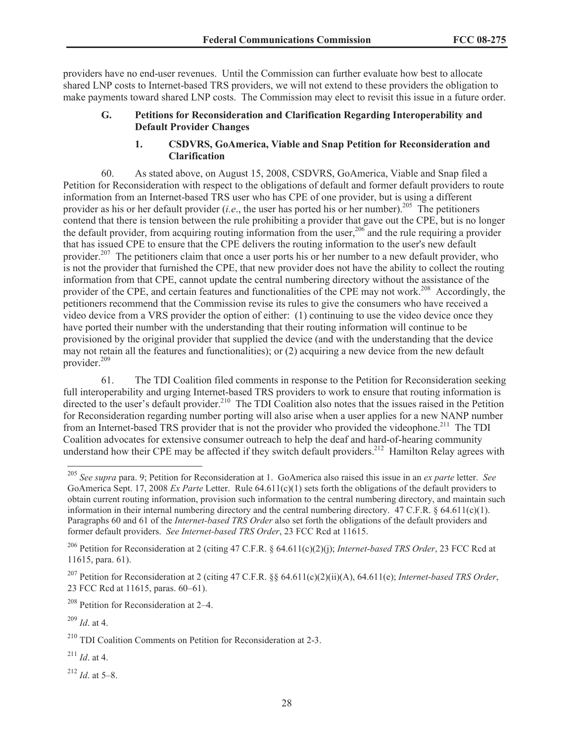providers have no end-user revenues. Until the Commission can further evaluate how best to allocate shared LNP costs to Internet-based TRS providers, we will not extend to these providers the obligation to make payments toward shared LNP costs. The Commission may elect to revisit this issue in a future order.

# **G. Petitions for Reconsideration and Clarification Regarding Interoperability and Default Provider Changes**

# **1. CSDVRS, GoAmerica, Viable and Snap Petition for Reconsideration and Clarification**

60. As stated above, on August 15, 2008, CSDVRS, GoAmerica, Viable and Snap filed a Petition for Reconsideration with respect to the obligations of default and former default providers to route information from an Internet-based TRS user who has CPE of one provider, but is using a different provider as his or her default provider (*i.e.*, the user has ported his or her number).<sup>205</sup> The petitioners contend that there is tension between the rule prohibiting a provider that gave out the CPE, but is no longer the default provider, from acquiring routing information from the user,  $206$  and the rule requiring a provider that has issued CPE to ensure that the CPE delivers the routing information to the user's new default provider.<sup>207</sup> The petitioners claim that once a user ports his or her number to a new default provider, who is not the provider that furnished the CPE, that new provider does not have the ability to collect the routing information from that CPE, cannot update the central numbering directory without the assistance of the provider of the CPE, and certain features and functionalities of the CPE may not work.<sup>208</sup> Accordingly, the petitioners recommend that the Commission revise its rules to give the consumers who have received a video device from a VRS provider the option of either: (1) continuing to use the video device once they have ported their number with the understanding that their routing information will continue to be provisioned by the original provider that supplied the device (and with the understanding that the device may not retain all the features and functionalities); or (2) acquiring a new device from the new default provider.<sup>209</sup>

61. The TDI Coalition filed comments in response to the Petition for Reconsideration seeking full interoperability and urging Internet-based TRS providers to work to ensure that routing information is directed to the user's default provider.<sup>210</sup> The TDI Coalition also notes that the issues raised in the Petition for Reconsideration regarding number porting will also arise when a user applies for a new NANP number from an Internet-based TRS provider that is not the provider who provided the videophone.<sup>211</sup> The TDI Coalition advocates for extensive consumer outreach to help the deaf and hard-of-hearing community understand how their CPE may be affected if they switch default providers.<sup>212</sup> Hamilton Relay agrees with

<sup>208</sup> Petition for Reconsideration at 2–4.

<sup>209</sup> *Id*. at 4.

 $^{211}$  *Id.* at 4.

 $^{212}$  *Id.* at 5–8.

<sup>205</sup> *See supra* para. 9; Petition for Reconsideration at 1. GoAmerica also raised this issue in an *ex parte* letter. *See* GoAmerica Sept. 17, 2008 *Ex Parte* Letter. Rule 64.611(c)(1) sets forth the obligations of the default providers to obtain current routing information, provision such information to the central numbering directory, and maintain such information in their internal numbering directory and the central numbering directory. 47 C.F.R. § 64.611(c)(1). Paragraphs 60 and 61 of the *Internet-based TRS Order* also set forth the obligations of the default providers and former default providers. *See Internet-based TRS Order*, 23 FCC Rcd at 11615.

<sup>206</sup> Petition for Reconsideration at 2 (citing 47 C.F.R. § 64.611(c)(2)(j); *Internet-based TRS Order*, 23 FCC Rcd at 11615, para. 61).

<sup>207</sup> Petition for Reconsideration at 2 (citing 47 C.F.R. §§ 64.611(c)(2)(ii)(A), 64.611(e); *Internet-based TRS Order*, 23 FCC Rcd at 11615, paras. 60–61).

<sup>210</sup> TDI Coalition Comments on Petition for Reconsideration at 2-3.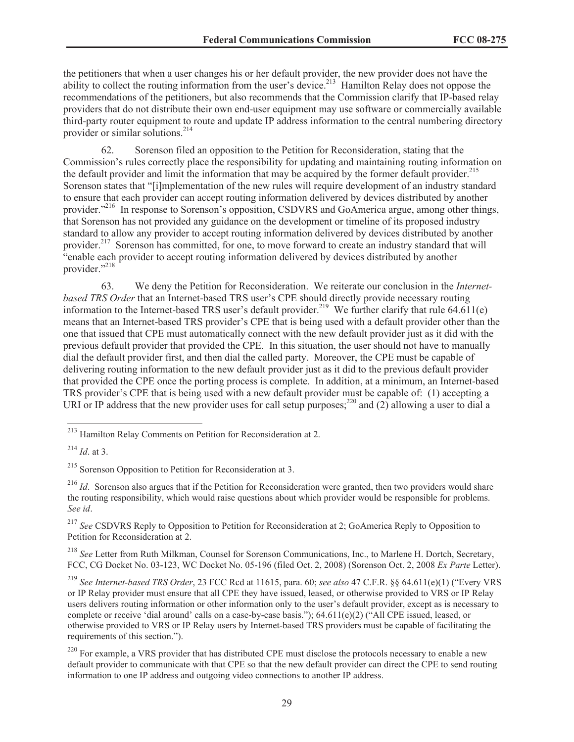the petitioners that when a user changes his or her default provider, the new provider does not have the ability to collect the routing information from the user's device.<sup>213</sup> Hamilton Relay does not oppose the recommendations of the petitioners, but also recommends that the Commission clarify that IP-based relay providers that do not distribute their own end-user equipment may use software or commercially available third-party router equipment to route and update IP address information to the central numbering directory provider or similar solutions.<sup>214</sup>

62. Sorenson filed an opposition to the Petition for Reconsideration, stating that the Commission's rules correctly place the responsibility for updating and maintaining routing information on the default provider and limit the information that may be acquired by the former default provider.<sup>215</sup> Sorenson states that "[i]mplementation of the new rules will require development of an industry standard to ensure that each provider can accept routing information delivered by devices distributed by another provider."<sup>216</sup> In response to Sorenson's opposition, CSDVRS and GoAmerica argue, among other things, that Sorenson has not provided any guidance on the development or timeline of its proposed industry standard to allow any provider to accept routing information delivered by devices distributed by another provider.<sup>217</sup> Sorenson has committed, for one, to move forward to create an industry standard that will "enable each provider to accept routing information delivered by devices distributed by another provider."<sup>218</sup>

63. We deny the Petition for Reconsideration. We reiterate our conclusion in the *Internetbased TRS Order* that an Internet-based TRS user's CPE should directly provide necessary routing information to the Internet-based TRS user's default provider.<sup>219</sup> We further clarify that rule 64.611(e) means that an Internet-based TRS provider's CPE that is being used with a default provider other than the one that issued that CPE must automatically connect with the new default provider just as it did with the previous default provider that provided the CPE. In this situation, the user should not have to manually dial the default provider first, and then dial the called party. Moreover, the CPE must be capable of delivering routing information to the new default provider just as it did to the previous default provider that provided the CPE once the porting process is complete. In addition, at a minimum, an Internet-based TRS provider's CPE that is being used with a new default provider must be capable of: (1) accepting a URI or IP address that the new provider uses for call setup purposes; $^{220}$  and (2) allowing a user to dial a

<sup>217</sup> See CSDVRS Reply to Opposition to Petition for Reconsideration at 2; GoAmerica Reply to Opposition to Petition for Reconsideration at 2.

<sup>218</sup> *See* Letter from Ruth Milkman, Counsel for Sorenson Communications, Inc., to Marlene H. Dortch, Secretary, FCC, CG Docket No. 03-123, WC Docket No. 05-196 (filed Oct. 2, 2008) (Sorenson Oct. 2, 2008 *Ex Parte* Letter).

<sup>219</sup> *See Internet-based TRS Order*, 23 FCC Rcd at 11615, para. 60; *see also* 47 C.F.R. §§ 64.611(e)(1) ("Every VRS or IP Relay provider must ensure that all CPE they have issued, leased, or otherwise provided to VRS or IP Relay users delivers routing information or other information only to the user's default provider, except as is necessary to complete or receive 'dial around' calls on a case-by-case basis."); 64.611(e)(2) ("All CPE issued, leased, or otherwise provided to VRS or IP Relay users by Internet-based TRS providers must be capable of facilitating the requirements of this section.").

<sup>220</sup> For example, a VRS provider that has distributed CPE must disclose the protocols necessary to enable a new default provider to communicate with that CPE so that the new default provider can direct the CPE to send routing information to one IP address and outgoing video connections to another IP address.

<sup>213</sup> Hamilton Relay Comments on Petition for Reconsideration at 2.

<sup>214</sup> *Id*. at 3.

<sup>&</sup>lt;sup>215</sup> Sorenson Opposition to Petition for Reconsideration at 3.

<sup>&</sup>lt;sup>216</sup> *Id.* Sorenson also argues that if the Petition for Reconsideration were granted, then two providers would share the routing responsibility, which would raise questions about which provider would be responsible for problems. *See id*.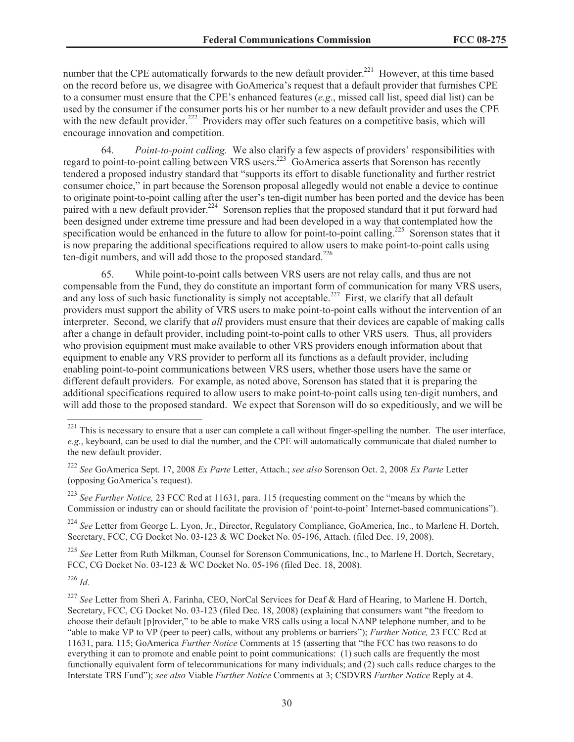number that the CPE automatically forwards to the new default provider.<sup>221</sup> However, at this time based on the record before us, we disagree with GoAmerica's request that a default provider that furnishes CPE to a consumer must ensure that the CPE's enhanced features (*e.g*., missed call list, speed dial list) can be used by the consumer if the consumer ports his or her number to a new default provider and uses the CPE with the new default provider.<sup>222</sup> Providers may offer such features on a competitive basis, which will encourage innovation and competition.

64. *Point-to-point calling.* We also clarify a few aspects of providers' responsibilities with regard to point-to-point calling between VRS users.<sup>223</sup> GoAmerica asserts that Sorenson has recently tendered a proposed industry standard that "supports its effort to disable functionality and further restrict consumer choice," in part because the Sorenson proposal allegedly would not enable a device to continue to originate point-to-point calling after the user's ten-digit number has been ported and the device has been paired with a new default provider.<sup>224</sup> Sorenson replies that the proposed standard that it put forward had been designed under extreme time pressure and had been developed in a way that contemplated how the specification would be enhanced in the future to allow for point-to-point calling.<sup>225</sup> Sorenson states that it is now preparing the additional specifications required to allow users to make point-to-point calls using ten-digit numbers, and will add those to the proposed standard.<sup>226</sup>

65. While point-to-point calls between VRS users are not relay calls, and thus are not compensable from the Fund, they do constitute an important form of communication for many VRS users, and any loss of such basic functionality is simply not acceptable.<sup>227</sup> First, we clarify that all default providers must support the ability of VRS users to make point-to-point calls without the intervention of an interpreter. Second, we clarify that *all* providers must ensure that their devices are capable of making calls after a change in default provider, including point-to-point calls to other VRS users. Thus, all providers who provision equipment must make available to other VRS providers enough information about that equipment to enable any VRS provider to perform all its functions as a default provider, including enabling point-to-point communications between VRS users, whether those users have the same or different default providers. For example, as noted above, Sorenson has stated that it is preparing the additional specifications required to allow users to make point-to-point calls using ten-digit numbers, and will add those to the proposed standard. We expect that Sorenson will do so expeditiously, and we will be

<sup>224</sup> *See* Letter from George L. Lyon, Jr., Director, Regulatory Compliance, GoAmerica, Inc., to Marlene H. Dortch, Secretary, FCC, CG Docket No. 03-123 & WC Docket No. 05-196, Attach. (filed Dec. 19, 2008).

<sup>225</sup> *See* Letter from Ruth Milkman, Counsel for Sorenson Communications, Inc., to Marlene H. Dortch, Secretary, FCC, CG Docket No. 03-123 & WC Docket No. 05-196 (filed Dec. 18, 2008).

<sup>226</sup> *Id.*

 $221$  This is necessary to ensure that a user can complete a call without finger-spelling the number. The user interface, *e.g.*, keyboard, can be used to dial the number, and the CPE will automatically communicate that dialed number to the new default provider.

<sup>222</sup> *See* GoAmerica Sept. 17, 2008 *Ex Parte* Letter, Attach.; *see also* Sorenson Oct. 2, 2008 *Ex Parte* Letter (opposing GoAmerica's request).

<sup>223</sup> *See Further Notice,* 23 FCC Rcd at 11631, para. 115 (requesting comment on the "means by which the Commission or industry can or should facilitate the provision of 'point-to-point' Internet-based communications").

<sup>&</sup>lt;sup>227</sup> See Letter from Sheri A. Farinha, CEO, NorCal Services for Deaf & Hard of Hearing, to Marlene H. Dortch, Secretary, FCC, CG Docket No. 03-123 (filed Dec. 18, 2008) (explaining that consumers want "the freedom to choose their default [p]rovider," to be able to make VRS calls using a local NANP telephone number, and to be "able to make VP to VP (peer to peer) calls, without any problems or barriers"); *Further Notice,* 23 FCC Rcd at 11631, para. 115; GoAmerica *Further Notice* Comments at 15 (asserting that "the FCC has two reasons to do everything it can to promote and enable point to point communications: (1) such calls are frequently the most functionally equivalent form of telecommunications for many individuals; and (2) such calls reduce charges to the Interstate TRS Fund"); *see also* Viable *Further Notice* Comments at 3; CSDVRS *Further Notice* Reply at 4.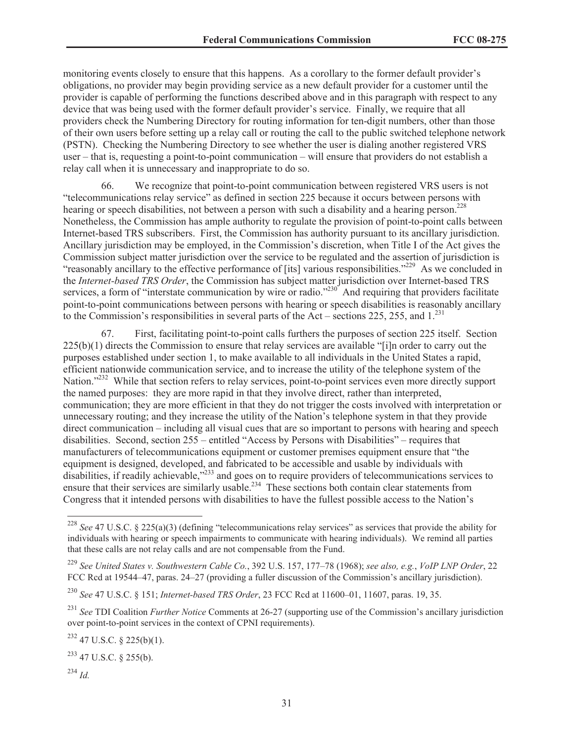monitoring events closely to ensure that this happens. As a corollary to the former default provider's obligations, no provider may begin providing service as a new default provider for a customer until the provider is capable of performing the functions described above and in this paragraph with respect to any device that was being used with the former default provider's service. Finally, we require that all providers check the Numbering Directory for routing information for ten-digit numbers, other than those of their own users before setting up a relay call or routing the call to the public switched telephone network (PSTN). Checking the Numbering Directory to see whether the user is dialing another registered VRS user – that is, requesting a point-to-point communication – will ensure that providers do not establish a relay call when it is unnecessary and inappropriate to do so.

66. We recognize that point-to-point communication between registered VRS users is not "telecommunications relay service" as defined in section 225 because it occurs between persons with hearing or speech disabilities, not between a person with such a disability and a hearing person.<sup>228</sup> Nonetheless, the Commission has ample authority to regulate the provision of point-to-point calls between Internet-based TRS subscribers. First, the Commission has authority pursuant to its ancillary jurisdiction. Ancillary jurisdiction may be employed, in the Commission's discretion, when Title I of the Act gives the Commission subject matter jurisdiction over the service to be regulated and the assertion of jurisdiction is "reasonably ancillary to the effective performance of [its] various responsibilities."<sup>229</sup> As we concluded in the *Internet-based TRS Order*, the Commission has subject matter jurisdiction over Internet-based TRS services, a form of "interstate communication by wire or radio."<sup>230</sup> And requiring that providers facilitate point-to-point communications between persons with hearing or speech disabilities is reasonably ancillary to the Commission's responsibilities in several parts of the Act – sections 225, 255, and  $1^{231}$ 

67. First, facilitating point-to-point calls furthers the purposes of section 225 itself. Section 225(b)(1) directs the Commission to ensure that relay services are available "[i]n order to carry out the purposes established under section 1, to make available to all individuals in the United States a rapid, efficient nationwide communication service, and to increase the utility of the telephone system of the Nation."<sup>232</sup> While that section refers to relay services, point-to-point services even more directly support the named purposes: they are more rapid in that they involve direct, rather than interpreted, communication; they are more efficient in that they do not trigger the costs involved with interpretation or unnecessary routing; and they increase the utility of the Nation's telephone system in that they provide direct communication – including all visual cues that are so important to persons with hearing and speech disabilities. Second, section 255 – entitled "Access by Persons with Disabilities" – requires that manufacturers of telecommunications equipment or customer premises equipment ensure that "the equipment is designed, developed, and fabricated to be accessible and usable by individuals with disabilities, if readily achievable,<sup>233</sup> and goes on to require providers of telecommunications services to ensure that their services are similarly usable.<sup>234</sup> These sections both contain clear statements from Congress that it intended persons with disabilities to have the fullest possible access to the Nation's

<sup>228</sup> *See* 47 U.S.C. § 225(a)(3) (defining "telecommunications relay services" as services that provide the ability for individuals with hearing or speech impairments to communicate with hearing individuals). We remind all parties that these calls are not relay calls and are not compensable from the Fund.

<sup>229</sup> *See United States v. Southwestern Cable Co.*, 392 U.S. 157, 177–78 (1968); *see also, e.g.*, *VoIP LNP Order*, 22 FCC Rcd at 19544–47, paras. 24–27 (providing a fuller discussion of the Commission's ancillary jurisdiction).

<sup>230</sup> *See* 47 U.S.C. § 151; *Internet-based TRS Order*, 23 FCC Rcd at 11600–01, 11607, paras. 19, 35.

<sup>231</sup> *See* TDI Coalition *Further Notice* Comments at 26-27 (supporting use of the Commission's ancillary jurisdiction over point-to-point services in the context of CPNI requirements).

<sup>232</sup> 47 U.S.C. § 225(b)(1).

 $^{233}$  47 U.S.C. § 255(b).

<sup>234</sup> *Id.*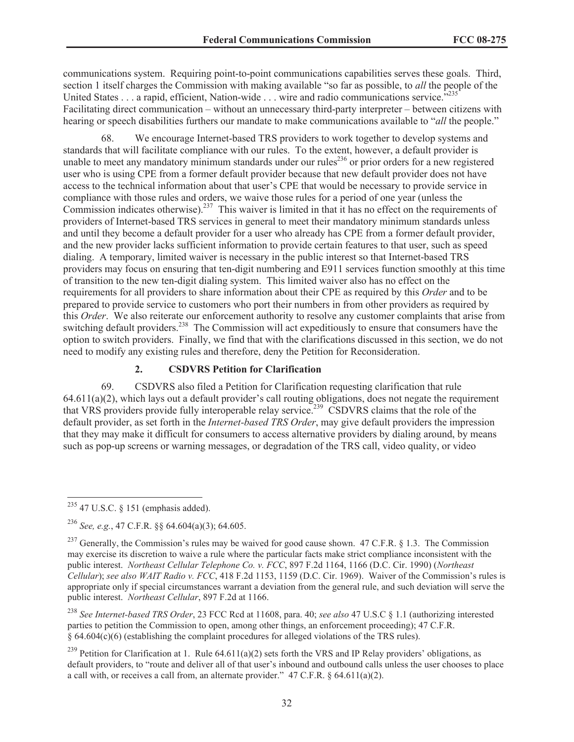communications system. Requiring point-to-point communications capabilities serves these goals. Third, section 1 itself charges the Commission with making available "so far as possible, to *all* the people of the United States . . . a rapid, efficient, Nation-wide . . . wire and radio communications service.<sup>7235</sup> Facilitating direct communication – without an unnecessary third-party interpreter – between citizens with hearing or speech disabilities furthers our mandate to make communications available to "*all* the people."

68. We encourage Internet-based TRS providers to work together to develop systems and standards that will facilitate compliance with our rules. To the extent, however, a default provider is unable to meet any mandatory minimum standards under our rules<sup>236</sup> or prior orders for a new registered user who is using CPE from a former default provider because that new default provider does not have access to the technical information about that user's CPE that would be necessary to provide service in compliance with those rules and orders, we waive those rules for a period of one year (unless the Commission indicates otherwise).<sup>237</sup> This waiver is limited in that it has no effect on the requirements of providers of Internet-based TRS services in general to meet their mandatory minimum standards unless and until they become a default provider for a user who already has CPE from a former default provider, and the new provider lacks sufficient information to provide certain features to that user, such as speed dialing. A temporary, limited waiver is necessary in the public interest so that Internet-based TRS providers may focus on ensuring that ten-digit numbering and E911 services function smoothly at this time of transition to the new ten-digit dialing system. This limited waiver also has no effect on the requirements for all providers to share information about their CPE as required by this *Order* and to be prepared to provide service to customers who port their numbers in from other providers as required by this *Order*. We also reiterate our enforcement authority to resolve any customer complaints that arise from switching default providers.<sup>238</sup> The Commission will act expeditiously to ensure that consumers have the option to switch providers. Finally, we find that with the clarifications discussed in this section, we do not need to modify any existing rules and therefore, deny the Petition for Reconsideration.

#### **2. CSDVRS Petition for Clarification**

69. CSDVRS also filed a Petition for Clarification requesting clarification that rule 64.611(a)(2), which lays out a default provider's call routing obligations, does not negate the requirement that VRS providers provide fully interoperable relay service.<sup>239</sup> CSDVRS claims that the role of the default provider, as set forth in the *Internet-based TRS Order*, may give default providers the impression that they may make it difficult for consumers to access alternative providers by dialing around, by means such as pop-up screens or warning messages, or degradation of the TRS call, video quality, or video

 $235$  47 U.S.C. § 151 (emphasis added).

<sup>236</sup> *See, e.g.*, 47 C.F.R. §§ 64.604(a)(3); 64.605.

<sup>&</sup>lt;sup>237</sup> Generally, the Commission's rules may be waived for good cause shown. 47 C.F.R. § 1.3. The Commission may exercise its discretion to waive a rule where the particular facts make strict compliance inconsistent with the public interest. *Northeast Cellular Telephone Co. v. FCC*, 897 F.2d 1164, 1166 (D.C. Cir. 1990) (*Northeast Cellular*); *see also WAIT Radio v. FCC*, 418 F.2d 1153, 1159 (D.C. Cir. 1969). Waiver of the Commission's rules is appropriate only if special circumstances warrant a deviation from the general rule, and such deviation will serve the public interest. *Northeast Cellular*, 897 F.2d at 1166.

<sup>238</sup> *See Internet-based TRS Order*, 23 FCC Rcd at 11608, para. 40; *see also* 47 U.S.C § 1.1 (authorizing interested parties to petition the Commission to open, among other things, an enforcement proceeding); 47 C.F.R. § 64.604(c)(6) (establishing the complaint procedures for alleged violations of the TRS rules).

<sup>&</sup>lt;sup>239</sup> Petition for Clarification at 1. Rule 64.611(a)(2) sets forth the VRS and IP Relay providers' obligations, as default providers, to "route and deliver all of that user's inbound and outbound calls unless the user chooses to place a call with, or receives a call from, an alternate provider." 47 C.F.R. § 64.611(a)(2).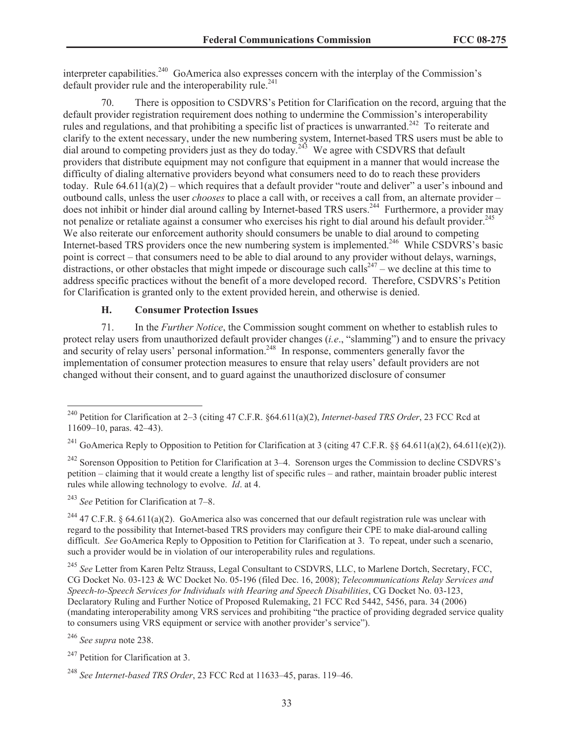interpreter capabilities.<sup>240</sup> GoAmerica also expresses concern with the interplay of the Commission's default provider rule and the interoperability rule.<sup>241</sup>

70. There is opposition to CSDVRS's Petition for Clarification on the record, arguing that the default provider registration requirement does nothing to undermine the Commission's interoperability rules and regulations, and that prohibiting a specific list of practices is unwarranted.<sup>242</sup> To reiterate and clarify to the extent necessary, under the new numbering system, Internet-based TRS users must be able to dial around to competing providers just as they do today.<sup>243</sup> We agree with CSDVRS that default providers that distribute equipment may not configure that equipment in a manner that would increase the difficulty of dialing alternative providers beyond what consumers need to do to reach these providers today. Rule 64.611(a)(2) – which requires that a default provider "route and deliver" a user's inbound and outbound calls, unless the user *chooses* to place a call with, or receives a call from, an alternate provider – does not inhibit or hinder dial around calling by Internet-based TRS users.<sup>244</sup> Furthermore, a provider may not penalize or retaliate against a consumer who exercises his right to dial around his default provider.<sup>245</sup> We also reiterate our enforcement authority should consumers be unable to dial around to competing Internet-based TRS providers once the new numbering system is implemented.<sup>246</sup> While CSDVRS's basic point is correct – that consumers need to be able to dial around to any provider without delays, warnings, distractions, or other obstacles that might impede or discourage such calls<sup>247</sup> – we decline at this time to address specific practices without the benefit of a more developed record. Therefore, CSDVRS's Petition for Clarification is granted only to the extent provided herein, and otherwise is denied.

# **H. Consumer Protection Issues**

71. In the *Further Notice*, the Commission sought comment on whether to establish rules to protect relay users from unauthorized default provider changes (*i.e*., "slamming") and to ensure the privacy and security of relay users' personal information.<sup>248</sup> In response, commenters generally favor the implementation of consumer protection measures to ensure that relay users' default providers are not changed without their consent, and to guard against the unauthorized disclosure of consumer

<sup>243</sup> *See* Petition for Clarification at 7–8.

<sup>244</sup> 47 C.F.R. § 64.611(a)(2). GoAmerica also was concerned that our default registration rule was unclear with regard to the possibility that Internet-based TRS providers may configure their CPE to make dial-around calling difficult. *See* GoAmerica Reply to Opposition to Petition for Clarification at 3. To repeat, under such a scenario, such a provider would be in violation of our interoperability rules and regulations.

<sup>245</sup> *See* Letter from Karen Peltz Strauss, Legal Consultant to CSDVRS, LLC, to Marlene Dortch, Secretary, FCC, CG Docket No. 03-123 & WC Docket No. 05-196 (filed Dec. 16, 2008); *Telecommunications Relay Services and Speech-to-Speech Services for Individuals with Hearing and Speech Disabilities*, CG Docket No. 03-123, Declaratory Ruling and Further Notice of Proposed Rulemaking, 21 FCC Rcd 5442, 5456, para. 34 (2006) (mandating interoperability among VRS services and prohibiting "the practice of providing degraded service quality to consumers using VRS equipment or service with another provider's service").

<sup>246</sup> *See supra* note 238.

<sup>240</sup> Petition for Clarification at 2–3 (citing 47 C.F.R. §64.611(a)(2), *Internet-based TRS Order*, 23 FCC Rcd at 11609–10, paras. 42–43).

<sup>&</sup>lt;sup>241</sup> GoAmerica Reply to Opposition to Petition for Clarification at 3 (citing 47 C.F.R. §§ 64.611(a)(2), 64.611(e)(2)).

 $^{242}$  Sorenson Opposition to Petition for Clarification at 3–4. Sorenson urges the Commission to decline CSDVRS's petition – claiming that it would create a lengthy list of specific rules – and rather, maintain broader public interest rules while allowing technology to evolve. *Id*. at 4.

<sup>&</sup>lt;sup>247</sup> Petition for Clarification at 3.

<sup>248</sup> *See Internet-based TRS Order*, 23 FCC Rcd at 11633–45, paras. 119–46.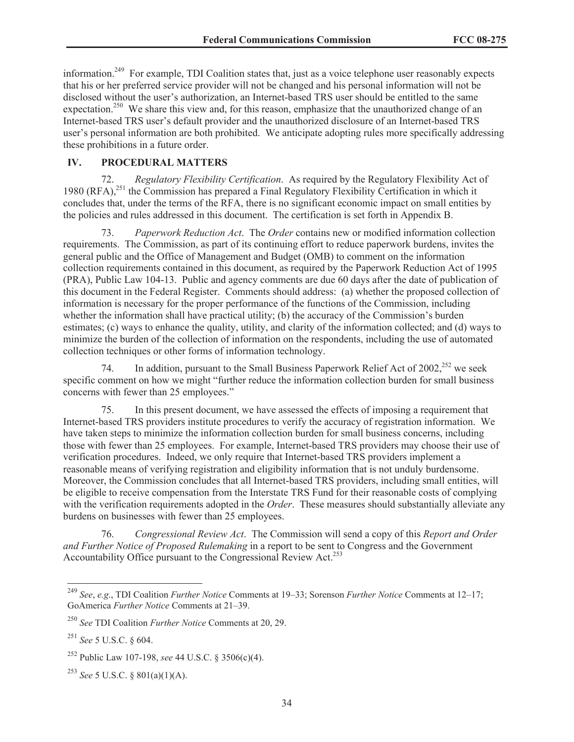information.<sup>249</sup> For example, TDI Coalition states that, just as a voice telephone user reasonably expects that his or her preferred service provider will not be changed and his personal information will not be disclosed without the user's authorization, an Internet-based TRS user should be entitled to the same expectation.<sup>250</sup> We share this view and, for this reason, emphasize that the unauthorized change of an Internet-based TRS user's default provider and the unauthorized disclosure of an Internet-based TRS user's personal information are both prohibited. We anticipate adopting rules more specifically addressing these prohibitions in a future order.

# **IV. PROCEDURAL MATTERS**

72. *Regulatory Flexibility Certification*. As required by the Regulatory Flexibility Act of 1980 (RFA),<sup>251</sup> the Commission has prepared a Final Regulatory Flexibility Certification in which it concludes that, under the terms of the RFA, there is no significant economic impact on small entities by the policies and rules addressed in this document. The certification is set forth in Appendix B.

73. *Paperwork Reduction Act*. The *Order* contains new or modified information collection requirements. The Commission, as part of its continuing effort to reduce paperwork burdens, invites the general public and the Office of Management and Budget (OMB) to comment on the information collection requirements contained in this document, as required by the Paperwork Reduction Act of 1995 (PRA), Public Law 104-13. Public and agency comments are due 60 days after the date of publication of this document in the Federal Register. Comments should address: (a) whether the proposed collection of information is necessary for the proper performance of the functions of the Commission, including whether the information shall have practical utility; (b) the accuracy of the Commission's burden estimates; (c) ways to enhance the quality, utility, and clarity of the information collected; and (d) ways to minimize the burden of the collection of information on the respondents, including the use of automated collection techniques or other forms of information technology.

74. In addition, pursuant to the Small Business Paperwork Relief Act of  $2002$ <sup>252</sup> we seek specific comment on how we might "further reduce the information collection burden for small business concerns with fewer than 25 employees."

75. In this present document, we have assessed the effects of imposing a requirement that Internet-based TRS providers institute procedures to verify the accuracy of registration information. We have taken steps to minimize the information collection burden for small business concerns, including those with fewer than 25 employees. For example, Internet-based TRS providers may choose their use of verification procedures. Indeed, we only require that Internet-based TRS providers implement a reasonable means of verifying registration and eligibility information that is not unduly burdensome. Moreover, the Commission concludes that all Internet-based TRS providers, including small entities, will be eligible to receive compensation from the Interstate TRS Fund for their reasonable costs of complying with the verification requirements adopted in the *Order*. These measures should substantially alleviate any burdens on businesses with fewer than 25 employees.

76. *Congressional Review Act*. The Commission will send a copy of this *Report and Order and Further Notice of Proposed Rulemaking* in a report to be sent to Congress and the Government Accountability Office pursuant to the Congressional Review Act.<sup>253</sup>

<sup>249</sup> *See*, *e.g*., TDI Coalition *Further Notice* Comments at 19–33; Sorenson *Further Notice* Comments at 12–17; GoAmerica *Further Notice* Comments at 21–39.

<sup>250</sup> *See* TDI Coalition *Further Notice* Comments at 20, 29.

<sup>251</sup> *See* 5 U.S.C. § 604.

<sup>252</sup> Public Law 107-198, *see* 44 U.S.C. § 3506(c)(4).

<sup>253</sup> *See* 5 U.S.C. § 801(a)(1)(A).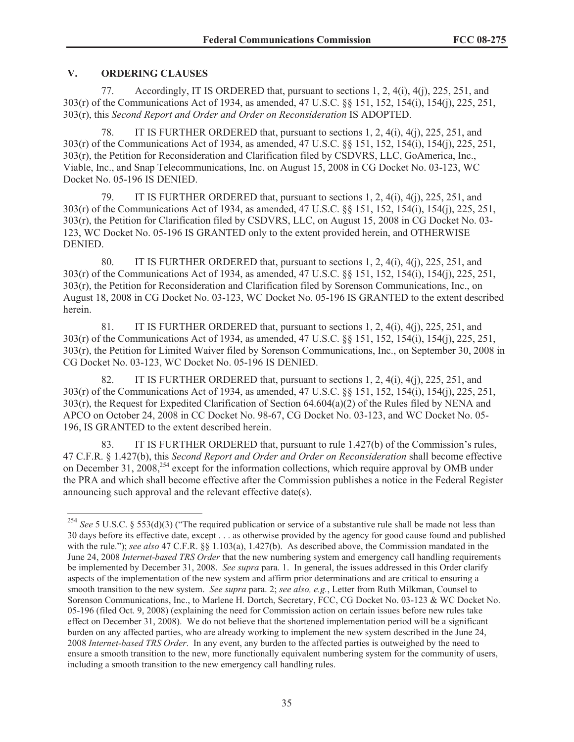# **V. ORDERING CLAUSES**

77. Accordingly, IT IS ORDERED that, pursuant to sections 1, 2, 4(i), 4(j), 225, 251, and 303(r) of the Communications Act of 1934, as amended, 47 U.S.C. §§ 151, 152, 154(i), 154(j), 225, 251, 303(r), this *Second Report and Order and Order on Reconsideration* IS ADOPTED.

78. IT IS FURTHER ORDERED that, pursuant to sections 1, 2, 4(i), 4(j), 225, 251, and 303(r) of the Communications Act of 1934, as amended, 47 U.S.C. §§ 151, 152, 154(i), 154(j), 225, 251, 303(r), the Petition for Reconsideration and Clarification filed by CSDVRS, LLC, GoAmerica, Inc., Viable, Inc., and Snap Telecommunications, Inc. on August 15, 2008 in CG Docket No. 03-123, WC Docket No. 05-196 IS DENIED.

79. IT IS FURTHER ORDERED that, pursuant to sections 1, 2, 4(i), 4(j), 225, 251, and 303(r) of the Communications Act of 1934, as amended, 47 U.S.C. §§ 151, 152, 154(i), 154(j), 225, 251, 303(r), the Petition for Clarification filed by CSDVRS, LLC, on August 15, 2008 in CG Docket No. 03- 123, WC Docket No. 05-196 IS GRANTED only to the extent provided herein, and OTHERWISE DENIED.

80. IT IS FURTHER ORDERED that, pursuant to sections 1, 2, 4(i), 4(j), 225, 251, and 303(r) of the Communications Act of 1934, as amended, 47 U.S.C. §§ 151, 152, 154(i), 154(j), 225, 251, 303(r), the Petition for Reconsideration and Clarification filed by Sorenson Communications, Inc., on August 18, 2008 in CG Docket No. 03-123, WC Docket No. 05-196 IS GRANTED to the extent described herein.

81. IT IS FURTHER ORDERED that, pursuant to sections  $1, 2, 4(i)$ ,  $4(i)$ ,  $225, 251$ , and 303(r) of the Communications Act of 1934, as amended, 47 U.S.C. §§ 151, 152, 154(i), 154(j), 225, 251, 303(r), the Petition for Limited Waiver filed by Sorenson Communications, Inc., on September 30, 2008 in CG Docket No. 03-123, WC Docket No. 05-196 IS DENIED.

82. IT IS FURTHER ORDERED that, pursuant to sections 1, 2, 4(i), 4(j), 225, 251, and 303(r) of the Communications Act of 1934, as amended, 47 U.S.C. §§ 151, 152, 154(i), 154(j), 225, 251, 303(r), the Request for Expedited Clarification of Section 64.604(a)(2) of the Rules filed by NENA and APCO on October 24, 2008 in CC Docket No. 98-67, CG Docket No. 03-123, and WC Docket No. 05- 196, IS GRANTED to the extent described herein.

83. IT IS FURTHER ORDERED that, pursuant to rule 1.427(b) of the Commission's rules, 47 C.F.R. § 1.427(b), this *Second Report and Order and Order on Reconsideration* shall become effective on December 31, 2008,<sup>254</sup> except for the information collections, which require approval by OMB under the PRA and which shall become effective after the Commission publishes a notice in the Federal Register announcing such approval and the relevant effective date(s).

<sup>&</sup>lt;sup>254</sup> *See* 5 U.S.C. § 553(d)(3) ("The required publication or service of a substantive rule shall be made not less than 30 days before its effective date, except . . . as otherwise provided by the agency for good cause found and published with the rule."); *see also* 47 C.F.R. §§ 1.103(a), 1.427(b). As described above, the Commission mandated in the June 24, 2008 *Internet-based TRS Order* that the new numbering system and emergency call handling requirements be implemented by December 31, 2008. *See supra* para. 1. In general, the issues addressed in this Order clarify aspects of the implementation of the new system and affirm prior determinations and are critical to ensuring a smooth transition to the new system. *See supra* para. 2; *see also, e.g.*, Letter from Ruth Milkman, Counsel to Sorenson Communications, Inc., to Marlene H. Dortch, Secretary, FCC, CG Docket No. 03-123 & WC Docket No. 05-196 (filed Oct. 9, 2008) (explaining the need for Commission action on certain issues before new rules take effect on December 31, 2008). We do not believe that the shortened implementation period will be a significant burden on any affected parties, who are already working to implement the new system described in the June 24, 2008 *Internet-based TRS Order*. In any event, any burden to the affected parties is outweighed by the need to ensure a smooth transition to the new, more functionally equivalent numbering system for the community of users, including a smooth transition to the new emergency call handling rules.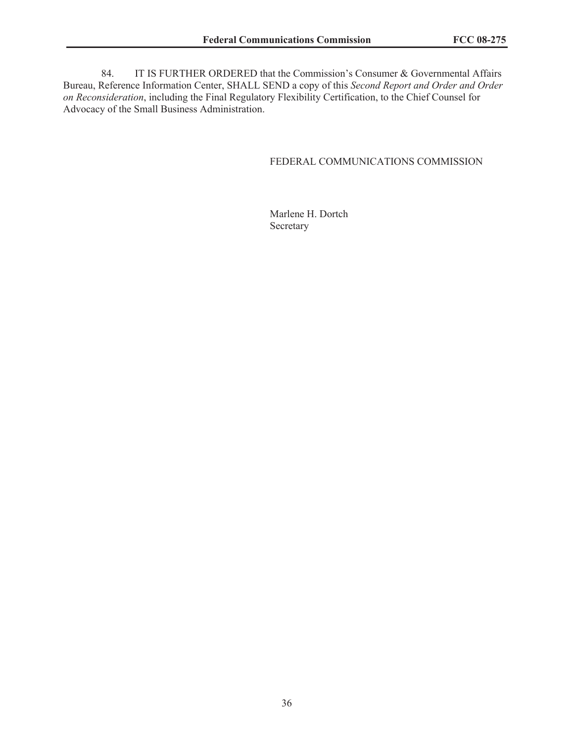84. IT IS FURTHER ORDERED that the Commission's Consumer & Governmental Affairs Bureau, Reference Information Center, SHALL SEND a copy of this *Second Report and Order and Order on Reconsideration*, including the Final Regulatory Flexibility Certification, to the Chief Counsel for Advocacy of the Small Business Administration.

# FEDERAL COMMUNICATIONS COMMISSION

Marlene H. Dortch Secretary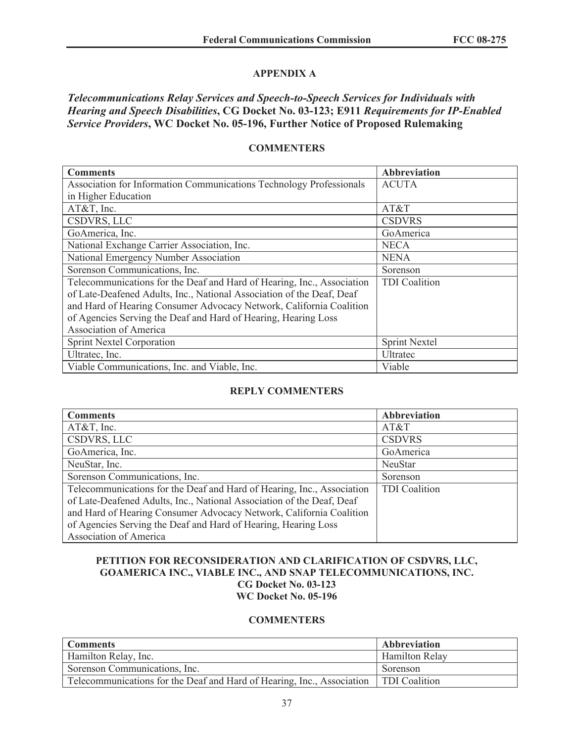# **APPENDIX A**

*Telecommunications Relay Services and Speech-to-Speech Services for Individuals with Hearing and Speech Disabilities***, CG Docket No. 03-123; E911** *Requirements for IP-Enabled Service Providers***, WC Docket No. 05-196, Further Notice of Proposed Rulemaking**

#### **COMMENTERS**

| <b>Comments</b>                                                        | <b>Abbreviation</b>  |
|------------------------------------------------------------------------|----------------------|
| Association for Information Communications Technology Professionals    | <b>ACUTA</b>         |
| in Higher Education                                                    |                      |
| $AT&T$ , Inc.                                                          | AT&T                 |
| <b>CSDVRS, LLC</b>                                                     | <b>CSDVRS</b>        |
| GoAmerica, Inc.                                                        | GoAmerica            |
| National Exchange Carrier Association, Inc.                            | <b>NECA</b>          |
| National Emergency Number Association                                  | <b>NENA</b>          |
| Sorenson Communications, Inc.                                          | Sorenson             |
| Telecommunications for the Deaf and Hard of Hearing, Inc., Association | <b>TDI</b> Coalition |
| of Late-Deafened Adults, Inc., National Association of the Deaf, Deaf  |                      |
| and Hard of Hearing Consumer Advocacy Network, California Coalition    |                      |
| of Agencies Serving the Deaf and Hard of Hearing, Hearing Loss         |                      |
| Association of America                                                 |                      |
| <b>Sprint Nextel Corporation</b>                                       | <b>Sprint Nextel</b> |
| Ultratec, Inc.                                                         | Ultratec             |
| Viable Communications, Inc. and Viable, Inc.                           | Viable               |

# **REPLY COMMENTERS**

| <b>Comments</b>                                                        | <b>Abbreviation</b>  |
|------------------------------------------------------------------------|----------------------|
| $AT&T$ , Inc.                                                          | AT&T                 |
| CSDVRS, LLC                                                            | <b>CSDVRS</b>        |
| GoAmerica, Inc.                                                        | GoAmerica            |
| NeuStar, Inc.                                                          | <b>NeuStar</b>       |
| Sorenson Communications, Inc.                                          | Sorenson             |
| Telecommunications for the Deaf and Hard of Hearing, Inc., Association | <b>TDI</b> Coalition |
| of Late-Deafened Adults, Inc., National Association of the Deaf, Deaf  |                      |
| and Hard of Hearing Consumer Advocacy Network, California Coalition    |                      |
| of Agencies Serving the Deaf and Hard of Hearing, Hearing Loss         |                      |
| Association of America                                                 |                      |

# **PETITION FOR RECONSIDERATION AND CLARIFICATION OF CSDVRS, LLC, GOAMERICA INC., VIABLE INC., AND SNAP TELECOMMUNICATIONS, INC. CG Docket No. 03-123 WC Docket No. 05-196**

# **COMMENTERS**

| <b>Comments</b>                                                                        | Abbreviation          |
|----------------------------------------------------------------------------------------|-----------------------|
| <b>Hamilton Relay, Inc.</b>                                                            | <b>Hamilton Relay</b> |
| Sorenson Communications, Inc.                                                          | Sorenson              |
| Telecommunications for the Deaf and Hard of Hearing, Inc., Association   TDI Coalition |                       |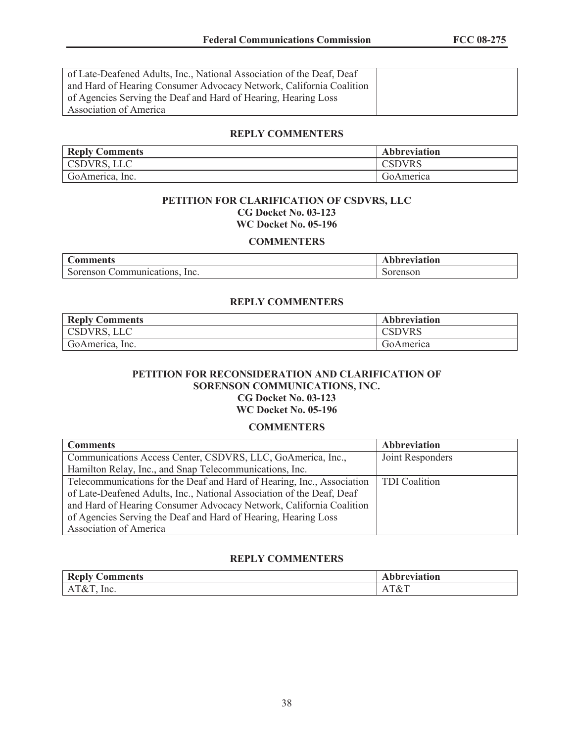of Late-Deafened Adults, Inc., National Association of the Deaf, Deaf and Hard of Hearing Consumer Advocacy Network, California Coalition of Agencies Serving the Deaf and Hard of Hearing, Hearing Loss Association of America

#### **REPLY COMMENTERS**

| <b>Reply Comments</b> | <b>Abbreviation</b> |
|-----------------------|---------------------|
| CSDVRS, LLC           | CSDVRS              |
| GoAmerica, Inc.       | GoAmerica           |

#### **PETITION FOR CLARIFICATION OF CSDVRS, LLC CG Docket No. 03-123 WC Docket No. 05-196**

#### **COMMENTERS**

| Comments                            | ⊾bbreviation |
|-------------------------------------|--------------|
| Sorenson<br>Inc.<br>Communications. | Sorenson     |

# **REPLY COMMENTERS**

| <b>Reply Comments</b> | <b>Abbreviation</b> |
|-----------------------|---------------------|
| CSDVRS, LLC           | <b>CSDVRS</b>       |
| GoAmerica, Inc.       | GoAmerica           |

### **PETITION FOR RECONSIDERATION AND CLARIFICATION OF SORENSON COMMUNICATIONS, INC. CG Docket No. 03-123 WC Docket No. 05-196**

#### **COMMENTERS**

| <b>Comments</b>                                                        | Abbreviation         |
|------------------------------------------------------------------------|----------------------|
| Communications Access Center, CSDVRS, LLC, GoAmerica, Inc.,            | Joint Responders     |
| Hamilton Relay, Inc., and Snap Telecommunications, Inc.                |                      |
| Telecommunications for the Deaf and Hard of Hearing, Inc., Association | <b>TDI</b> Coalition |
| of Late-Deafened Adults, Inc., National Association of the Deaf, Deaf  |                      |
| and Hard of Hearing Consumer Advocacy Network, California Coalition    |                      |
| of Agencies Serving the Deaf and Hard of Hearing, Hearing Loss         |                      |
| <b>Association of America</b>                                          |                      |

# **REPLY COMMENTERS**

| <b>Reply</b>                                 | $\cdot$      |
|----------------------------------------------|--------------|
| <b>Comments</b>                              | breviation   |
| $\Delta$ T<br>1&T<br>Inc.<br>$\cdots$<br>___ | T&T<br>$  -$ |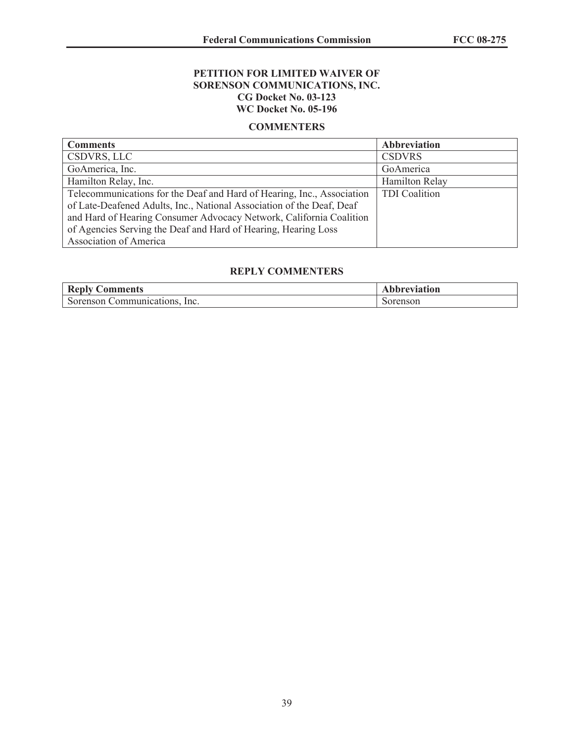# **PETITION FOR LIMITED WAIVER OF SORENSON COMMUNICATIONS, INC. CG Docket No. 03-123 WC Docket No. 05-196**

#### **COMMENTERS**

| <b>Comments</b>                                                        | <b>Abbreviation</b>  |
|------------------------------------------------------------------------|----------------------|
| CSDVRS, LLC                                                            | <b>CSDVRS</b>        |
| GoAmerica, Inc.                                                        | GoAmerica            |
| Hamilton Relay, Inc.                                                   | Hamilton Relay       |
| Telecommunications for the Deaf and Hard of Hearing, Inc., Association | <b>TDI</b> Coalition |
| of Late-Deafened Adults, Inc., National Association of the Deaf, Deaf  |                      |
| and Hard of Hearing Consumer Advocacy Network, California Coalition    |                      |
| of Agencies Serving the Deaf and Hard of Hearing, Hearing Loss         |                      |
| <b>Association of America</b>                                          |                      |

# **REPLY COMMENTERS**

| <b>Reply Comments</b>         | Abbreviation |
|-------------------------------|--------------|
| Sorenson Communications, Inc. | Sorenson     |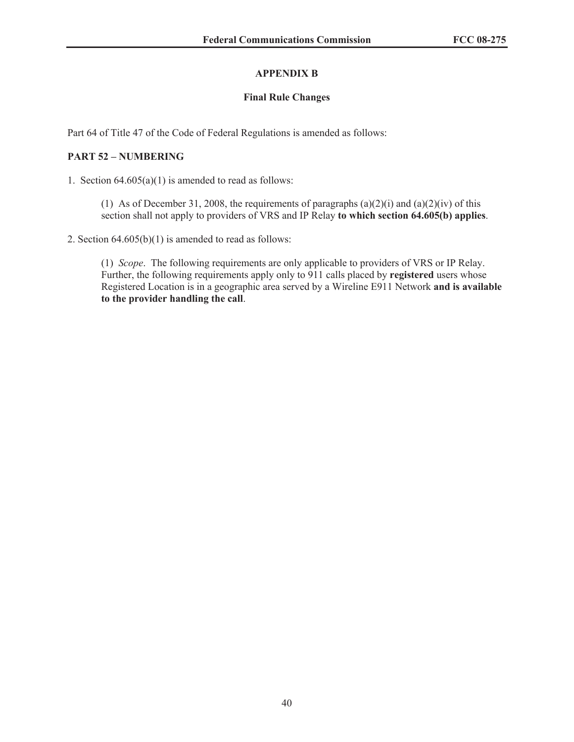# **APPENDIX B**

# **Final Rule Changes**

Part 64 of Title 47 of the Code of Federal Regulations is amended as follows:

# **PART 52 – NUMBERING**

1. Section  $64.605(a)(1)$  is amended to read as follows:

(1) As of December 31, 2008, the requirements of paragraphs  $(a)(2)(i)$  and  $(a)(2)(iv)$  of this section shall not apply to providers of VRS and IP Relay **to which section 64.605(b) applies**.

2. Section  $64.605(b)(1)$  is amended to read as follows:

(1) *Scope*. The following requirements are only applicable to providers of VRS or IP Relay. Further, the following requirements apply only to 911 calls placed by **registered** users whose Registered Location is in a geographic area served by a Wireline E911 Network **and is available to the provider handling the call**.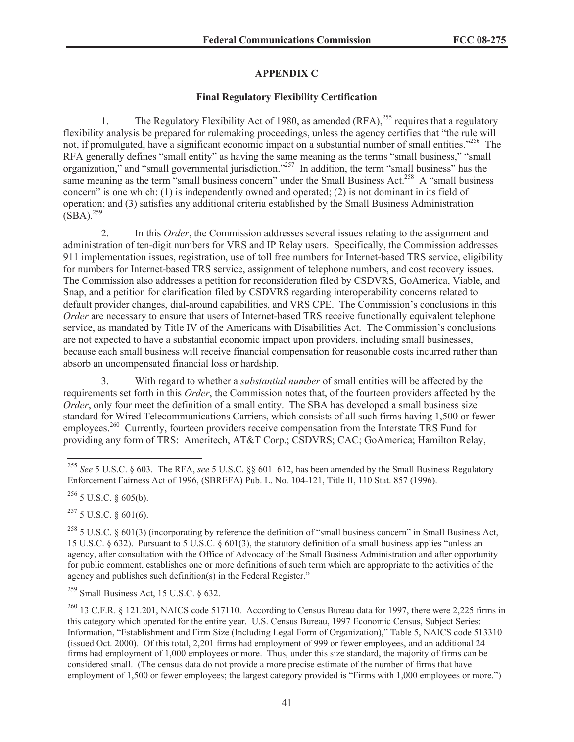# **APPENDIX C**

# **Final Regulatory Flexibility Certification**

1. The Regulatory Flexibility Act of 1980, as amended  $(RFA)$ ,<sup>255</sup> requires that a regulatory flexibility analysis be prepared for rulemaking proceedings, unless the agency certifies that "the rule will not, if promulgated, have a significant economic impact on a substantial number of small entities."<sup>256</sup> The RFA generally defines "small entity" as having the same meaning as the terms "small business," "small organization," and "small governmental jurisdiction."<sup>257</sup> In addition, the term "small business" has the same meaning as the term "small business concern" under the Small Business Act.<sup>258</sup> A "small business" concern" is one which: (1) is independently owned and operated; (2) is not dominant in its field of operation; and (3) satisfies any additional criteria established by the Small Business Administration  $(SBA).^{259}$ 

2. In this *Order*, the Commission addresses several issues relating to the assignment and administration of ten-digit numbers for VRS and IP Relay users. Specifically, the Commission addresses 911 implementation issues, registration, use of toll free numbers for Internet-based TRS service, eligibility for numbers for Internet-based TRS service, assignment of telephone numbers, and cost recovery issues. The Commission also addresses a petition for reconsideration filed by CSDVRS, GoAmerica, Viable, and Snap, and a petition for clarification filed by CSDVRS regarding interoperability concerns related to default provider changes, dial-around capabilities, and VRS CPE. The Commission's conclusions in this *Order* are necessary to ensure that users of Internet-based TRS receive functionally equivalent telephone service, as mandated by Title IV of the Americans with Disabilities Act. The Commission's conclusions are not expected to have a substantial economic impact upon providers, including small businesses, because each small business will receive financial compensation for reasonable costs incurred rather than absorb an uncompensated financial loss or hardship.

3. With regard to whether a *substantial number* of small entities will be affected by the requirements set forth in this *Order*, the Commission notes that, of the fourteen providers affected by the *Order*, only four meet the definition of a small entity. The SBA has developed a small business size standard for Wired Telecommunications Carriers, which consists of all such firms having 1,500 or fewer employees.<sup>260</sup> Currently, fourteen providers receive compensation from the Interstate TRS Fund for providing any form of TRS: Ameritech, AT&T Corp.; CSDVRS; CAC; GoAmerica; Hamilton Relay,

 $256$  5 U.S.C. § 605(b).

 $^{257}$  5 U.S.C. § 601(6).

<sup>258</sup> 5 U.S.C. § 601(3) (incorporating by reference the definition of "small business concern" in Small Business Act, 15 U.S.C. § 632). Pursuant to 5 U.S.C. § 601(3), the statutory definition of a small business applies "unless an agency, after consultation with the Office of Advocacy of the Small Business Administration and after opportunity for public comment, establishes one or more definitions of such term which are appropriate to the activities of the agency and publishes such definition(s) in the Federal Register."

 $259$  Small Business Act, 15 U.S.C.  $\&$  632.

<sup>260</sup> 13 C.F.R. § 121.201, NAICS code 517110. According to Census Bureau data for 1997, there were 2,225 firms in this category which operated for the entire year. U.S. Census Bureau, 1997 Economic Census, Subject Series: Information, "Establishment and Firm Size (Including Legal Form of Organization)," Table 5, NAICS code 513310 (issued Oct. 2000). Of this total, 2,201 firms had employment of 999 or fewer employees, and an additional 24 firms had employment of 1,000 employees or more. Thus, under this size standard, the majority of firms can be considered small. (The census data do not provide a more precise estimate of the number of firms that have employment of 1,500 or fewer employees; the largest category provided is "Firms with 1,000 employees or more.")

<sup>255</sup> *See* 5 U.S.C. § 603. The RFA, *see* 5 U.S.C. §§ 601–612, has been amended by the Small Business Regulatory Enforcement Fairness Act of 1996, (SBREFA) Pub. L. No. 104-121, Title II, 110 Stat. 857 (1996).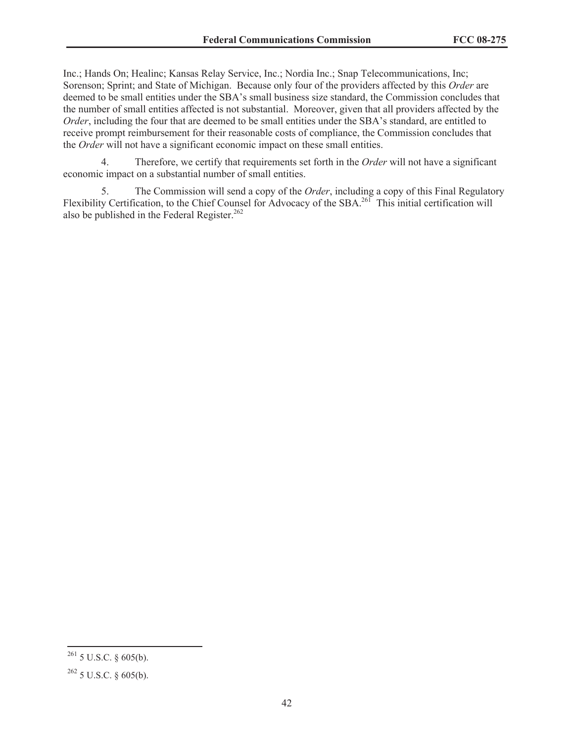Inc.; Hands On; Healinc; Kansas Relay Service, Inc.; Nordia Inc.; Snap Telecommunications, Inc; Sorenson; Sprint; and State of Michigan. Because only four of the providers affected by this *Order* are deemed to be small entities under the SBA's small business size standard, the Commission concludes that the number of small entities affected is not substantial. Moreover, given that all providers affected by the *Order*, including the four that are deemed to be small entities under the SBA's standard, are entitled to receive prompt reimbursement for their reasonable costs of compliance, the Commission concludes that the *Order* will not have a significant economic impact on these small entities.

4. Therefore, we certify that requirements set forth in the *Order* will not have a significant economic impact on a substantial number of small entities.

5. The Commission will send a copy of the *Order*, including a copy of this Final Regulatory Flexibility Certification, to the Chief Counsel for Advocacy of the SBA.<sup>261</sup> This initial certification will also be published in the Federal Register.<sup>262</sup>

 $261$  5 U.S.C. § 605(b).

 $262$  5 U.S.C. § 605(b).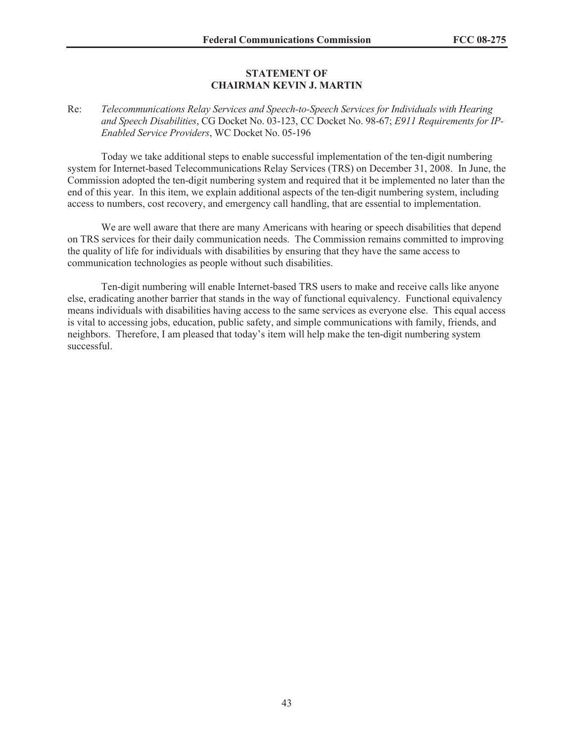#### **STATEMENT OF CHAIRMAN KEVIN J. MARTIN**

### Re: *Telecommunications Relay Services and Speech-to-Speech Services for Individuals with Hearing and Speech Disabilities*, CG Docket No. 03-123, CC Docket No. 98-67; *E911 Requirements for IP-Enabled Service Providers*, WC Docket No. 05-196

Today we take additional steps to enable successful implementation of the ten-digit numbering system for Internet-based Telecommunications Relay Services (TRS) on December 31, 2008. In June, the Commission adopted the ten-digit numbering system and required that it be implemented no later than the end of this year. In this item, we explain additional aspects of the ten-digit numbering system, including access to numbers, cost recovery, and emergency call handling, that are essential to implementation.

We are well aware that there are many Americans with hearing or speech disabilities that depend on TRS services for their daily communication needs. The Commission remains committed to improving the quality of life for individuals with disabilities by ensuring that they have the same access to communication technologies as people without such disabilities.

Ten-digit numbering will enable Internet-based TRS users to make and receive calls like anyone else, eradicating another barrier that stands in the way of functional equivalency. Functional equivalency means individuals with disabilities having access to the same services as everyone else. This equal access is vital to accessing jobs, education, public safety, and simple communications with family, friends, and neighbors. Therefore, I am pleased that today's item will help make the ten-digit numbering system successful.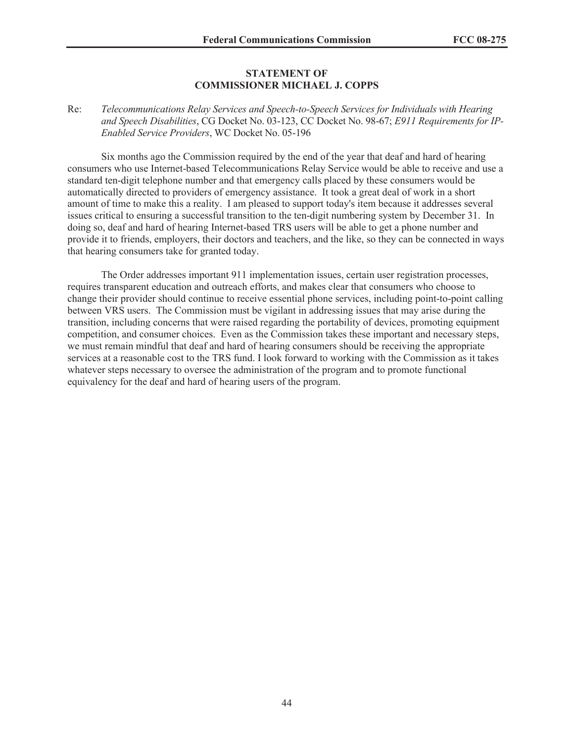#### **STATEMENT OF COMMISSIONER MICHAEL J. COPPS**

### Re: *Telecommunications Relay Services and Speech-to-Speech Services for Individuals with Hearing and Speech Disabilities*, CG Docket No. 03-123, CC Docket No. 98-67; *E911 Requirements for IP-Enabled Service Providers*, WC Docket No. 05-196

Six months ago the Commission required by the end of the year that deaf and hard of hearing consumers who use Internet-based Telecommunications Relay Service would be able to receive and use a standard ten-digit telephone number and that emergency calls placed by these consumers would be automatically directed to providers of emergency assistance. It took a great deal of work in a short amount of time to make this a reality. I am pleased to support today's item because it addresses several issues critical to ensuring a successful transition to the ten-digit numbering system by December 31. In doing so, deaf and hard of hearing Internet-based TRS users will be able to get a phone number and provide it to friends, employers, their doctors and teachers, and the like, so they can be connected in ways that hearing consumers take for granted today.

The Order addresses important 911 implementation issues, certain user registration processes, requires transparent education and outreach efforts, and makes clear that consumers who choose to change their provider should continue to receive essential phone services, including point-to-point calling between VRS users. The Commission must be vigilant in addressing issues that may arise during the transition, including concerns that were raised regarding the portability of devices, promoting equipment competition, and consumer choices. Even as the Commission takes these important and necessary steps, we must remain mindful that deaf and hard of hearing consumers should be receiving the appropriate services at a reasonable cost to the TRS fund. I look forward to working with the Commission as it takes whatever steps necessary to oversee the administration of the program and to promote functional equivalency for the deaf and hard of hearing users of the program.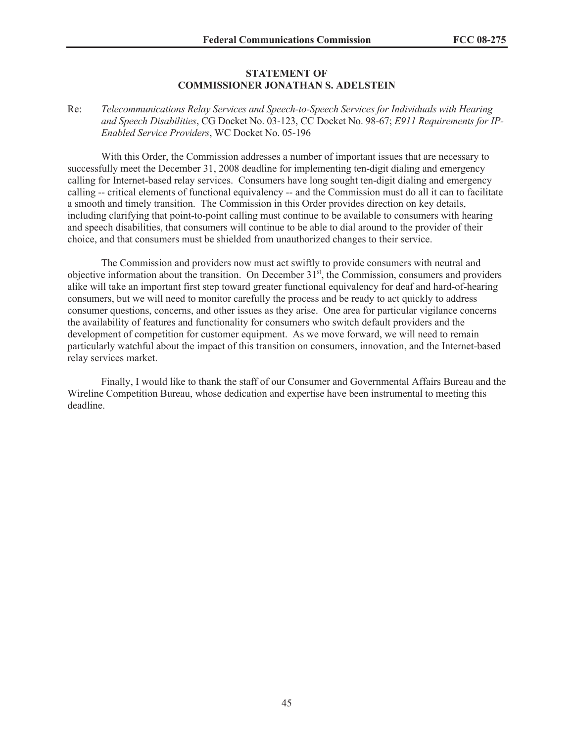#### **STATEMENT OF COMMISSIONER JONATHAN S. ADELSTEIN**

# Re: *Telecommunications Relay Services and Speech-to-Speech Services for Individuals with Hearing and Speech Disabilities*, CG Docket No. 03-123, CC Docket No. 98-67; *E911 Requirements for IP-Enabled Service Providers*, WC Docket No. 05-196

With this Order, the Commission addresses a number of important issues that are necessary to successfully meet the December 31, 2008 deadline for implementing ten-digit dialing and emergency calling for Internet-based relay services. Consumers have long sought ten-digit dialing and emergency calling -- critical elements of functional equivalency -- and the Commission must do all it can to facilitate a smooth and timely transition. The Commission in this Order provides direction on key details, including clarifying that point-to-point calling must continue to be available to consumers with hearing and speech disabilities, that consumers will continue to be able to dial around to the provider of their choice, and that consumers must be shielded from unauthorized changes to their service.

The Commission and providers now must act swiftly to provide consumers with neutral and objective information about the transition. On December 31<sup>st</sup>, the Commission, consumers and providers alike will take an important first step toward greater functional equivalency for deaf and hard-of-hearing consumers, but we will need to monitor carefully the process and be ready to act quickly to address consumer questions, concerns, and other issues as they arise. One area for particular vigilance concerns the availability of features and functionality for consumers who switch default providers and the development of competition for customer equipment. As we move forward, we will need to remain particularly watchful about the impact of this transition on consumers, innovation, and the Internet-based relay services market.

Finally, I would like to thank the staff of our Consumer and Governmental Affairs Bureau and the Wireline Competition Bureau, whose dedication and expertise have been instrumental to meeting this deadline.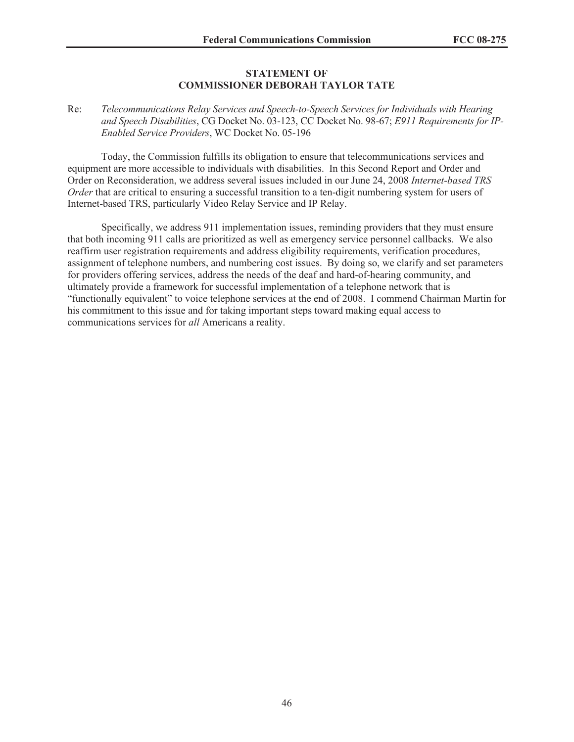#### **STATEMENT OF COMMISSIONER DEBORAH TAYLOR TATE**

Re: *Telecommunications Relay Services and Speech-to-Speech Services for Individuals with Hearing and Speech Disabilities*, CG Docket No. 03-123, CC Docket No. 98-67; *E911 Requirements for IP-Enabled Service Providers*, WC Docket No. 05-196

Today, the Commission fulfills its obligation to ensure that telecommunications services and equipment are more accessible to individuals with disabilities. In this Second Report and Order and Order on Reconsideration, we address several issues included in our June 24, 2008 *Internet-based TRS Order* that are critical to ensuring a successful transition to a ten-digit numbering system for users of Internet-based TRS, particularly Video Relay Service and IP Relay.

Specifically, we address 911 implementation issues, reminding providers that they must ensure that both incoming 911 calls are prioritized as well as emergency service personnel callbacks. We also reaffirm user registration requirements and address eligibility requirements, verification procedures, assignment of telephone numbers, and numbering cost issues. By doing so, we clarify and set parameters for providers offering services, address the needs of the deaf and hard-of-hearing community, and ultimately provide a framework for successful implementation of a telephone network that is "functionally equivalent" to voice telephone services at the end of 2008. I commend Chairman Martin for his commitment to this issue and for taking important steps toward making equal access to communications services for *all* Americans a reality.